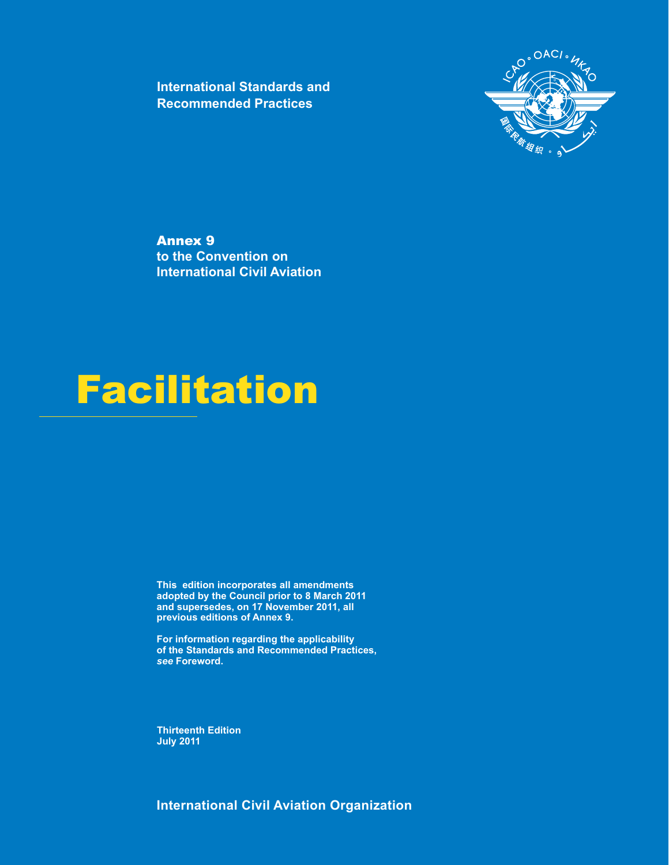**International Standards and Recommended Practices**



Annex 9 **to the Convention on International Civil Aviation**

# Facilitation

**This edition incorporates all amendments adopted by the Council prior to 8 March 2011 and supersedes, on 17 November 2011, all previous editions of Annex 9.**

**For information regarding the applicability of the Standards and Recommended Practices,** *see* **Foreword.**

**Thirteenth Edition July 2011**

**International Civil Aviation Organization**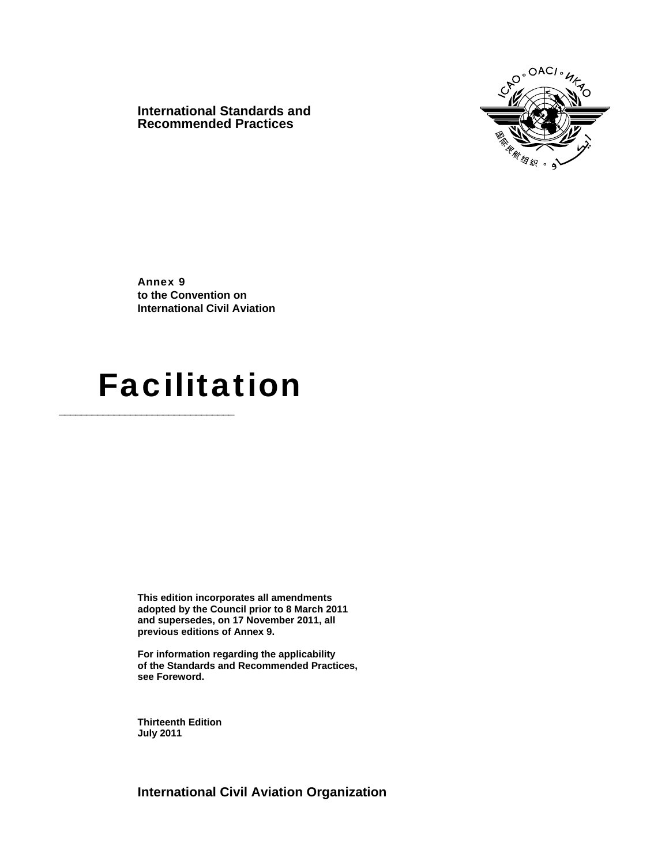**International Standards and Recommended Practices** 



Annex 9 **to the Convention on International Civil Aviation** 

# **Facilitation**

**This edition incorporates all amendments adopted by the Council prior to 8 March 2011 and supersedes, on 17 November 2011, all previous editions of Annex 9.** 

**For information regarding the applicability of the Standards and Recommended Practices, see Foreword.** 

**Thirteenth Edition July 2011** 

**International Civil Aviation Organization**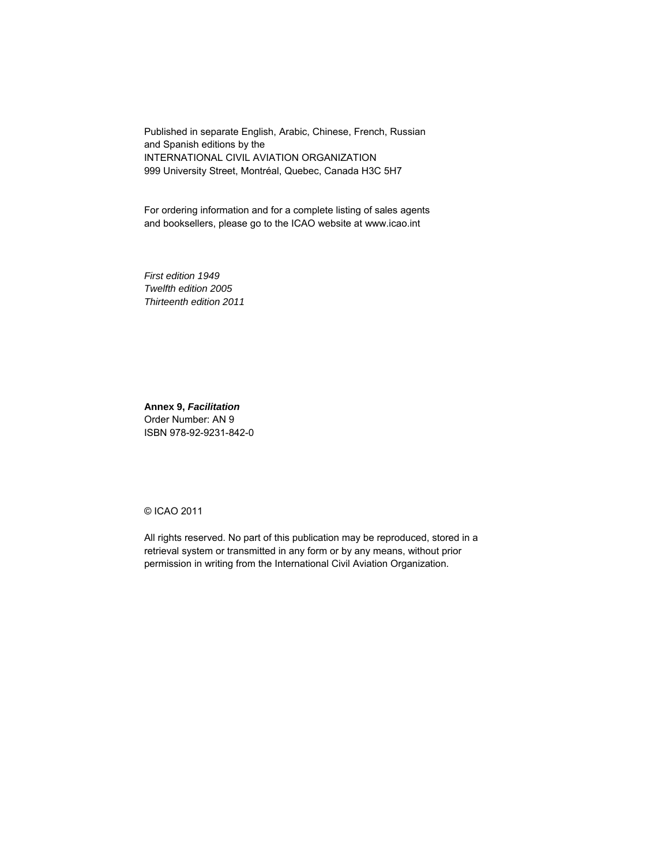Published in separate English, Arabic, Chinese, French, Russian and Spanish editions by the INTERNATIONAL CIVIL AVIATION ORGANIZATION 999 University Street, Montréal, Quebec, Canada H3C 5H7

For ordering information and for a complete listing of sales agents and booksellers, please go to the ICAO website at www.icao.int

*First edition 1949 Twelfth edition 2005 Thirteenth edition 2011* 

**Annex 9,** *Facilitation*  Order Number: AN 9 ISBN 978-92-9231-842-0

© ICAO 2011

All rights reserved. No part of this publication may be reproduced, stored in a retrieval system or transmitted in any form or by any means, without prior permission in writing from the International Civil Aviation Organization.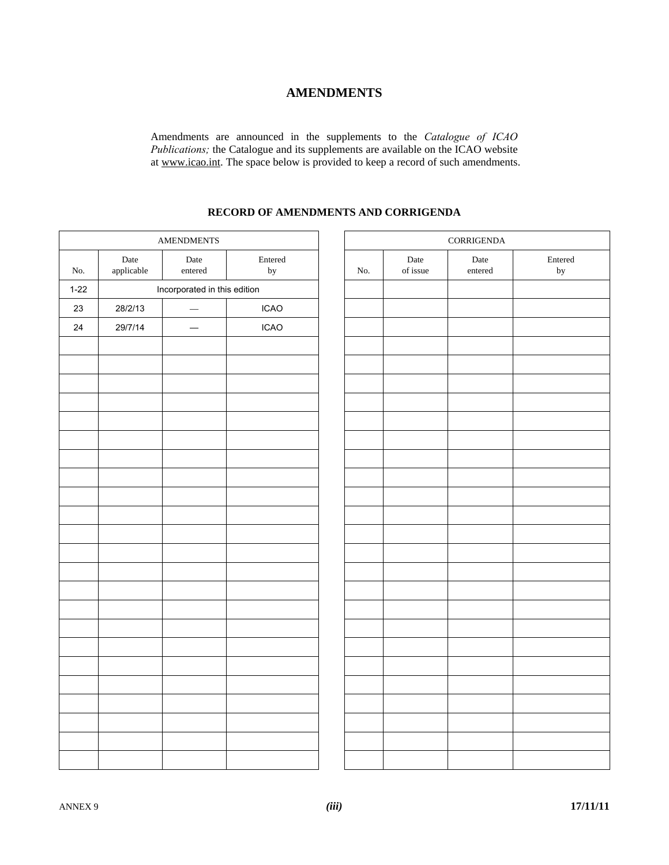# **AMENDMENTS**

Amendments are announced in the supplements to the *Catalogue of ICAO Publications;* the Catalogue and its supplements are available on the ICAO website at www.icao.int. The space below is provided to keep a record of such amendments.

# **RECORD OF AMENDMENTS AND CORRIGENDA**

| <b>AMENDMENTS</b><br>Date<br>Entered<br>Date<br>applicable<br>entered<br>$_{\rm by}$<br>No.<br>Incorporated in this edition<br><b>ICAO</b><br>28/2/13<br>23<br>$\overline{\phantom{0}}$<br>29/7/14<br><b>ICAO</b><br>24 |          |  |  |  |
|-------------------------------------------------------------------------------------------------------------------------------------------------------------------------------------------------------------------------|----------|--|--|--|
| Date<br>of issue                                                                                                                                                                                                        |          |  |  |  |
|                                                                                                                                                                                                                         | No.      |  |  |  |
|                                                                                                                                                                                                                         | $1 - 22$ |  |  |  |
|                                                                                                                                                                                                                         |          |  |  |  |
|                                                                                                                                                                                                                         |          |  |  |  |
|                                                                                                                                                                                                                         |          |  |  |  |
|                                                                                                                                                                                                                         |          |  |  |  |
|                                                                                                                                                                                                                         |          |  |  |  |
|                                                                                                                                                                                                                         |          |  |  |  |
|                                                                                                                                                                                                                         |          |  |  |  |
|                                                                                                                                                                                                                         |          |  |  |  |
|                                                                                                                                                                                                                         |          |  |  |  |
|                                                                                                                                                                                                                         |          |  |  |  |
|                                                                                                                                                                                                                         |          |  |  |  |
|                                                                                                                                                                                                                         |          |  |  |  |
|                                                                                                                                                                                                                         |          |  |  |  |
|                                                                                                                                                                                                                         |          |  |  |  |
|                                                                                                                                                                                                                         |          |  |  |  |
|                                                                                                                                                                                                                         |          |  |  |  |
|                                                                                                                                                                                                                         |          |  |  |  |
|                                                                                                                                                                                                                         |          |  |  |  |
|                                                                                                                                                                                                                         |          |  |  |  |
|                                                                                                                                                                                                                         |          |  |  |  |
|                                                                                                                                                                                                                         |          |  |  |  |
|                                                                                                                                                                                                                         |          |  |  |  |
|                                                                                                                                                                                                                         |          |  |  |  |
|                                                                                                                                                                                                                         |          |  |  |  |
|                                                                                                                                                                                                                         |          |  |  |  |

|     | CORRIGENDA       |                 |               |  |  |  |
|-----|------------------|-----------------|---------------|--|--|--|
| No. | Date<br>of issue | Date<br>entered | Entered<br>by |  |  |  |
|     |                  |                 |               |  |  |  |
|     |                  |                 |               |  |  |  |
|     |                  |                 |               |  |  |  |
|     |                  |                 |               |  |  |  |
|     |                  |                 |               |  |  |  |
|     |                  |                 |               |  |  |  |
|     |                  |                 |               |  |  |  |
|     |                  |                 |               |  |  |  |
|     |                  |                 |               |  |  |  |
|     |                  |                 |               |  |  |  |
|     |                  |                 |               |  |  |  |
|     |                  |                 |               |  |  |  |
|     |                  |                 |               |  |  |  |
|     |                  |                 |               |  |  |  |
|     |                  |                 |               |  |  |  |
|     |                  |                 |               |  |  |  |
|     |                  |                 |               |  |  |  |
|     |                  |                 |               |  |  |  |
|     |                  |                 |               |  |  |  |
|     |                  |                 |               |  |  |  |
|     |                  |                 |               |  |  |  |
|     |                  |                 |               |  |  |  |
|     |                  |                 |               |  |  |  |
|     |                  |                 |               |  |  |  |
|     |                  |                 |               |  |  |  |
|     |                  |                 |               |  |  |  |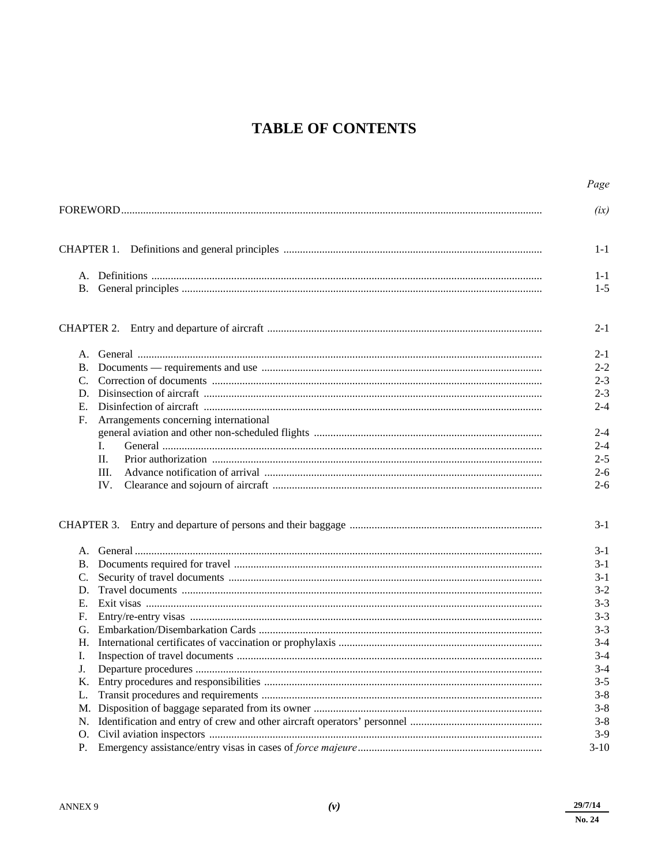# **TABLE OF CONTENTS**

|    |                                       | Page    |
|----|---------------------------------------|---------|
|    |                                       | (ix)    |
|    |                                       | $1 - 1$ |
|    |                                       | $1 - 1$ |
|    |                                       | $1 - 5$ |
|    |                                       | $2 - 1$ |
| А. |                                       | 2-1     |
| В. |                                       | $2 - 2$ |
| C. |                                       | $2 - 3$ |
| D. |                                       | $2 - 3$ |
| Е. |                                       | $2 - 4$ |
| F. | Arrangements concerning international |         |
|    |                                       | $2 - 4$ |
| L. |                                       | $2 - 4$ |
| П. |                                       | $2 - 5$ |
| Ш. |                                       | $2 - 6$ |
|    |                                       | $2 - 6$ |
|    |                                       | $3-1$   |
| А. |                                       | $3-1$   |
| Β. |                                       | $3-1$   |
| C. |                                       | $3-1$   |
| D. |                                       | $3 - 2$ |
| E. |                                       | $3 - 3$ |
| F. |                                       | $3 - 3$ |
|    |                                       | $3 - 3$ |
| Н. |                                       | $3 - 4$ |
| Ι. |                                       | $3 - 4$ |
| J. |                                       | $3-4$   |
| Κ. |                                       | $3 - 5$ |
| L. |                                       | $3 - 8$ |
| M. |                                       | $3 - 8$ |
| N. |                                       | $3 - 8$ |
| O. |                                       | $3-9$   |
| P. |                                       | $3-10$  |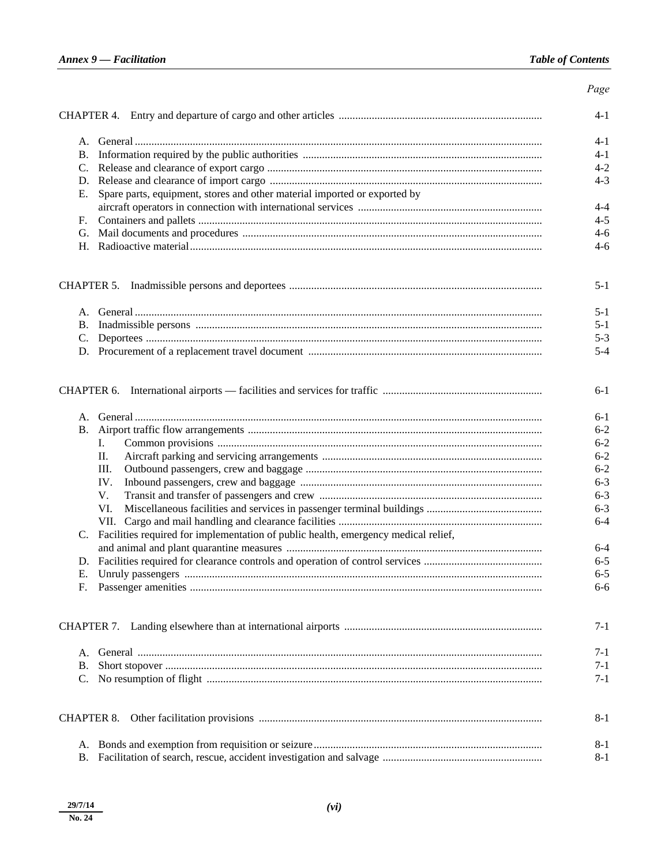| $4 - 1$<br>4-1<br>$4 - 1$<br>В.<br>$4 - 2$<br>C.<br>$4 - 3$<br>D.<br>Spare parts, equipment, stores and other material imported or exported by<br>Е.<br>$4 - 4$<br>$4 - 5$<br>F.<br>$4 - 6$<br>$4-6$<br>$5-1$<br>$5-1$<br>$5 - 1$<br>$5 - 3$<br>C.<br>$5 - 4$<br>$6-1$<br>$6-1$<br>$6 - 2$<br>Β.<br>$6 - 2$<br>I.<br>$6 - 2$<br>П.<br>$6 - 2$<br>Ш.<br>$6 - 3$<br>IV.<br>$6 - 3$<br>V.<br>$6 - 3$<br>VI.<br>$6 - 4$<br>Facilities required for implementation of public health, emergency medical relief,<br>C.<br>$6 - 4$<br>$6 - 5$<br>$6 - 5$<br>E.<br>$6 - 6$<br>F.<br>$7-1$<br>7-1<br>$7-1$<br>В.<br>$7-1$<br>$8-1$<br>$8-1$<br>$8 - 1$ |  | Page |
|----------------------------------------------------------------------------------------------------------------------------------------------------------------------------------------------------------------------------------------------------------------------------------------------------------------------------------------------------------------------------------------------------------------------------------------------------------------------------------------------------------------------------------------------------------------------------------------------------------------------------------------------|--|------|
|                                                                                                                                                                                                                                                                                                                                                                                                                                                                                                                                                                                                                                              |  |      |
|                                                                                                                                                                                                                                                                                                                                                                                                                                                                                                                                                                                                                                              |  |      |
|                                                                                                                                                                                                                                                                                                                                                                                                                                                                                                                                                                                                                                              |  |      |
|                                                                                                                                                                                                                                                                                                                                                                                                                                                                                                                                                                                                                                              |  |      |
|                                                                                                                                                                                                                                                                                                                                                                                                                                                                                                                                                                                                                                              |  |      |
|                                                                                                                                                                                                                                                                                                                                                                                                                                                                                                                                                                                                                                              |  |      |
|                                                                                                                                                                                                                                                                                                                                                                                                                                                                                                                                                                                                                                              |  |      |
|                                                                                                                                                                                                                                                                                                                                                                                                                                                                                                                                                                                                                                              |  |      |
|                                                                                                                                                                                                                                                                                                                                                                                                                                                                                                                                                                                                                                              |  |      |
|                                                                                                                                                                                                                                                                                                                                                                                                                                                                                                                                                                                                                                              |  |      |
|                                                                                                                                                                                                                                                                                                                                                                                                                                                                                                                                                                                                                                              |  |      |
|                                                                                                                                                                                                                                                                                                                                                                                                                                                                                                                                                                                                                                              |  |      |
|                                                                                                                                                                                                                                                                                                                                                                                                                                                                                                                                                                                                                                              |  |      |
|                                                                                                                                                                                                                                                                                                                                                                                                                                                                                                                                                                                                                                              |  |      |
|                                                                                                                                                                                                                                                                                                                                                                                                                                                                                                                                                                                                                                              |  |      |
|                                                                                                                                                                                                                                                                                                                                                                                                                                                                                                                                                                                                                                              |  |      |
|                                                                                                                                                                                                                                                                                                                                                                                                                                                                                                                                                                                                                                              |  |      |
|                                                                                                                                                                                                                                                                                                                                                                                                                                                                                                                                                                                                                                              |  |      |
|                                                                                                                                                                                                                                                                                                                                                                                                                                                                                                                                                                                                                                              |  |      |
|                                                                                                                                                                                                                                                                                                                                                                                                                                                                                                                                                                                                                                              |  |      |
|                                                                                                                                                                                                                                                                                                                                                                                                                                                                                                                                                                                                                                              |  |      |
|                                                                                                                                                                                                                                                                                                                                                                                                                                                                                                                                                                                                                                              |  |      |
|                                                                                                                                                                                                                                                                                                                                                                                                                                                                                                                                                                                                                                              |  |      |
|                                                                                                                                                                                                                                                                                                                                                                                                                                                                                                                                                                                                                                              |  |      |
|                                                                                                                                                                                                                                                                                                                                                                                                                                                                                                                                                                                                                                              |  |      |
|                                                                                                                                                                                                                                                                                                                                                                                                                                                                                                                                                                                                                                              |  |      |
|                                                                                                                                                                                                                                                                                                                                                                                                                                                                                                                                                                                                                                              |  |      |
|                                                                                                                                                                                                                                                                                                                                                                                                                                                                                                                                                                                                                                              |  |      |
|                                                                                                                                                                                                                                                                                                                                                                                                                                                                                                                                                                                                                                              |  |      |
|                                                                                                                                                                                                                                                                                                                                                                                                                                                                                                                                                                                                                                              |  |      |
|                                                                                                                                                                                                                                                                                                                                                                                                                                                                                                                                                                                                                                              |  |      |
|                                                                                                                                                                                                                                                                                                                                                                                                                                                                                                                                                                                                                                              |  |      |
|                                                                                                                                                                                                                                                                                                                                                                                                                                                                                                                                                                                                                                              |  |      |
|                                                                                                                                                                                                                                                                                                                                                                                                                                                                                                                                                                                                                                              |  |      |
|                                                                                                                                                                                                                                                                                                                                                                                                                                                                                                                                                                                                                                              |  |      |
|                                                                                                                                                                                                                                                                                                                                                                                                                                                                                                                                                                                                                                              |  |      |
|                                                                                                                                                                                                                                                                                                                                                                                                                                                                                                                                                                                                                                              |  |      |
|                                                                                                                                                                                                                                                                                                                                                                                                                                                                                                                                                                                                                                              |  |      |
|                                                                                                                                                                                                                                                                                                                                                                                                                                                                                                                                                                                                                                              |  |      |
|                                                                                                                                                                                                                                                                                                                                                                                                                                                                                                                                                                                                                                              |  |      |
|                                                                                                                                                                                                                                                                                                                                                                                                                                                                                                                                                                                                                                              |  |      |
|                                                                                                                                                                                                                                                                                                                                                                                                                                                                                                                                                                                                                                              |  |      |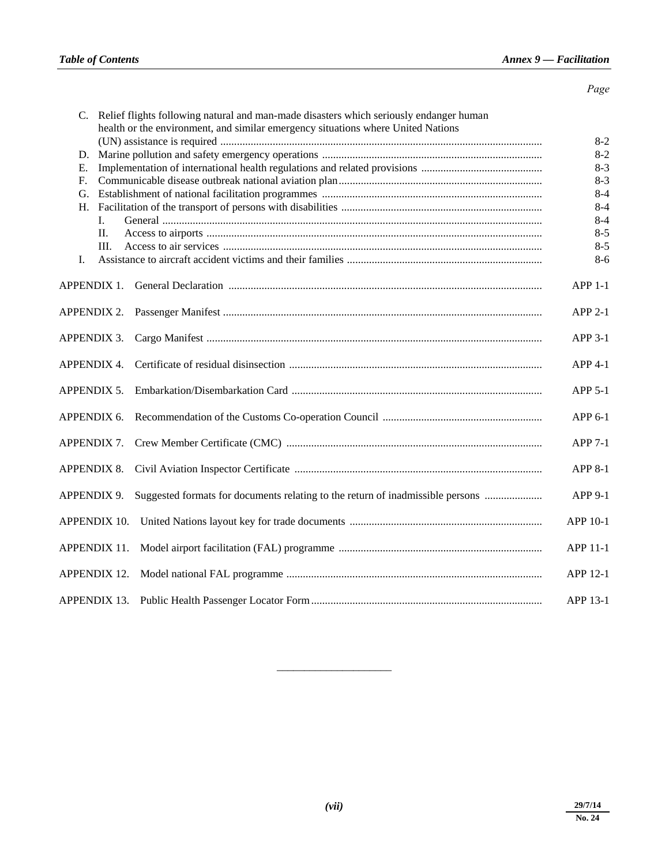*Page* 

| C. Relief flights following natural and man-made disasters which seriously endanger human     |                |
|-----------------------------------------------------------------------------------------------|----------------|
| health or the environment, and similar emergency situations where United Nations              | $8 - 2$        |
|                                                                                               | $8 - 2$        |
| Е.                                                                                            | $8 - 3$        |
| F.                                                                                            | $8 - 3$        |
| G.                                                                                            | $8 - 4$        |
|                                                                                               | $8 - 4$        |
| I.                                                                                            | $8 - 4$        |
| II.                                                                                           | $8 - 5$        |
| III.                                                                                          |                |
|                                                                                               | $8 - 5$        |
| I.                                                                                            | $8 - 6$        |
| <b>APPENDIX 1.</b>                                                                            | <b>APP 1-1</b> |
|                                                                                               | <b>APP 2-1</b> |
| APPENDIX 3.                                                                                   | APP 3-1        |
| APPENDIX 4.                                                                                   | APP 4-1        |
| <b>APPENDIX 5.</b>                                                                            | APP 5-1        |
|                                                                                               | APP 6-1        |
| <b>APPENDIX 7.</b>                                                                            | APP 7-1        |
| <b>APPENDIX 8.</b>                                                                            | <b>APP 8-1</b> |
| Suggested formats for documents relating to the return of inadmissible persons<br>APPENDIX 9. | APP 9-1        |
| APPENDIX 10.                                                                                  | APP 10-1       |
| APPENDIX 11.                                                                                  | APP 11-1       |
| APPENDIX 12.                                                                                  | APP 12-1       |
|                                                                                               | APP 13-1       |

\_\_\_\_\_\_\_\_\_\_\_\_\_\_\_\_\_\_\_\_\_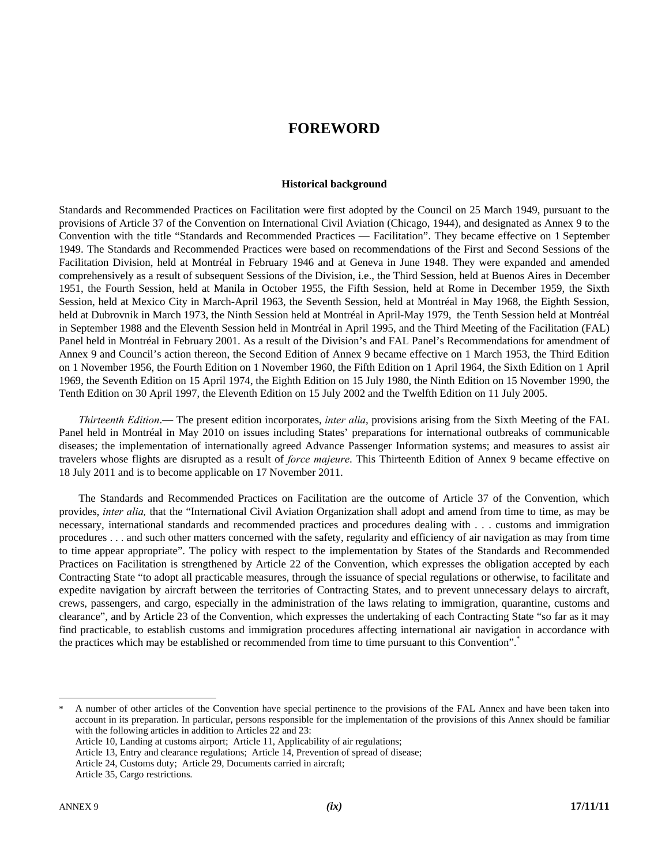# **FOREWORD**

### **Historical background**

Standards and Recommended Practices on Facilitation were first adopted by the Council on 25 March 1949, pursuant to the provisions of Article 37 of the Convention on International Civil Aviation (Chicago, 1944), and designated as Annex 9 to the Convention with the title "Standards and Recommended Practices — Facilitation". They became effective on 1 September 1949. The Standards and Recommended Practices were based on recommendations of the First and Second Sessions of the Facilitation Division, held at Montréal in February 1946 and at Geneva in June 1948. They were expanded and amended comprehensively as a result of subsequent Sessions of the Division, i.e., the Third Session, held at Buenos Aires in December 1951, the Fourth Session, held at Manila in October 1955, the Fifth Session, held at Rome in December 1959, the Sixth Session, held at Mexico City in March-April 1963, the Seventh Session, held at Montréal in May 1968, the Eighth Session, held at Dubrovnik in March 1973, the Ninth Session held at Montréal in April-May 1979, the Tenth Session held at Montréal in September 1988 and the Eleventh Session held in Montréal in April 1995, and the Third Meeting of the Facilitation (FAL) Panel held in Montréal in February 2001. As a result of the Division's and FAL Panel's Recommendations for amendment of Annex 9 and Council's action thereon, the Second Edition of Annex 9 became effective on 1 March 1953, the Third Edition on 1 November 1956, the Fourth Edition on 1 November 1960, the Fifth Edition on 1 April 1964, the Sixth Edition on 1 April 1969, the Seventh Edition on 15 April 1974, the Eighth Edition on 15 July 1980, the Ninth Edition on 15 November 1990, the Tenth Edition on 30 April 1997, the Eleventh Edition on 15 July 2002 and the Twelfth Edition on 11 July 2005.

 *Thirteenth Edition*.— The present edition incorporates, *inter alia*, provisions arising from the Sixth Meeting of the FAL Panel held in Montréal in May 2010 on issues including States' preparations for international outbreaks of communicable diseases; the implementation of internationally agreed Advance Passenger Information systems; and measures to assist air travelers whose flights are disrupted as a result of *force majeure*. This Thirteenth Edition of Annex 9 became effective on 18 July 2011 and is to become applicable on 17 November 2011.

 The Standards and Recommended Practices on Facilitation are the outcome of Article 37 of the Convention, which provides, *inter alia,* that the "International Civil Aviation Organization shall adopt and amend from time to time, as may be necessary, international standards and recommended practices and procedures dealing with . . . customs and immigration procedures . . . and such other matters concerned with the safety, regularity and efficiency of air navigation as may from time to time appear appropriate". The policy with respect to the implementation by States of the Standards and Recommended Practices on Facilitation is strengthened by Article 22 of the Convention, which expresses the obligation accepted by each Contracting State "to adopt all practicable measures, through the issuance of special regulations or otherwise, to facilitate and expedite navigation by aircraft between the territories of Contracting States, and to prevent unnecessary delays to aircraft, crews, passengers, and cargo, especially in the administration of the laws relating to immigration, quarantine, customs and clearance", and by Article 23 of the Convention, which expresses the undertaking of each Contracting State "so far as it may find practicable, to establish customs and immigration procedures affecting international air navigation in accordance with the practices which may be established or recommended from time to time pursuant to this Convention".<sup>\*</sup>

-

A number of other articles of the Convention have special pertinence to the provisions of the FAL Annex and have been taken into account in its preparation. In particular, persons responsible for the implementation of the provisions of this Annex should be familiar with the following articles in addition to Articles 22 and 23:

Article 10, Landing at customs airport; Article 11, Applicability of air regulations;

Article 13, Entry and clearance regulations; Article 14, Prevention of spread of disease;

Article 24, Customs duty; Article 29, Documents carried in aircraft;

Article 35, Cargo restrictions.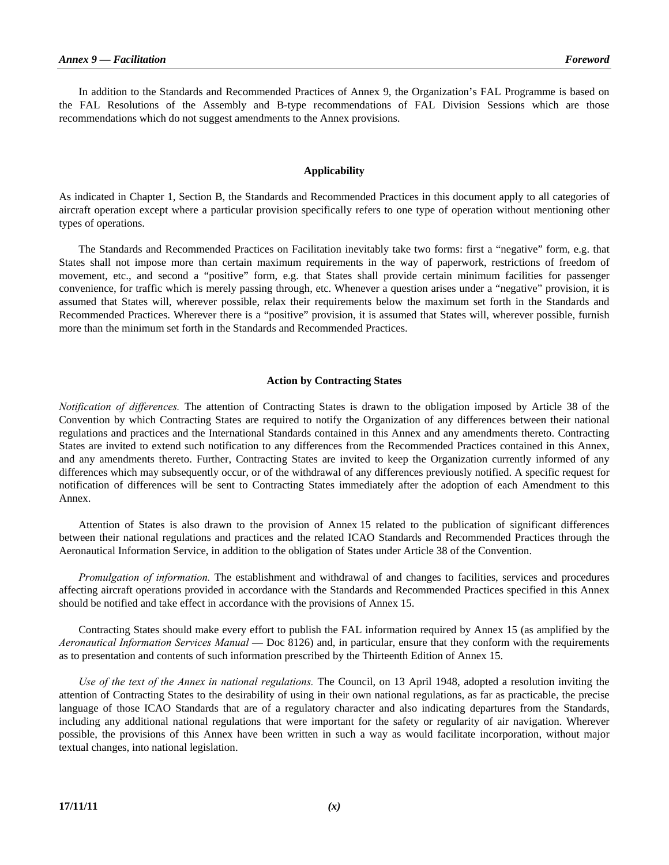In addition to the Standards and Recommended Practices of Annex 9, the Organization's FAL Programme is based on the FAL Resolutions of the Assembly and B-type recommendations of FAL Division Sessions which are those recommendations which do not suggest amendments to the Annex provisions.

# **Applicability**

As indicated in Chapter 1, Section B, the Standards and Recommended Practices in this document apply to all categories of aircraft operation except where a particular provision specifically refers to one type of operation without mentioning other types of operations.

 The Standards and Recommended Practices on Facilitation inevitably take two forms: first a "negative" form, e.g. that States shall not impose more than certain maximum requirements in the way of paperwork, restrictions of freedom of movement, etc., and second a "positive" form, e.g. that States shall provide certain minimum facilities for passenger convenience, for traffic which is merely passing through, etc. Whenever a question arises under a "negative" provision, it is assumed that States will, wherever possible, relax their requirements below the maximum set forth in the Standards and Recommended Practices. Wherever there is a "positive" provision, it is assumed that States will, wherever possible, furnish more than the minimum set forth in the Standards and Recommended Practices.

### **Action by Contracting States**

*Notification of differences.* The attention of Contracting States is drawn to the obligation imposed by Article 38 of the Convention by which Contracting States are required to notify the Organization of any differences between their national regulations and practices and the International Standards contained in this Annex and any amendments thereto. Contracting States are invited to extend such notification to any differences from the Recommended Practices contained in this Annex, and any amendments thereto. Further, Contracting States are invited to keep the Organization currently informed of any differences which may subsequently occur, or of the withdrawal of any differences previously notified. A specific request for notification of differences will be sent to Contracting States immediately after the adoption of each Amendment to this Annex.

 Attention of States is also drawn to the provision of Annex 15 related to the publication of significant differences between their national regulations and practices and the related ICAO Standards and Recommended Practices through the Aeronautical Information Service, in addition to the obligation of States under Article 38 of the Convention.

 *Promulgation of information.* The establishment and withdrawal of and changes to facilities, services and procedures affecting aircraft operations provided in accordance with the Standards and Recommended Practices specified in this Annex should be notified and take effect in accordance with the provisions of Annex 15.

 Contracting States should make every effort to publish the FAL information required by Annex 15 (as amplified by the *Aeronautical Information Services Manual* — Doc 8126) and, in particular, ensure that they conform with the requirements as to presentation and contents of such information prescribed by the Thirteenth Edition of Annex 15.

 *Use of the text of the Annex in national regulations.* The Council, on 13 April 1948, adopted a resolution inviting the attention of Contracting States to the desirability of using in their own national regulations, as far as practicable, the precise language of those ICAO Standards that are of a regulatory character and also indicating departures from the Standards, including any additional national regulations that were important for the safety or regularity of air navigation. Wherever possible, the provisions of this Annex have been written in such a way as would facilitate incorporation, without major textual changes, into national legislation.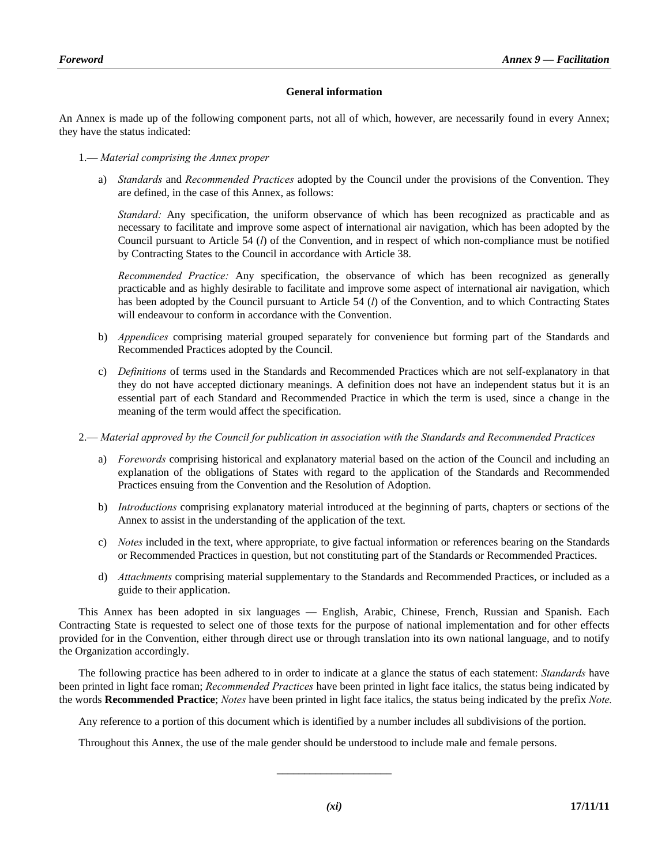# **General information**

An Annex is made up of the following component parts, not all of which, however, are necessarily found in every Annex; they have the status indicated:

- 1.— *Material comprising the Annex proper* 
	- a) *Standards* and *Recommended Practices* adopted by the Council under the provisions of the Convention. They are defined, in the case of this Annex, as follows:

 *Standard:* Any specification, the uniform observance of which has been recognized as practicable and as necessary to facilitate and improve some aspect of international air navigation, which has been adopted by the Council pursuant to Article 54 (*l*) of the Convention, and in respect of which non-compliance must be notified by Contracting States to the Council in accordance with Article 38.

 *Recommended Practice:* Any specification, the observance of which has been recognized as generally practicable and as highly desirable to facilitate and improve some aspect of international air navigation, which has been adopted by the Council pursuant to Article 54 (*l*) of the Convention, and to which Contracting States will endeavour to conform in accordance with the Convention.

- b) *Appendices* comprising material grouped separately for convenience but forming part of the Standards and Recommended Practices adopted by the Council.
- c) *Definitions* of terms used in the Standards and Recommended Practices which are not self-explanatory in that they do not have accepted dictionary meanings. A definition does not have an independent status but it is an essential part of each Standard and Recommended Practice in which the term is used, since a change in the meaning of the term would affect the specification.
- 2.— *Material approved by the Council for publication in association with the Standards and Recommended Practices* 
	- a) *Forewords* comprising historical and explanatory material based on the action of the Council and including an explanation of the obligations of States with regard to the application of the Standards and Recommended Practices ensuing from the Convention and the Resolution of Adoption.
	- b) *Introductions* comprising explanatory material introduced at the beginning of parts, chapters or sections of the Annex to assist in the understanding of the application of the text.
	- c) *Notes* included in the text, where appropriate, to give factual information or references bearing on the Standards or Recommended Practices in question, but not constituting part of the Standards or Recommended Practices.
	- d) *Attachments* comprising material supplementary to the Standards and Recommended Practices, or included as a guide to their application.

 This Annex has been adopted in six languages — English, Arabic, Chinese, French, Russian and Spanish. Each Contracting State is requested to select one of those texts for the purpose of national implementation and for other effects provided for in the Convention, either through direct use or through translation into its own national language, and to notify the Organization accordingly.

 The following practice has been adhered to in order to indicate at a glance the status of each statement: *Standards* have been printed in light face roman; *Recommended Practices* have been printed in light face italics, the status being indicated by the words **Recommended Practice**; *Notes* have been printed in light face italics, the status being indicated by the prefix *Note.* 

Any reference to a portion of this document which is identified by a number includes all subdivisions of the portion.

Throughout this Annex, the use of the male gender should be understood to include male and female persons.

\_\_\_\_\_\_\_\_\_\_\_\_\_\_\_\_\_\_\_\_\_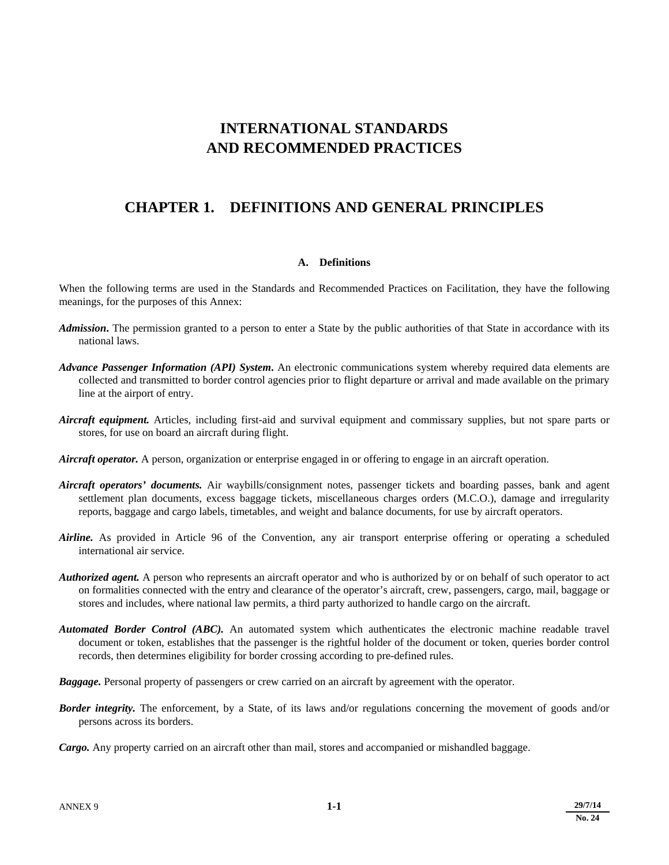# **INTERNATIONAL STANDARDS AND RECOMMENDED PRACTICES**

# **CHAPTER 1. DEFINITIONS AND GENERAL PRINCIPLES**

# **A. Definitions**

When the following terms are used in the Standards and Recommended Practices on Facilitation, they have the following meanings, for the purposes of this Annex:

- *Admission***.** The permission granted to a person to enter a State by the public authorities of that State in accordance with its national laws.
- *Advance Passenger Information (API) System***.** An electronic communications system whereby required data elements are collected and transmitted to border control agencies prior to flight departure or arrival and made available on the primary line at the airport of entry.
- *Aircraft equipment.* Articles, including first-aid and survival equipment and commissary supplies, but not spare parts or stores, for use on board an aircraft during flight.
- *Aircraft operator.* A person, organization or enterprise engaged in or offering to engage in an aircraft operation.
- *Aircraft operators' documents.* Air waybills/consignment notes, passenger tickets and boarding passes, bank and agent settlement plan documents, excess baggage tickets, miscellaneous charges orders (M.C.O.), damage and irregularity reports, baggage and cargo labels, timetables, and weight and balance documents, for use by aircraft operators.
- *Airline.* As provided in Article 96 of the Convention, any air transport enterprise offering or operating a scheduled international air service.
- *Authorized agent.* A person who represents an aircraft operator and who is authorized by or on behalf of such operator to act on formalities connected with the entry and clearance of the operator's aircraft, crew, passengers, cargo, mail, baggage or stores and includes, where national law permits, a third party authorized to handle cargo on the aircraft.
- *Automated Border Control (ABC).* An automated system which authenticates the electronic machine readable travel document or token, establishes that the passenger is the rightful holder of the document or token, queries border control records, then determines eligibility for border crossing according to pre-defined rules.
- *Baggage.* Personal property of passengers or crew carried on an aircraft by agreement with the operator.
- *Border integrity.* The enforcement, by a State, of its laws and/or regulations concerning the movement of goods and/or persons across its borders.
- *Cargo.* Any property carried on an aircraft other than mail, stores and accompanied or mishandled baggage.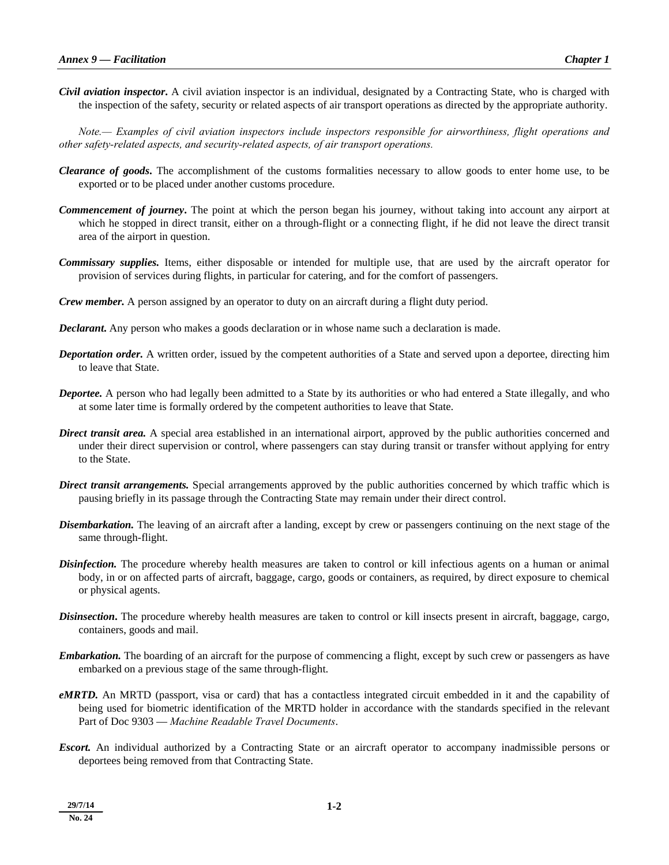*Civil aviation inspector***.** A civil aviation inspector is an individual, designated by a Contracting State, who is charged with the inspection of the safety, security or related aspects of air transport operations as directed by the appropriate authority.

 *Note.— Examples of civil aviation inspectors include inspectors responsible for airworthiness, flight operations and other safety-related aspects, and security-related aspects, of air transport operations.*

- *Clearance of goods***.** The accomplishment of the customs formalities necessary to allow goods to enter home use, to be exported or to be placed under another customs procedure.
- *Commencement of journey***.** The point at which the person began his journey, without taking into account any airport at which he stopped in direct transit, either on a through-flight or a connecting flight, if he did not leave the direct transit area of the airport in question.
- *Commissary supplies.* Items, either disposable or intended for multiple use, that are used by the aircraft operator for provision of services during flights, in particular for catering, and for the comfort of passengers.
- *Crew member.* A person assigned by an operator to duty on an aircraft during a flight duty period.
- *Declarant*. Any person who makes a goods declaration or in whose name such a declaration is made.
- *Deportation order.* A written order, issued by the competent authorities of a State and served upon a deportee, directing him to leave that State.
- *Deportee.* A person who had legally been admitted to a State by its authorities or who had entered a State illegally, and who at some later time is formally ordered by the competent authorities to leave that State.
- *Direct transit area.* A special area established in an international airport, approved by the public authorities concerned and under their direct supervision or control, where passengers can stay during transit or transfer without applying for entry to the State.
- *Direct transit arrangements.* Special arrangements approved by the public authorities concerned by which traffic which is pausing briefly in its passage through the Contracting State may remain under their direct control.
- *Disembarkation.* The leaving of an aircraft after a landing, except by crew or passengers continuing on the next stage of the same through-flight.
- *Disinfection.* The procedure whereby health measures are taken to control or kill infectious agents on a human or animal body, in or on affected parts of aircraft, baggage, cargo, goods or containers, as required, by direct exposure to chemical or physical agents.
- *Disinsection***.** The procedure whereby health measures are taken to control or kill insects present in aircraft, baggage, cargo, containers, goods and mail.
- *Embarkation*. The boarding of an aircraft for the purpose of commencing a flight, except by such crew or passengers as have embarked on a previous stage of the same through-flight.
- *eMRTD.* An MRTD (passport, visa or card) that has a contactless integrated circuit embedded in it and the capability of being used for biometric identification of the MRTD holder in accordance with the standards specified in the relevant Part of Doc 9303 — *Machine Readable Travel Documents*.
- *Escort.* An individual authorized by a Contracting State or an aircraft operator to accompany inadmissible persons or deportees being removed from that Contracting State.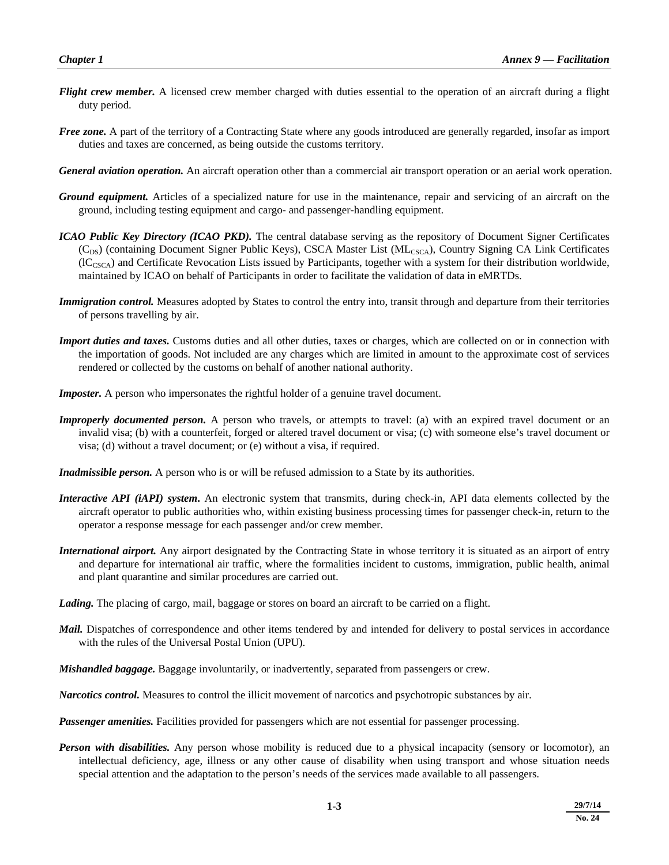- *Flight crew member.* A licensed crew member charged with duties essential to the operation of an aircraft during a flight duty period.
- *Free zone.* A part of the territory of a Contracting State where any goods introduced are generally regarded, insofar as import duties and taxes are concerned, as being outside the customs territory.
- *General aviation operation.* An aircraft operation other than a commercial air transport operation or an aerial work operation.
- *Ground equipment.* Articles of a specialized nature for use in the maintenance, repair and servicing of an aircraft on the ground, including testing equipment and cargo- and passenger-handling equipment.
- *ICAO Public Key Directory (ICAO PKD)*. The central database serving as the repository of Document Signer Certificates  $(C_{DS})$  (containing Document Signer Public Keys), CSCA Master List (ML<sub>CSCA</sub>), Country Signing CA Link Certificates  $(IC<sub>CSCA</sub>)$  and Certificate Revocation Lists issued by Participants, together with a system for their distribution worldwide, maintained by ICAO on behalf of Participants in order to facilitate the validation of data in eMRTDs.
- *Immigration control.* Measures adopted by States to control the entry into, transit through and departure from their territories of persons travelling by air.
- *Import duties and taxes.* Customs duties and all other duties, taxes or charges, which are collected on or in connection with the importation of goods. Not included are any charges which are limited in amount to the approximate cost of services rendered or collected by the customs on behalf of another national authority.
- *Imposter.* A person who impersonates the rightful holder of a genuine travel document.
- *Improperly documented person*. A person who travels, or attempts to travel: (a) with an expired travel document or an invalid visa; (b) with a counterfeit, forged or altered travel document or visa; (c) with someone else's travel document or visa; (d) without a travel document; or (e) without a visa, if required.
- *Inadmissible person.* A person who is or will be refused admission to a State by its authorities.
- *Interactive API (iAPI) system***.** An electronic system that transmits, during check-in, API data elements collected by the aircraft operator to public authorities who, within existing business processing times for passenger check-in, return to the operator a response message for each passenger and/or crew member.
- *International airport.* Any airport designated by the Contracting State in whose territory it is situated as an airport of entry and departure for international air traffic, where the formalities incident to customs, immigration, public health, animal and plant quarantine and similar procedures are carried out.
- *Lading.* The placing of cargo, mail, baggage or stores on board an aircraft to be carried on a flight.
- *Mail.* Dispatches of correspondence and other items tendered by and intended for delivery to postal services in accordance with the rules of the Universal Postal Union (UPU).
- *Mishandled baggage.* Baggage involuntarily, or inadvertently, separated from passengers or crew.
- *Narcotics control.* Measures to control the illicit movement of narcotics and psychotropic substances by air.
- *Passenger amenities.* Facilities provided for passengers which are not essential for passenger processing.
- *Person with disabilities.* Any person whose mobility is reduced due to a physical incapacity (sensory or locomotor), an intellectual deficiency, age, illness or any other cause of disability when using transport and whose situation needs special attention and the adaptation to the person's needs of the services made available to all passengers.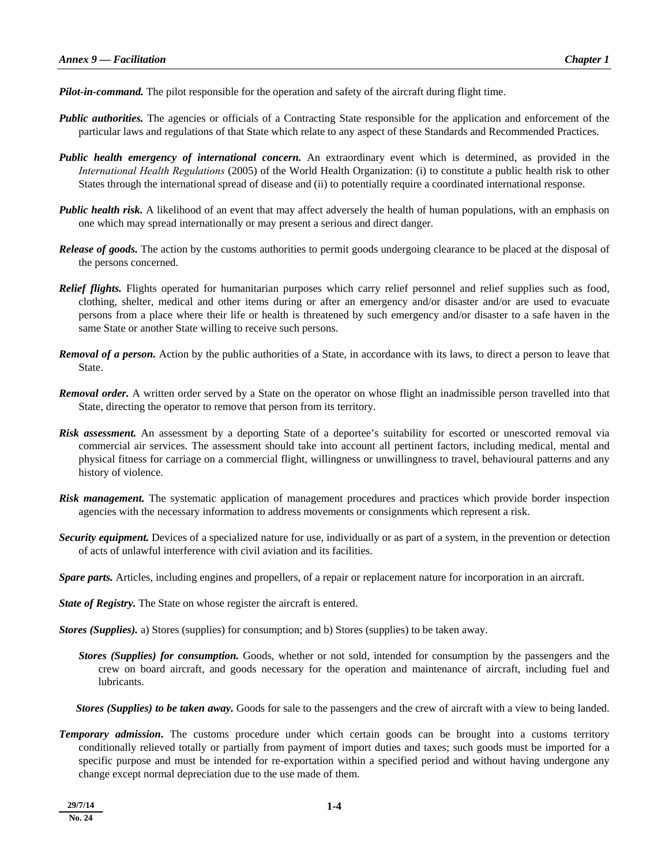*Pilot-in-command.* The pilot responsible for the operation and safety of the aircraft during flight time.

- *Public authorities*. The agencies or officials of a Contracting State responsible for the application and enforcement of the particular laws and regulations of that State which relate to any aspect of these Standards and Recommended Practices.
- *Public health emergency of international concern.* An extraordinary event which is determined, as provided in the *International Health Regulations* (2005) of the World Health Organization: (i) to constitute a public health risk to other States through the international spread of disease and (ii) to potentially require a coordinated international response.
- *Public health risk.* A likelihood of an event that may affect adversely the health of human populations, with an emphasis on one which may spread internationally or may present a serious and direct danger.
- *Release of goods*. The action by the customs authorities to permit goods undergoing clearance to be placed at the disposal of the persons concerned.
- *Relief flights*. Flights operated for humanitarian purposes which carry relief personnel and relief supplies such as food, clothing, shelter, medical and other items during or after an emergency and/or disaster and/or are used to evacuate persons from a place where their life or health is threatened by such emergency and/or disaster to a safe haven in the same State or another State willing to receive such persons.
- *Removal of a person.* Action by the public authorities of a State, in accordance with its laws, to direct a person to leave that State.
- *Removal order.* A written order served by a State on the operator on whose flight an inadmissible person travelled into that State, directing the operator to remove that person from its territory.
- *Risk assessment.* An assessment by a deporting State of a deportee's suitability for escorted or unescorted removal via commercial air services. The assessment should take into account all pertinent factors, including medical, mental and physical fitness for carriage on a commercial flight, willingness or unwillingness to travel, behavioural patterns and any history of violence.
- *Risk management.* The systematic application of management procedures and practices which provide border inspection agencies with the necessary information to address movements or consignments which represent a risk.
- *Security equipment.* Devices of a specialized nature for use, individually or as part of a system, in the prevention or detection of acts of unlawful interference with civil aviation and its facilities.
- *Spare parts.* Articles, including engines and propellers, of a repair or replacement nature for incorporation in an aircraft.

*State of Registry.* The State on whose register the aircraft is entered.

- *Stores (Supplies).* a) Stores (supplies) for consumption; and b) Stores (supplies) to be taken away.
	- *Stores (Supplies) for consumption.* Goods, whether or not sold, intended for consumption by the passengers and the crew on board aircraft, and goods necessary for the operation and maintenance of aircraft, including fuel and lubricants.
	- *Stores (Supplies) to be taken away.* Goods for sale to the passengers and the crew of aircraft with a view to being landed.
- *Temporary admission***.** The customs procedure under which certain goods can be brought into a customs territory conditionally relieved totally or partially from payment of import duties and taxes; such goods must be imported for a specific purpose and must be intended for re-exportation within a specified period and without having undergone any change except normal depreciation due to the use made of them.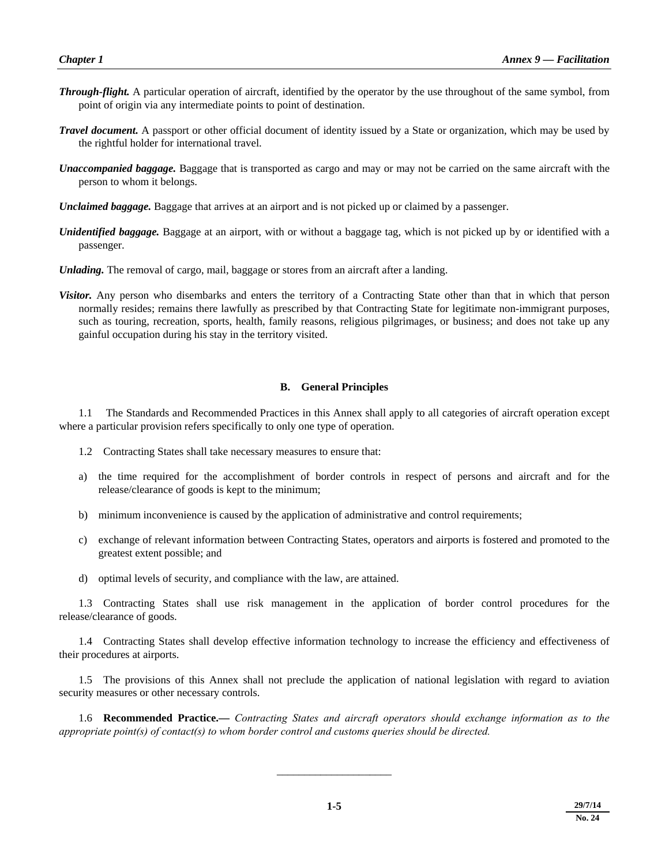- *Through-flight.* A particular operation of aircraft, identified by the operator by the use throughout of the same symbol, from point of origin via any intermediate points to point of destination.
- *Travel document.* A passport or other official document of identity issued by a State or organization, which may be used by the rightful holder for international travel.
- *Unaccompanied baggage.* Baggage that is transported as cargo and may or may not be carried on the same aircraft with the person to whom it belongs.
- *Unclaimed baggage.* Baggage that arrives at an airport and is not picked up or claimed by a passenger.
- *Unidentified baggage.* Baggage at an airport, with or without a baggage tag, which is not picked up by or identified with a passenger.
- *Unlading.* The removal of cargo, mail, baggage or stores from an aircraft after a landing.
- *Visitor.* Any person who disembarks and enters the territory of a Contracting State other than that in which that person normally resides; remains there lawfully as prescribed by that Contracting State for legitimate non-immigrant purposes, such as touring, recreation, sports, health, family reasons, religious pilgrimages, or business; and does not take up any gainful occupation during his stay in the territory visited.

# **B. General Principles**

 1.1 The Standards and Recommended Practices in this Annex shall apply to all categories of aircraft operation except where a particular provision refers specifically to only one type of operation.

- 1.2 Contracting States shall take necessary measures to ensure that:
- a) the time required for the accomplishment of border controls in respect of persons and aircraft and for the release/clearance of goods is kept to the minimum;
- b) minimum inconvenience is caused by the application of administrative and control requirements;
- c) exchange of relevant information between Contracting States, operators and airports is fostered and promoted to the greatest extent possible; and
- d) optimal levels of security, and compliance with the law, are attained.

 1.3 Contracting States shall use risk management in the application of border control procedures for the release/clearance of goods.

 1.4 Contracting States shall develop effective information technology to increase the efficiency and effectiveness of their procedures at airports.

 1.5 The provisions of this Annex shall not preclude the application of national legislation with regard to aviation security measures or other necessary controls.

 1.6 **Recommended Practice.—** *Contracting States and aircraft operators should exchange information as to the appropriate point(s) of contact(s) to whom border control and customs queries should be directed.* 

\_\_\_\_\_\_\_\_\_\_\_\_\_\_\_\_\_\_\_\_\_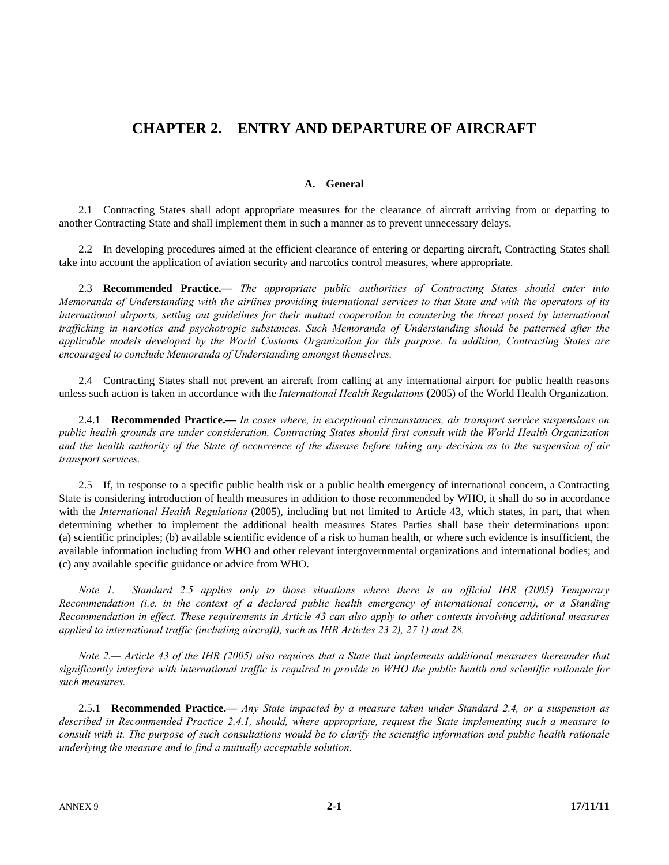# **CHAPTER 2. ENTRY AND DEPARTURE OF AIRCRAFT**

# **A. General**

 2.1 Contracting States shall adopt appropriate measures for the clearance of aircraft arriving from or departing to another Contracting State and shall implement them in such a manner as to prevent unnecessary delays.

 2.2 In developing procedures aimed at the efficient clearance of entering or departing aircraft, Contracting States shall take into account the application of aviation security and narcotics control measures, where appropriate.

 2.3 **Recommended Practice.—** *The appropriate public authorities of Contracting States should enter into Memoranda of Understanding with the airlines providing international services to that State and with the operators of its international airports, setting out guidelines for their mutual cooperation in countering the threat posed by international trafficking in narcotics and psychotropic substances. Such Memoranda of Understanding should be patterned after the applicable models developed by the World Customs Organization for this purpose. In addition, Contracting States are encouraged to conclude Memoranda of Understanding amongst themselves.* 

 2.4 Contracting States shall not prevent an aircraft from calling at any international airport for public health reasons unless such action is taken in accordance with the *International Health Regulations* (2005) of the World Health Organization.

 2.4.1 **Recommended Practice.—** *In cases where, in exceptional circumstances, air transport service suspensions on public health grounds are under consideration, Contracting States should first consult with the World Health Organization and the health authority of the State of occurrence of the disease before taking any decision as to the suspension of air transport services.*

 2.5 If, in response to a specific public health risk or a public health emergency of international concern, a Contracting State is considering introduction of health measures in addition to those recommended by WHO, it shall do so in accordance with the *International Health Regulations* (2005), including but not limited to Article 43, which states, in part, that when determining whether to implement the additional health measures States Parties shall base their determinations upon: (a) scientific principles; (b) available scientific evidence of a risk to human health, or where such evidence is insufficient, the available information including from WHO and other relevant intergovernmental organizations and international bodies; and (c) any available specific guidance or advice from WHO.

 *Note 1.— Standard 2.5 applies only to those situations where there is an official IHR (2005) Temporary Recommendation (i.e. in the context of a declared public health emergency of international concern), or a Standing Recommendation in effect. These requirements in Article 43 can also apply to other contexts involving additional measures applied to international traffic (including aircraft), such as IHR Articles 23 2), 27 1) and 28.* 

 *Note 2.— Article 43 of the IHR (2005) also requires that a State that implements additional measures thereunder that significantly interfere with international traffic is required to provide to WHO the public health and scientific rationale for such measures.* 

 2.5.1 **Recommended Practice.—** *Any State impacted by a measure taken under Standard 2.4, or a suspension as described in Recommended Practice 2.4.1, should, where appropriate, request the State implementing such a measure to consult with it. The purpose of such consultations would be to clarify the scientific information and public health rationale underlying the measure and to find a mutually acceptable solution*.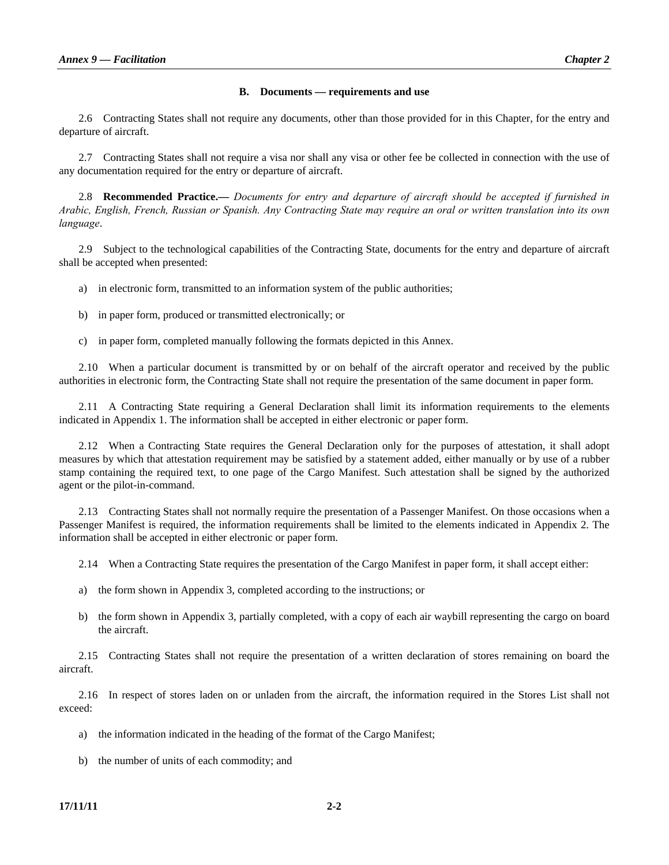# **B. Documents — requirements and use**

 2.6 Contracting States shall not require any documents, other than those provided for in this Chapter, for the entry and departure of aircraft.

 2.7 Contracting States shall not require a visa nor shall any visa or other fee be collected in connection with the use of any documentation required for the entry or departure of aircraft.

 2.8 **Recommended Practice.—** *Documents for entry and departure of aircraft should be accepted if furnished in Arabic, English, French, Russian or Spanish. Any Contracting State may require an oral or written translation into its own language*.

 2.9 Subject to the technological capabilities of the Contracting State, documents for the entry and departure of aircraft shall be accepted when presented:

a) in electronic form, transmitted to an information system of the public authorities;

b) in paper form, produced or transmitted electronically; or

c) in paper form, completed manually following the formats depicted in this Annex.

 2.10 When a particular document is transmitted by or on behalf of the aircraft operator and received by the public authorities in electronic form, the Contracting State shall not require the presentation of the same document in paper form.

 2.11 A Contracting State requiring a General Declaration shall limit its information requirements to the elements indicated in Appendix 1. The information shall be accepted in either electronic or paper form.

 2.12 When a Contracting State requires the General Declaration only for the purposes of attestation, it shall adopt measures by which that attestation requirement may be satisfied by a statement added, either manually or by use of a rubber stamp containing the required text, to one page of the Cargo Manifest. Such attestation shall be signed by the authorized agent or the pilot-in-command.

 2.13 Contracting States shall not normally require the presentation of a Passenger Manifest. On those occasions when a Passenger Manifest is required, the information requirements shall be limited to the elements indicated in Appendix 2. The information shall be accepted in either electronic or paper form.

2.14 When a Contracting State requires the presentation of the Cargo Manifest in paper form, it shall accept either:

- a) the form shown in Appendix 3, completed according to the instructions; or
- b) the form shown in Appendix 3, partially completed, with a copy of each air waybill representing the cargo on board the aircraft.

 2.15 Contracting States shall not require the presentation of a written declaration of stores remaining on board the aircraft.

 2.16 In respect of stores laden on or unladen from the aircraft, the information required in the Stores List shall not exceed:

a) the information indicated in the heading of the format of the Cargo Manifest;

b) the number of units of each commodity; and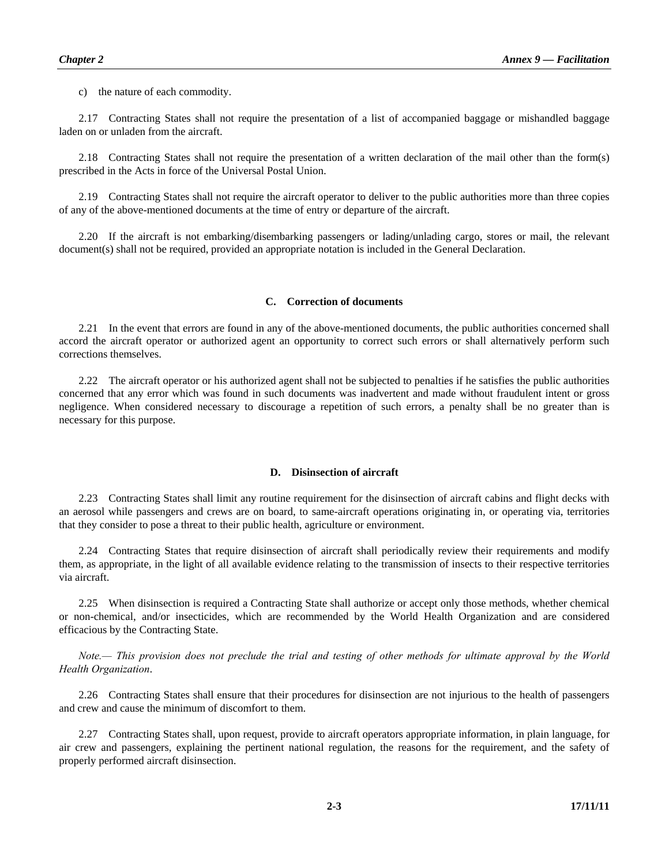c) the nature of each commodity.

 2.17 Contracting States shall not require the presentation of a list of accompanied baggage or mishandled baggage laden on or unladen from the aircraft.

 2.18 Contracting States shall not require the presentation of a written declaration of the mail other than the form(s) prescribed in the Acts in force of the Universal Postal Union.

 2.19 Contracting States shall not require the aircraft operator to deliver to the public authorities more than three copies of any of the above-mentioned documents at the time of entry or departure of the aircraft.

 2.20 If the aircraft is not embarking/disembarking passengers or lading/unlading cargo, stores or mail, the relevant document(s) shall not be required, provided an appropriate notation is included in the General Declaration.

#### **C. Correction of documents**

 2.21 In the event that errors are found in any of the above-mentioned documents, the public authorities concerned shall accord the aircraft operator or authorized agent an opportunity to correct such errors or shall alternatively perform such corrections themselves.

 2.22 The aircraft operator or his authorized agent shall not be subjected to penalties if he satisfies the public authorities concerned that any error which was found in such documents was inadvertent and made without fraudulent intent or gross negligence. When considered necessary to discourage a repetition of such errors, a penalty shall be no greater than is necessary for this purpose.

# **D. Disinsection of aircraft**

 2.23 Contracting States shall limit any routine requirement for the disinsection of aircraft cabins and flight decks with an aerosol while passengers and crews are on board, to same-aircraft operations originating in, or operating via, territories that they consider to pose a threat to their public health, agriculture or environment.

 2.24 Contracting States that require disinsection of aircraft shall periodically review their requirements and modify them, as appropriate, in the light of all available evidence relating to the transmission of insects to their respective territories via aircraft.

 2.25 When disinsection is required a Contracting State shall authorize or accept only those methods, whether chemical or non-chemical, and/or insecticides, which are recommended by the World Health Organization and are considered efficacious by the Contracting State.

 *Note.— This provision does not preclude the trial and testing of other methods for ultimate approval by the World Health Organization*.

 2.26 Contracting States shall ensure that their procedures for disinsection are not injurious to the health of passengers and crew and cause the minimum of discomfort to them.

 2.27 Contracting States shall, upon request, provide to aircraft operators appropriate information, in plain language, for air crew and passengers, explaining the pertinent national regulation, the reasons for the requirement, and the safety of properly performed aircraft disinsection.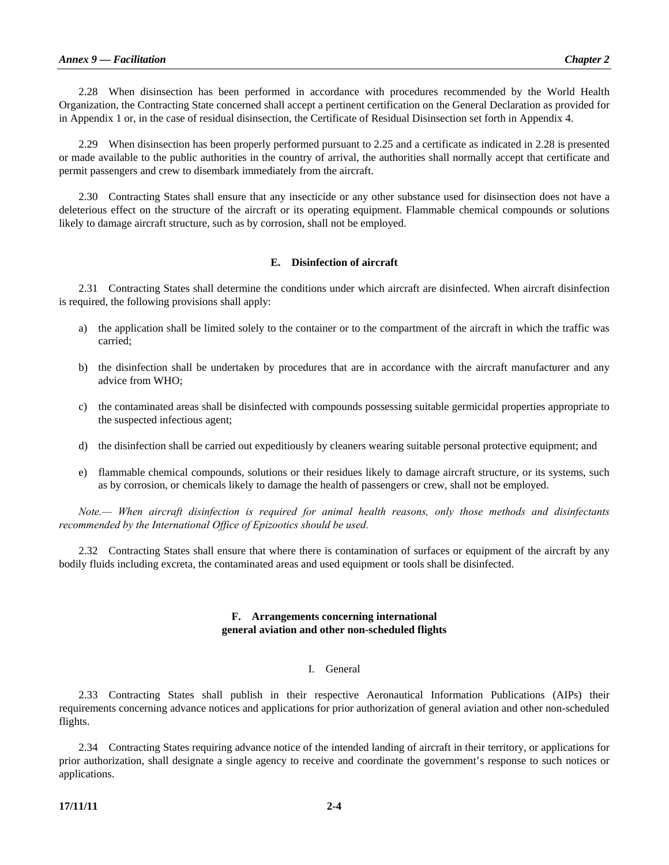2.28 When disinsection has been performed in accordance with procedures recommended by the World Health Organization, the Contracting State concerned shall accept a pertinent certification on the General Declaration as provided for in Appendix 1 or, in the case of residual disinsection, the Certificate of Residual Disinsection set forth in Appendix 4.

 2.29 When disinsection has been properly performed pursuant to 2.25 and a certificate as indicated in 2.28 is presented or made available to the public authorities in the country of arrival, the authorities shall normally accept that certificate and permit passengers and crew to disembark immediately from the aircraft.

 2.30 Contracting States shall ensure that any insecticide or any other substance used for disinsection does not have a deleterious effect on the structure of the aircraft or its operating equipment. Flammable chemical compounds or solutions likely to damage aircraft structure, such as by corrosion, shall not be employed.

# **E. Disinfection of aircraft**

 2.31 Contracting States shall determine the conditions under which aircraft are disinfected. When aircraft disinfection is required, the following provisions shall apply:

- a) the application shall be limited solely to the container or to the compartment of the aircraft in which the traffic was carried;
- b) the disinfection shall be undertaken by procedures that are in accordance with the aircraft manufacturer and any advice from WHO;
- c) the contaminated areas shall be disinfected with compounds possessing suitable germicidal properties appropriate to the suspected infectious agent;
- d) the disinfection shall be carried out expeditiously by cleaners wearing suitable personal protective equipment; and
- e) flammable chemical compounds, solutions or their residues likely to damage aircraft structure, or its systems, such as by corrosion, or chemicals likely to damage the health of passengers or crew, shall not be employed.

 *Note.— When aircraft disinfection is required for animal health reasons, only those methods and disinfectants recommended by the International Office of Epizootics should be used.* 

 2.32 Contracting States shall ensure that where there is contamination of surfaces or equipment of the aircraft by any bodily fluids including excreta, the contaminated areas and used equipment or tools shall be disinfected.

# **F. Arrangements concerning international general aviation and other non-scheduled flights**

## I. General

 2.33 Contracting States shall publish in their respective Aeronautical Information Publications (AIPs) their requirements concerning advance notices and applications for prior authorization of general aviation and other non-scheduled flights.

 2.34 Contracting States requiring advance notice of the intended landing of aircraft in their territory, or applications for prior authorization, shall designate a single agency to receive and coordinate the government's response to such notices or applications.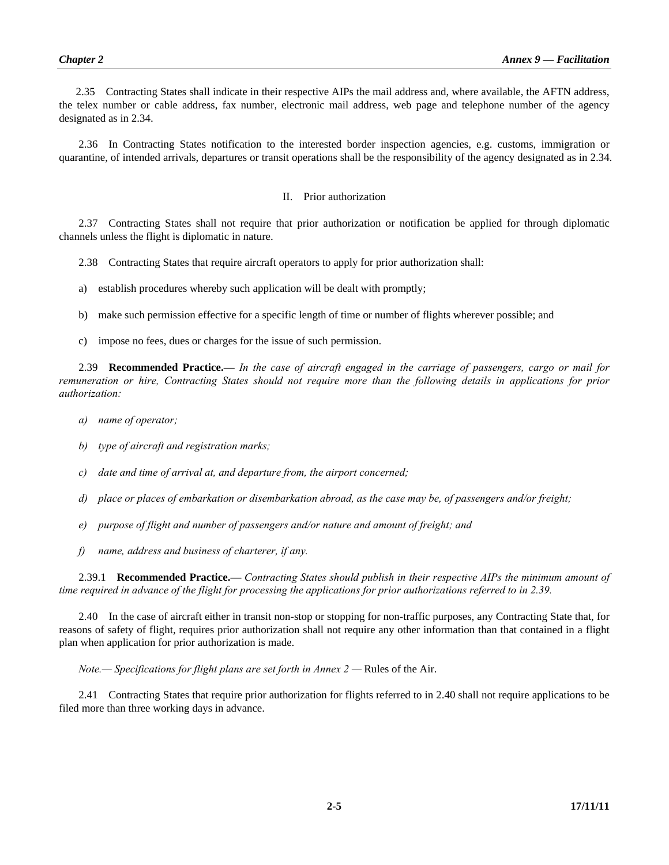2.35 Contracting States shall indicate in their respective AIPs the mail address and, where available, the AFTN address, the telex number or cable address, fax number, electronic mail address, web page and telephone number of the agency designated as in 2.34.

 2.36 In Contracting States notification to the interested border inspection agencies, e.g. customs, immigration or quarantine, of intended arrivals, departures or transit operations shall be the responsibility of the agency designated as in 2.34.

# II. Prior authorization

 2.37 Contracting States shall not require that prior authorization or notification be applied for through diplomatic channels unless the flight is diplomatic in nature.

2.38 Contracting States that require aircraft operators to apply for prior authorization shall:

a) establish procedures whereby such application will be dealt with promptly;

b) make such permission effective for a specific length of time or number of flights wherever possible; and

c) impose no fees, dues or charges for the issue of such permission.

 2.39 **Recommended Practice.—** *In the case of aircraft engaged in the carriage of passengers, cargo or mail for remuneration or hire, Contracting States should not require more than the following details in applications for prior authorization:* 

- *a) name of operator;*
- *b) type of aircraft and registration marks;*
- *c) date and time of arrival at, and departure from, the airport concerned;*
- *d) place or places of embarkation or disembarkation abroad, as the case may be, of passengers and/or freight;*
- *e) purpose of flight and number of passengers and/or nature and amount of freight; and*
- *f) name, address and business of charterer, if any.*

 2.39.1 **Recommended Practice.—** *Contracting States should publish in their respective AIPs the minimum amount of time required in advance of the flight for processing the applications for prior authorizations referred to in 2.39.* 

 2.40 In the case of aircraft either in transit non-stop or stopping for non-traffic purposes, any Contracting State that, for reasons of safety of flight, requires prior authorization shall not require any other information than that contained in a flight plan when application for prior authorization is made.

*Note.— Specifications for flight plans are set forth in Annex 2 — Rules of the Air.* 

 2.41 Contracting States that require prior authorization for flights referred to in 2.40 shall not require applications to be filed more than three working days in advance.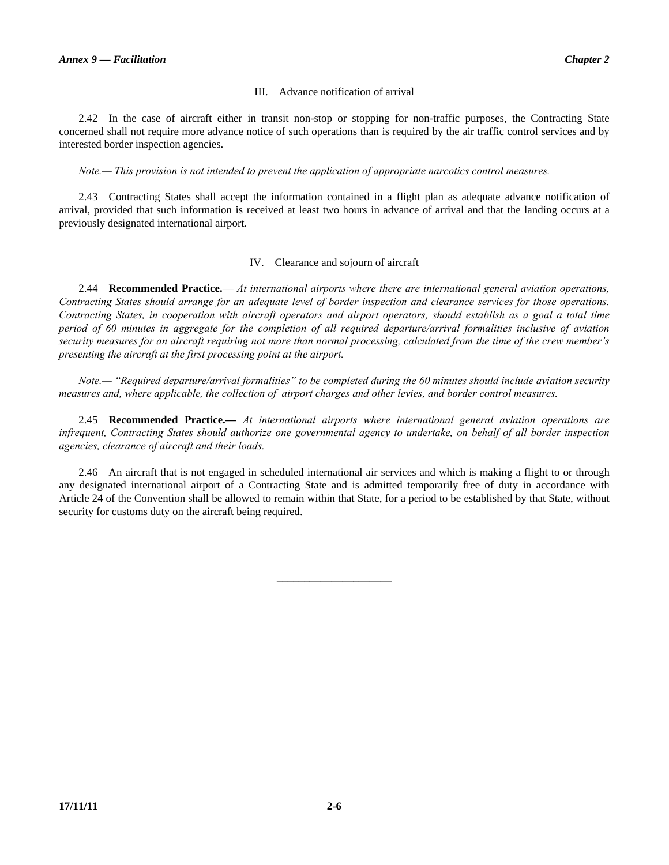# III. Advance notification of arrival

 2.42 In the case of aircraft either in transit non-stop or stopping for non-traffic purposes, the Contracting State concerned shall not require more advance notice of such operations than is required by the air traffic control services and by interested border inspection agencies.

 *Note.— This provision is not intended to prevent the application of appropriate narcotics control measures.* 

 2.43 Contracting States shall accept the information contained in a flight plan as adequate advance notification of arrival, provided that such information is received at least two hours in advance of arrival and that the landing occurs at a previously designated international airport.

# IV. Clearance and sojourn of aircraft

 2.44 **Recommended Practice.**— *At international airports where there are international general aviation operations, Contracting States should arrange for an adequate level of border inspection and clearance services for those operations. Contracting States, in cooperation with aircraft operators and airport operators, should establish as a goal a total time period of 60 minutes in aggregate for the completion of all required departure/arrival formalities inclusive of aviation security measures for an aircraft requiring not more than normal processing, calculated from the time of the crew member's presenting the aircraft at the first processing point at the airport.* 

 *Note.— "Required departure/arrival formalities" to be completed during the 60 minutes should include aviation security measures and, where applicable, the collection of airport charges and other levies, and border control measures.*

 2.45 **Recommended Practice.—** *At international airports where international general aviation operations are infrequent, Contracting States should authorize one governmental agency to undertake, on behalf of all border inspection agencies, clearance of aircraft and their loads.* 

 2.46 An aircraft that is not engaged in scheduled international air services and which is making a flight to or through any designated international airport of a Contracting State and is admitted temporarily free of duty in accordance with Article 24 of the Convention shall be allowed to remain within that State, for a period to be established by that State, without security for customs duty on the aircraft being required.

\_\_\_\_\_\_\_\_\_\_\_\_\_\_\_\_\_\_\_\_\_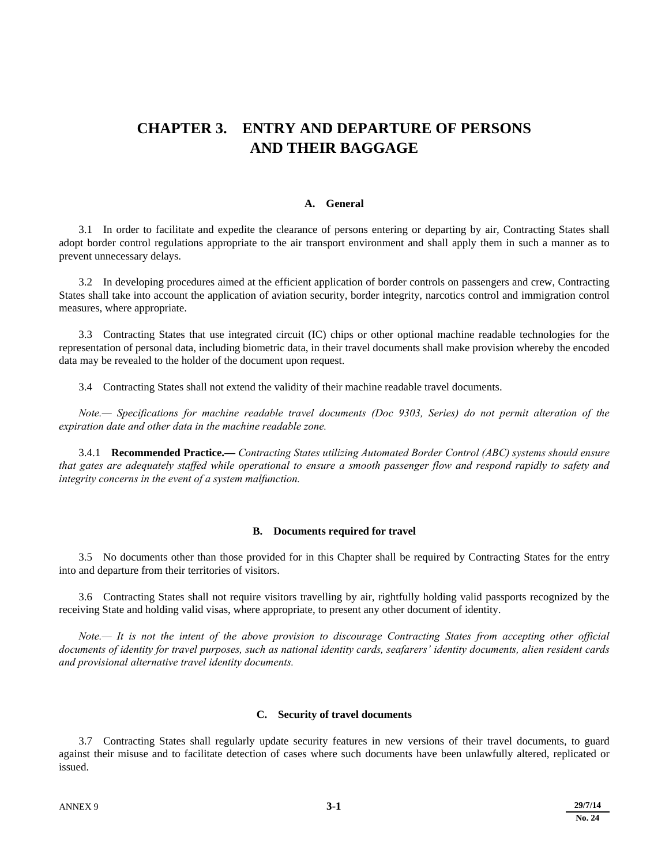# **CHAPTER 3. ENTRY AND DEPARTURE OF PERSONS AND THEIR BAGGAGE**

# **A. General**

 3.1 In order to facilitate and expedite the clearance of persons entering or departing by air, Contracting States shall adopt border control regulations appropriate to the air transport environment and shall apply them in such a manner as to prevent unnecessary delays.

 3.2 In developing procedures aimed at the efficient application of border controls on passengers and crew, Contracting States shall take into account the application of aviation security, border integrity, narcotics control and immigration control measures, where appropriate.

 3.3 Contracting States that use integrated circuit (IC) chips or other optional machine readable technologies for the representation of personal data, including biometric data, in their travel documents shall make provision whereby the encoded data may be revealed to the holder of the document upon request.

3.4 Contracting States shall not extend the validity of their machine readable travel documents.

*Note.— Specifications for machine readable travel documents (Doc 9303, Series) do not permit alteration of the expiration date and other data in the machine readable zone.* 

 3.4.1 **Recommended Practice.—** *Contracting States utilizing Automated Border Control (ABC) systems should ensure that gates are adequately staffed while operational to ensure a smooth passenger flow and respond rapidly to safety and integrity concerns in the event of a system malfunction.*

## **B. Documents required for travel**

 3.5 No documents other than those provided for in this Chapter shall be required by Contracting States for the entry into and departure from their territories of visitors.

 3.6 Contracting States shall not require visitors travelling by air, rightfully holding valid passports recognized by the receiving State and holding valid visas, where appropriate, to present any other document of identity.

*Note.— It is not the intent of the above provision to discourage Contracting States from accepting other official documents of identity for travel purposes, such as national identity cards, seafarers' identity documents, alien resident cards and provisional alternative travel identity documents.*

### **C. Security of travel documents**

 3.7 Contracting States shall regularly update security features in new versions of their travel documents, to guard against their misuse and to facilitate detection of cases where such documents have been unlawfully altered, replicated or issued.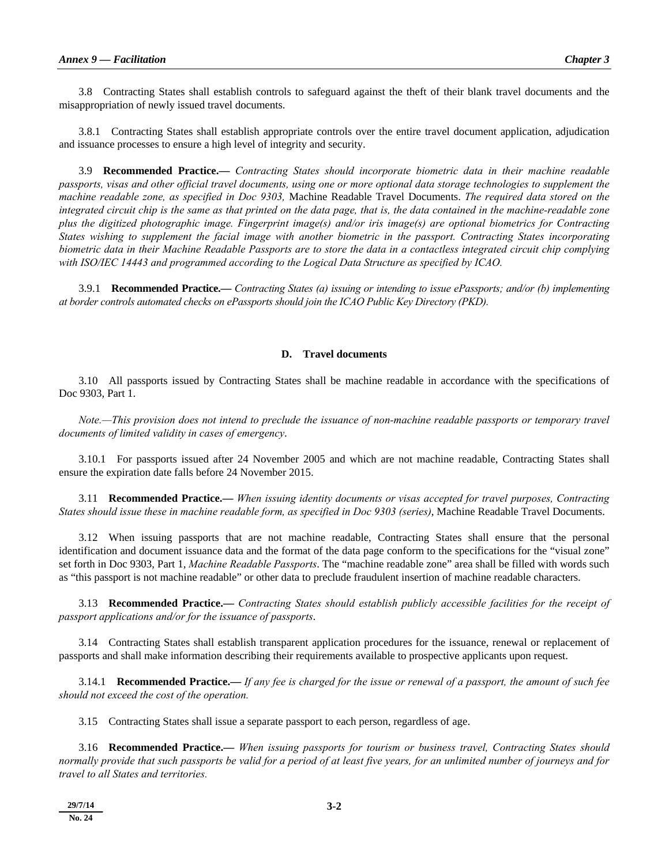3.8 Contracting States shall establish controls to safeguard against the theft of their blank travel documents and the misappropriation of newly issued travel documents.

 3.8.1 Contracting States shall establish appropriate controls over the entire travel document application, adjudication and issuance processes to ensure a high level of integrity and security.

 3.9 **Recommended Practice.—** *Contracting States should incorporate biometric data in their machine readable passports, visas and other official travel documents, using one or more optional data storage technologies to supplement the machine readable zone, as specified in Doc 9303,* Machine Readable Travel Documents. *The required data stored on the integrated circuit chip is the same as that printed on the data page, that is, the data contained in the machine-readable zone plus the digitized photographic image. Fingerprint image(s) and/or iris image(s) are optional biometrics for Contracting States wishing to supplement the facial image with another biometric in the passport. Contracting States incorporating biometric data in their Machine Readable Passports are to store the data in a contactless integrated circuit chip complying with ISO/IEC 14443 and programmed according to the Logical Data Structure as specified by ICAO.* 

 3.9.1 **Recommended Practice.—** *Contracting States (a) issuing or intending to issue ePassports; and/or (b) implementing at border controls automated checks on ePassports should join the ICAO Public Key Directory (PKD).* 

# **D. Travel documents**

 3.10 All passports issued by Contracting States shall be machine readable in accordance with the specifications of Doc 9303, Part 1.

*Note.—This provision does not intend to preclude the issuance of non-machine readable passports or temporary travel documents of limited validity in cases of emergency*.

 3.10.1 For passports issued after 24 November 2005 and which are not machine readable, Contracting States shall ensure the expiration date falls before 24 November 2015.

 3.11 **Recommended Practice.—** *When issuing identity documents or visas accepted for travel purposes, Contracting States should issue these in machine readable form, as specified in Doc 9303 (series)*, Machine Readable Travel Documents.

 3.12 When issuing passports that are not machine readable, Contracting States shall ensure that the personal identification and document issuance data and the format of the data page conform to the specifications for the "visual zone" set forth in Doc 9303, Part 1, *Machine Readable Passports*. The "machine readable zone" area shall be filled with words such as "this passport is not machine readable" or other data to preclude fraudulent insertion of machine readable characters.

 3.13 **Recommended Practice.—** *Contracting States should establish publicly accessible facilities for the receipt of passport applications and/or for the issuance of passports*.

 3.14 Contracting States shall establish transparent application procedures for the issuance, renewal or replacement of passports and shall make information describing their requirements available to prospective applicants upon request.

 3.14.1 **Recommended Practice.—** *If any fee is charged for the issue or renewal of a passport, the amount of such fee should not exceed the cost of the operation.*

3.15 Contracting States shall issue a separate passport to each person, regardless of age.

 3.16 **Recommended Practice.—** *When issuing passports for tourism or business travel, Contracting States should normally provide that such passports be valid for a period of at least five years, for an unlimited number of journeys and for travel to all States and territories.*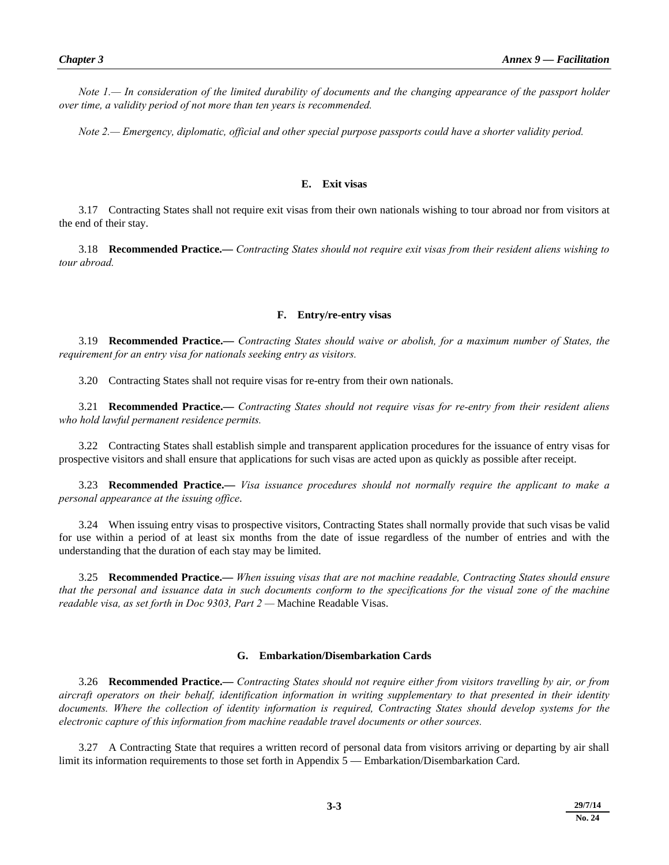*Note 1.— In consideration of the limited durability of documents and the changing appearance of the passport holder over time, a validity period of not more than ten years is recommended.* 

*Note 2.— Emergency, diplomatic, official and other special purpose passports could have a shorter validity period.* 

# **E. Exit visas**

 3.17 Contracting States shall not require exit visas from their own nationals wishing to tour abroad nor from visitors at the end of their stay.

 3.18 **Recommended Practice.—** *Contracting States should not require exit visas from their resident aliens wishing to tour abroad.* 

# **F. Entry/re-entry visas**

 3.19 **Recommended Practice.—** *Contracting States should waive or abolish, for a maximum number of States, the requirement for an entry visa for nationals seeking entry as visitors.*

3.20 Contracting States shall not require visas for re-entry from their own nationals.

 3.21 **Recommended Practice.—** *Contracting States should not require visas for re-entry from their resident aliens who hold lawful permanent residence permits.*

 3.22 Contracting States shall establish simple and transparent application procedures for the issuance of entry visas for prospective visitors and shall ensure that applications for such visas are acted upon as quickly as possible after receipt.

3.23 **Recommended Practice.—** *Visa issuance procedures should not normally require the applicant to make a personal appearance at the issuing office*.

 3.24 When issuing entry visas to prospective visitors, Contracting States shall normally provide that such visas be valid for use within a period of at least six months from the date of issue regardless of the number of entries and with the understanding that the duration of each stay may be limited.

 3.25 **Recommended Practice.—** *When issuing visas that are not machine readable, Contracting States should ensure that the personal and issuance data in such documents conform to the specifications for the visual zone of the machine readable visa, as set forth in Doc 9303, Part 2 —* Machine Readable Visas.

# **G. Embarkation/Disembarkation Cards**

 3.26 **Recommended Practice.—** *Contracting States should not require either from visitors travelling by air, or from aircraft operators on their behalf, identification information in writing supplementary to that presented in their identity documents. Where the collection of identity information is required, Contracting States should develop systems for the electronic capture of this information from machine readable travel documents or other sources.*

 3.27 A Contracting State that requires a written record of personal data from visitors arriving or departing by air shall limit its information requirements to those set forth in Appendix 5 — Embarkation/Disembarkation Card.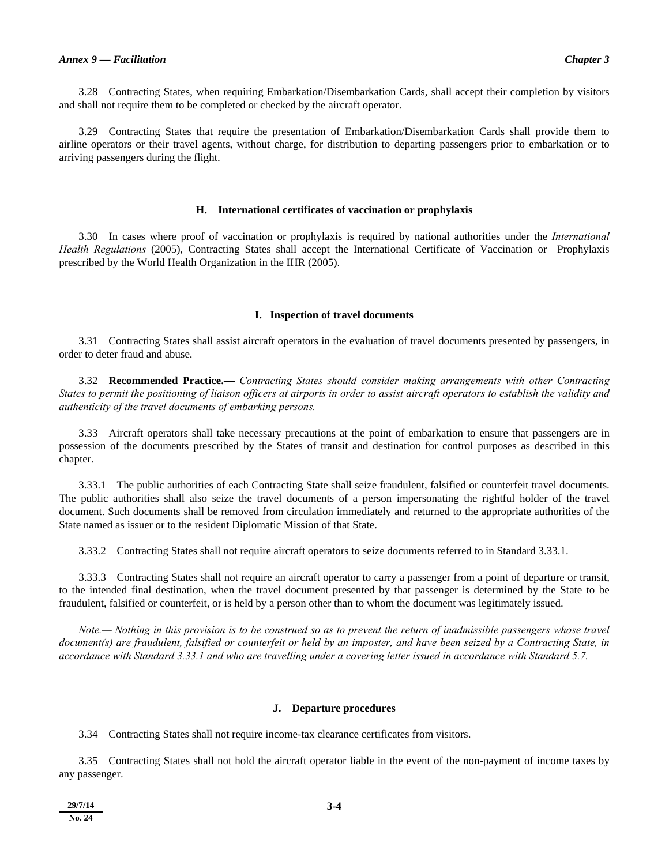3.28 Contracting States, when requiring Embarkation/Disembarkation Cards, shall accept their completion by visitors and shall not require them to be completed or checked by the aircraft operator.

 3.29 Contracting States that require the presentation of Embarkation/Disembarkation Cards shall provide them to airline operators or their travel agents, without charge, for distribution to departing passengers prior to embarkation or to arriving passengers during the flight.

# **H. International certificates of vaccination or prophylaxis**

 3.30 In cases where proof of vaccination or prophylaxis is required by national authorities under the *International Health Regulations* (2005), Contracting States shall accept the International Certificate of Vaccination or Prophylaxis prescribed by the World Health Organization in the IHR (2005).

### **I. Inspection of travel documents**

 3.31 Contracting States shall assist aircraft operators in the evaluation of travel documents presented by passengers, in order to deter fraud and abuse.

 3.32 **Recommended Practice.—** *Contracting States should consider making arrangements with other Contracting States to permit the positioning of liaison officers at airports in order to assist aircraft operators to establish the validity and authenticity of the travel documents of embarking persons.* 

 3.33 Aircraft operators shall take necessary precautions at the point of embarkation to ensure that passengers are in possession of the documents prescribed by the States of transit and destination for control purposes as described in this chapter.

 3.33.1 The public authorities of each Contracting State shall seize fraudulent, falsified or counterfeit travel documents. The public authorities shall also seize the travel documents of a person impersonating the rightful holder of the travel document. Such documents shall be removed from circulation immediately and returned to the appropriate authorities of the State named as issuer or to the resident Diplomatic Mission of that State.

3.33.2 Contracting States shall not require aircraft operators to seize documents referred to in Standard 3.33.1.

 3.33.3 Contracting States shall not require an aircraft operator to carry a passenger from a point of departure or transit, to the intended final destination, when the travel document presented by that passenger is determined by the State to be fraudulent, falsified or counterfeit, or is held by a person other than to whom the document was legitimately issued.

*Note.— Nothing in this provision is to be construed so as to prevent the return of inadmissible passengers whose travel document(s) are fraudulent, falsified or counterfeit or held by an imposter, and have been seized by a Contracting State, in accordance with Standard 3.33.1 and who are travelling under a covering letter issued in accordance with Standard 5.7.* 

## **J. Departure procedures**

3.34 Contracting States shall not require income-tax clearance certificates from visitors.

 3.35 Contracting States shall not hold the aircraft operator liable in the event of the non-payment of income taxes by any passenger.

**17/114 17/114 17/114 17/114 29/7/14 No. 24**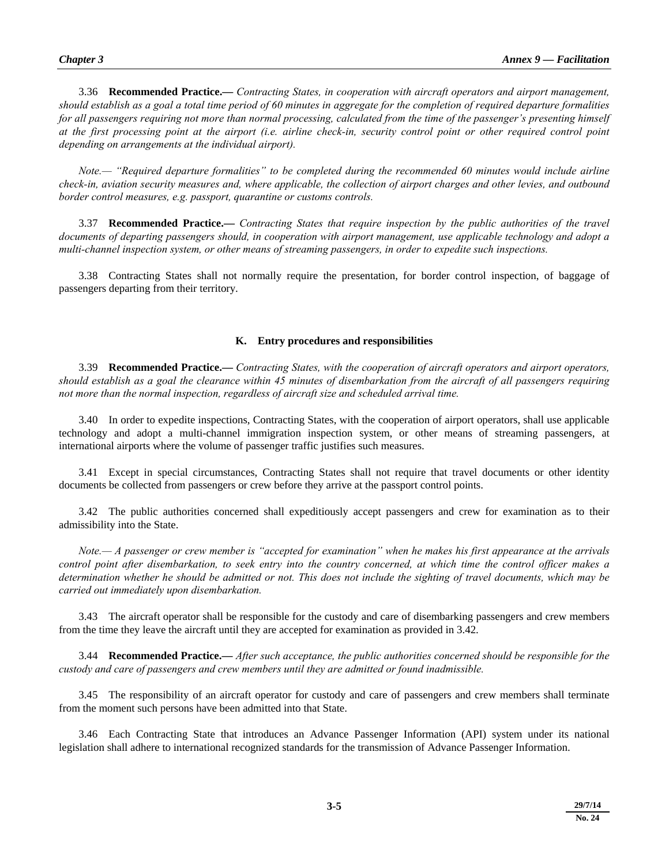3.36 **Recommended Practice.—** *Contracting States, in cooperation with aircraft operators and airport management, should establish as a goal a total time period of 60 minutes in aggregate for the completion of required departure formalities for all passengers requiring not more than normal processing, calculated from the time of the passenger's presenting himself at the first processing point at the airport (i.e. airline check-in, security control point or other required control point depending on arrangements at the individual airport).*

*Note.— "Required departure formalities" to be completed during the recommended 60 minutes would include airline check-in, aviation security measures and, where applicable, the collection of airport charges and other levies, and outbound border control measures, e.g. passport, quarantine or customs controls.*

 3.37 **Recommended Practice.—** *Contracting States that require inspection by the public authorities of the travel documents of departing passengers should, in cooperation with airport management, use applicable technology and adopt a multi-channel inspection system, or other means of streaming passengers, in order to expedite such inspections.*

 3.38 Contracting States shall not normally require the presentation, for border control inspection, of baggage of passengers departing from their territory.

# **K. Entry procedures and responsibilities**

 3.39 **Recommended Practice.—** *Contracting States, with the cooperation of aircraft operators and airport operators, should establish as a goal the clearance within 45 minutes of disembarkation from the aircraft of all passengers requiring not more than the normal inspection, regardless of aircraft size and scheduled arrival time.*

3.40 In order to expedite inspections, Contracting States, with the cooperation of airport operators, shall use applicable technology and adopt a multi-channel immigration inspection system, or other means of streaming passengers, at international airports where the volume of passenger traffic justifies such measures.

 3.41 Except in special circumstances, Contracting States shall not require that travel documents or other identity documents be collected from passengers or crew before they arrive at the passport control points.

 3.42 The public authorities concerned shall expeditiously accept passengers and crew for examination as to their admissibility into the State.

*Note.— A passenger or crew member is "accepted for examination" when he makes his first appearance at the arrivals control point after disembarkation, to seek entry into the country concerned, at which time the control officer makes a determination whether he should be admitted or not. This does not include the sighting of travel documents, which may be carried out immediately upon disembarkation.* 

 3.43 The aircraft operator shall be responsible for the custody and care of disembarking passengers and crew members from the time they leave the aircraft until they are accepted for examination as provided in 3.42.

 3.44 **Recommended Practice.—** *After such acceptance, the public authorities concerned should be responsible for the custody and care of passengers and crew members until they are admitted or found inadmissible.* 

 3.45 The responsibility of an aircraft operator for custody and care of passengers and crew members shall terminate from the moment such persons have been admitted into that State.

 3.46 Each Contracting State that introduces an Advance Passenger Information (API) system under its national legislation shall adhere to international recognized standards for the transmission of Advance Passenger Information.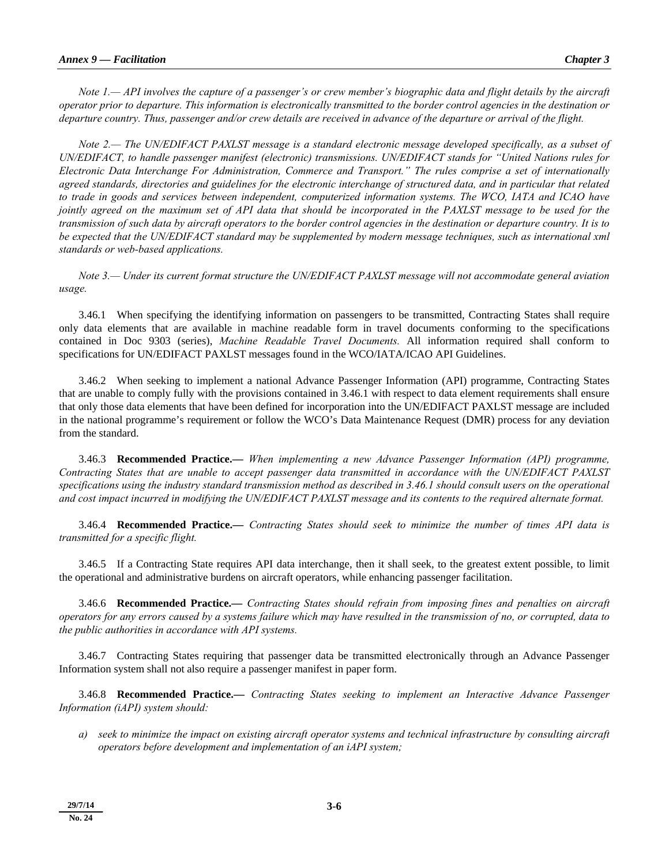*Note 1.— API involves the capture of a passenger's or crew member's biographic data and flight details by the aircraft operator prior to departure. This information is electronically transmitted to the border control agencies in the destination or departure country. Thus, passenger and/or crew details are received in advance of the departure or arrival of the flight.* 

 *Note 2.— The UN/EDIFACT PAXLST message is a standard electronic message developed specifically, as a subset of UN/EDIFACT, to handle passenger manifest (electronic) transmissions. UN/EDIFACT stands for "United Nations rules for Electronic Data Interchange For Administration, Commerce and Transport." The rules comprise a set of internationally agreed standards, directories and guidelines for the electronic interchange of structured data, and in particular that related*  to trade in goods and services between independent, computerized information systems. The WCO, IATA and ICAO have *jointly agreed on the maximum set of API data that should be incorporated in the PAXLST message to be used for the transmission of such data by aircraft operators to the border control agencies in the destination or departure country. It is to be expected that the UN/EDIFACT standard may be supplemented by modern message techniques, such as international xml standards or web-based applications.* 

 *Note 3.— Under its current format structure the UN/EDIFACT PAXLST message will not accommodate general aviation usage.*

3.46.1 When specifying the identifying information on passengers to be transmitted, Contracting States shall require only data elements that are available in machine readable form in travel documents conforming to the specifications contained in Doc 9303 (series), *Machine Readable Travel Documents.* All information required shall conform to specifications for UN/EDIFACT PAXLST messages found in the WCO/IATA/ICAO API Guidelines.

 3.46.2 When seeking to implement a national Advance Passenger Information (API) programme, Contracting States that are unable to comply fully with the provisions contained in 3.46.1 with respect to data element requirements shall ensure that only those data elements that have been defined for incorporation into the UN/EDIFACT PAXLST message are included in the national programme's requirement or follow the WCO's Data Maintenance Request (DMR) process for any deviation from the standard.

 3.46.3 **Recommended Practice.—** *When implementing a new Advance Passenger Information (API) programme, Contracting States that are unable to accept passenger data transmitted in accordance with the UN/EDIFACT PAXLST specifications using the industry standard transmission method as described in 3.46.1 should consult users on the operational and cost impact incurred in modifying the UN/EDIFACT PAXLST message and its contents to the required alternate format.* 

 3.46.4 **Recommended Practice.—** *Contracting States should seek to minimize the number of times API data is transmitted for a specific flight.*

3.46.5 If a Contracting State requires API data interchange, then it shall seek, to the greatest extent possible, to limit the operational and administrative burdens on aircraft operators, while enhancing passenger facilitation.

 3.46.6 **Recommended Practice.—** *Contracting States should refrain from imposing fines and penalties on aircraft operators for any errors caused by a systems failure which may have resulted in the transmission of no, or corrupted, data to the public authorities in accordance with API systems.* 

 3.46.7 Contracting States requiring that passenger data be transmitted electronically through an Advance Passenger Information system shall not also require a passenger manifest in paper form.

 3.46.8 **Recommended Practice.—** *Contracting States seeking to implement an Interactive Advance Passenger Information (iAPI) system should:*

*a) seek to minimize the impact on existing aircraft operator systems and technical infrastructure by consulting aircraft operators before development and implementation of an iAPI system;*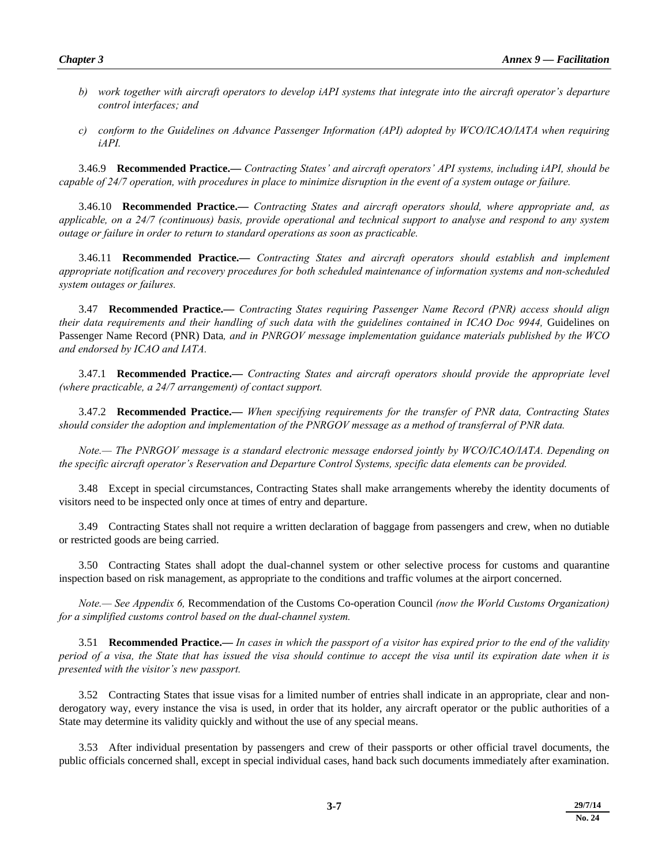- *b) work together with aircraft operators to develop iAPI systems that integrate into the aircraft operator's departure control interfaces; and*
- *c) conform to the Guidelines on Advance Passenger Information (API) adopted by WCO/ICAO/IATA when requiring iAPI.*

 3.46.9 **Recommended Practice.—** *Contracting States' and aircraft operators' API systems, including iAPI, should be capable of 24/7 operation, with procedures in place to minimize disruption in the event of a system outage or failure.*

 3.46.10 **Recommended Practice.—** *Contracting States and aircraft operators should, where appropriate and, as applicable, on a 24/7 (continuous) basis, provide operational and technical support to analyse and respond to any system outage or failure in order to return to standard operations as soon as practicable.*

 3.46.11 **Recommended Practice.—** *Contracting States and aircraft operators should establish and implement appropriate notification and recovery procedures for both scheduled maintenance of information systems and non-scheduled system outages or failures.*

 3.47 **Recommended Practice.—** *Contracting States requiring Passenger Name Record (PNR) access should align their data requirements and their handling of such data with the guidelines contained in ICAO Doc 9944,* Guidelines on Passenger Name Record (PNR) Data*, and in PNRGOV message implementation guidance materials published by the WCO and endorsed by ICAO and IATA.* 

 3.47.1 **Recommended Practice.—** *Contracting States and aircraft operators should provide the appropriate level (where practicable, a 24/7 arrangement) of contact support.*

 3.47.2 **Recommended Practice.—** *When specifying requirements for the transfer of PNR data, Contracting States should consider the adoption and implementation of the PNRGOV message as a method of transferral of PNR data.*

*Note.— The PNRGOV message is a standard electronic message endorsed jointly by WCO/ICAO/IATA. Depending on the specific aircraft operator's Reservation and Departure Control Systems, specific data elements can be provided.* 

 3.48 Except in special circumstances, Contracting States shall make arrangements whereby the identity documents of visitors need to be inspected only once at times of entry and departure.

 3.49 Contracting States shall not require a written declaration of baggage from passengers and crew, when no dutiable or restricted goods are being carried.

 3.50 Contracting States shall adopt the dual-channel system or other selective process for customs and quarantine inspection based on risk management, as appropriate to the conditions and traffic volumes at the airport concerned.

*Note.— See Appendix 6,* Recommendation of the Customs Co-operation Council *(now the World Customs Organization) for a simplified customs control based on the dual-channel system.* 

 3.51 **Recommended Practice.—** *In cases in which the passport of a visitor has expired prior to the end of the validity period of a visa, the State that has issued the visa should continue to accept the visa until its expiration date when it is presented with the visitor's new passport.*

 3.52 Contracting States that issue visas for a limited number of entries shall indicate in an appropriate, clear and nonderogatory way, every instance the visa is used, in order that its holder, any aircraft operator or the public authorities of a State may determine its validity quickly and without the use of any special means.

 3.53 After individual presentation by passengers and crew of their passports or other official travel documents, the public officials concerned shall, except in special individual cases, hand back such documents immediately after examination.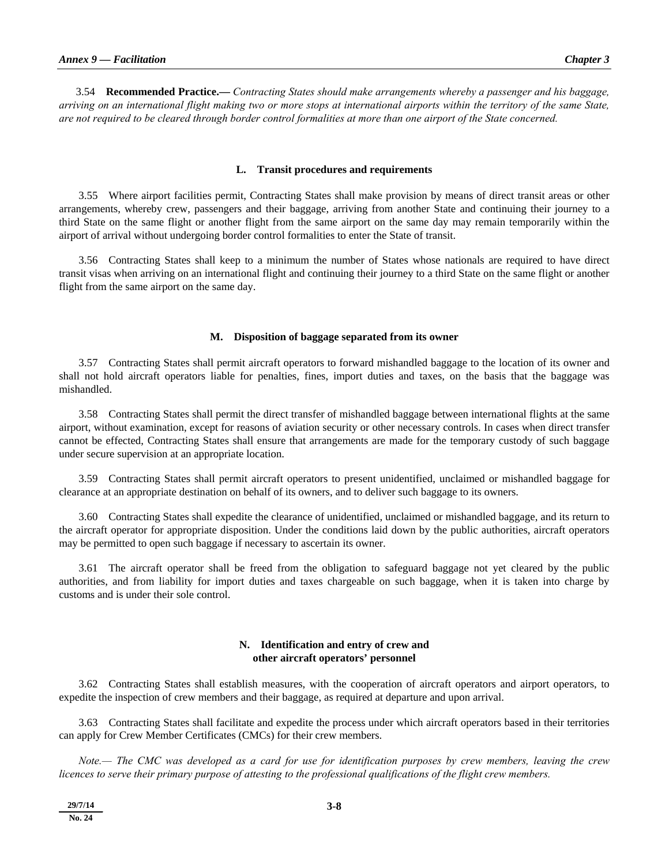3.54 **Recommended Practice.—** *Contracting States should make arrangements whereby a passenger and his baggage, arriving on an international flight making two or more stops at international airports within the territory of the same State, are not required to be cleared through border control formalities at more than one airport of the State concerned.* 

### **L. Transit procedures and requirements**

 3.55 Where airport facilities permit, Contracting States shall make provision by means of direct transit areas or other arrangements, whereby crew, passengers and their baggage, arriving from another State and continuing their journey to a third State on the same flight or another flight from the same airport on the same day may remain temporarily within the airport of arrival without undergoing border control formalities to enter the State of transit.

 3.56 Contracting States shall keep to a minimum the number of States whose nationals are required to have direct transit visas when arriving on an international flight and continuing their journey to a third State on the same flight or another flight from the same airport on the same day.

## **M. Disposition of baggage separated from its owner**

 3.57 Contracting States shall permit aircraft operators to forward mishandled baggage to the location of its owner and shall not hold aircraft operators liable for penalties, fines, import duties and taxes, on the basis that the baggage was mishandled.

 3.58 Contracting States shall permit the direct transfer of mishandled baggage between international flights at the same airport, without examination, except for reasons of aviation security or other necessary controls. In cases when direct transfer cannot be effected, Contracting States shall ensure that arrangements are made for the temporary custody of such baggage under secure supervision at an appropriate location.

 3.59 Contracting States shall permit aircraft operators to present unidentified, unclaimed or mishandled baggage for clearance at an appropriate destination on behalf of its owners, and to deliver such baggage to its owners.

 3.60 Contracting States shall expedite the clearance of unidentified, unclaimed or mishandled baggage, and its return to the aircraft operator for appropriate disposition. Under the conditions laid down by the public authorities, aircraft operators may be permitted to open such baggage if necessary to ascertain its owner.

 3.61 The aircraft operator shall be freed from the obligation to safeguard baggage not yet cleared by the public authorities, and from liability for import duties and taxes chargeable on such baggage, when it is taken into charge by customs and is under their sole control.

# **N. Identification and entry of crew and other aircraft operators' personnel**

 3.62 Contracting States shall establish measures, with the cooperation of aircraft operators and airport operators, to expedite the inspection of crew members and their baggage, as required at departure and upon arrival.

 3.63 Contracting States shall facilitate and expedite the process under which aircraft operators based in their territories can apply for Crew Member Certificates (CMCs) for their crew members.

*Note.— The CMC was developed as a card for use for identification purposes by crew members, leaving the crew licences to serve their primary purpose of attesting to the professional qualifications of the flight crew members.*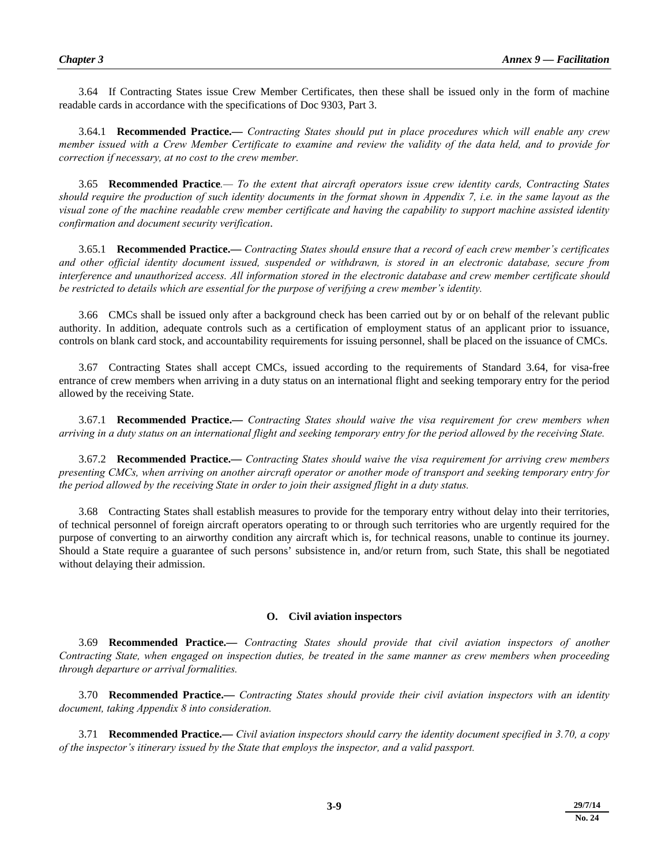3.64 If Contracting States issue Crew Member Certificates, then these shall be issued only in the form of machine readable cards in accordance with the specifications of Doc 9303, Part 3.

 3.64.1 **Recommended Practice.—** *Contracting States should put in place procedures which will enable any crew member issued with a Crew Member Certificate to examine and review the validity of the data held, and to provide for correction if necessary, at no cost to the crew member.* 

 3.65 **Recommended Practice***.— To the extent that aircraft operators issue crew identity cards, Contracting States should require the production of such identity documents in the format shown in Appendix 7, i.e. in the same layout as the visual zone of the machine readable crew member certificate and having the capability to support machine assisted identity confirmation and document security verification*.

 3.65.1 **Recommended Practice.—** *Contracting States should ensure that a record of each crew member's certificates and other official identity document issued, suspended or withdrawn, is stored in an electronic database, secure from interference and unauthorized access. All information stored in the electronic database and crew member certificate should be restricted to details which are essential for the purpose of verifying a crew member's identity.* 

 3.66 CMCs shall be issued only after a background check has been carried out by or on behalf of the relevant public authority. In addition, adequate controls such as a certification of employment status of an applicant prior to issuance, controls on blank card stock, and accountability requirements for issuing personnel, shall be placed on the issuance of CMCs.

 3.67 Contracting States shall accept CMCs, issued according to the requirements of Standard 3.64, for visa-free entrance of crew members when arriving in a duty status on an international flight and seeking temporary entry for the period allowed by the receiving State.

 3.67.1 **Recommended Practice.—** *Contracting States should waive the visa requirement for crew members when arriving in a duty status on an international flight and seeking temporary entry for the period allowed by the receiving State.* 

 3.67.2 **Recommended Practice.—** *Contracting States should waive the visa requirement for arriving crew members presenting CMCs, when arriving on another aircraft operator or another mode of transport and seeking temporary entry for the period allowed by the receiving State in order to join their assigned flight in a duty status.* 

 3.68 Contracting States shall establish measures to provide for the temporary entry without delay into their territories, of technical personnel of foreign aircraft operators operating to or through such territories who are urgently required for the purpose of converting to an airworthy condition any aircraft which is, for technical reasons, unable to continue its journey. Should a State require a guarantee of such persons' subsistence in, and/or return from, such State, this shall be negotiated without delaying their admission.

# **O. Civil aviation inspectors**

 3.69 **Recommended Practice.—** *Contracting States should provide that civil aviation inspectors of another Contracting State, when engaged on inspection duties, be treated in the same manner as crew members when proceeding through departure or arrival formalities.* 

 3.70 **Recommended Practice.—** *Contracting States should provide their civil aviation inspectors with an identity document, taking Appendix 8 into consideration.*

 3.71 **Recommended Practice.—** *Civil* a*viation inspectors should carry the identity document specified in 3.70, a copy of the inspector's itinerary issued by the State that employs the inspector, and a valid passport.*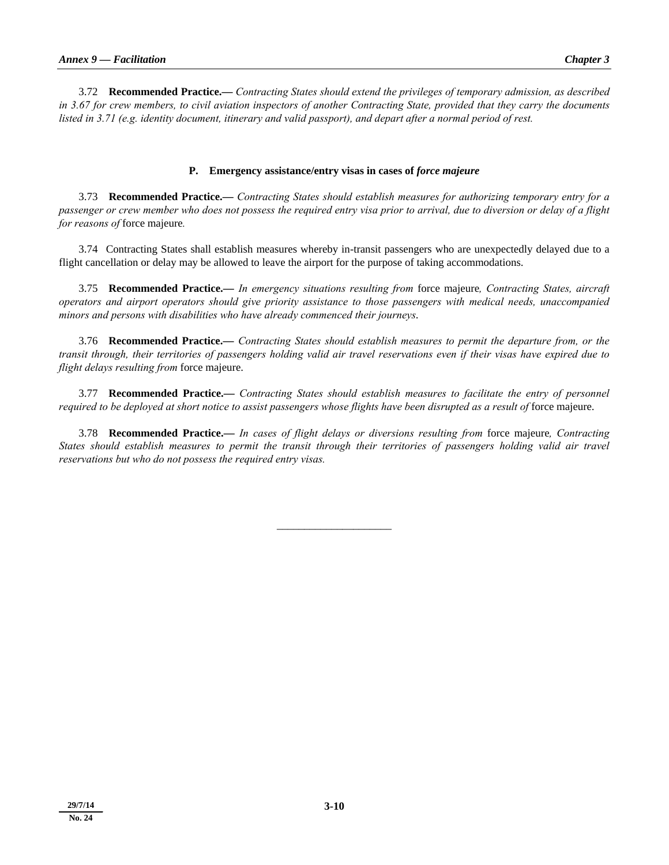3.72 **Recommended Practice.—** *Contracting States should extend the privileges of temporary admission, as described in 3.67 for crew members, to civil aviation inspectors of another Contracting State, provided that they carry the documents listed in 3.71 (e.g. identity document, itinerary and valid passport), and depart after a normal period of rest.* 

# **P.** Emergency assistance/entry visas in cases of *force majeure*

 3.73 **Recommended Practice.—** *Contracting States should establish measures for authorizing temporary entry for a passenger or crew member who does not possess the required entry visa prior to arrival, due to diversion or delay of a flight for reasons of* force majeure*.*

 3.74 Contracting States shall establish measures whereby in-transit passengers who are unexpectedly delayed due to a flight cancellation or delay may be allowed to leave the airport for the purpose of taking accommodations.

 3.75 **Recommended Practice.—** *In emergency situations resulting from* force majeure*, Contracting States, aircraft operators and airport operators should give priority assistance to those passengers with medical needs, unaccompanied minors and persons with disabilities who have already commenced their journeys*.

 3.76 **Recommended Practice.—** *Contracting States should establish measures to permit the departure from, or the transit through, their territories of passengers holding valid air travel reservations even if their visas have expired due to flight delays resulting from* force majeure.

 3.77 **Recommended Practice.—** *Contracting States should establish measures to facilitate the entry of personnel required to be deployed at short notice to assist passengers whose flights have been disrupted as a result of force majeure.* 

 3.78 **Recommended Practice.—** *In cases of flight delays or diversions resulting from* force majeure*, Contracting States should establish measures to permit the transit through their territories of passengers holding valid air travel reservations but who do not possess the required entry visas.*

\_\_\_\_\_\_\_\_\_\_\_\_\_\_\_\_\_\_\_\_\_

**17/114** 3-10 **29/7/14 No. 24**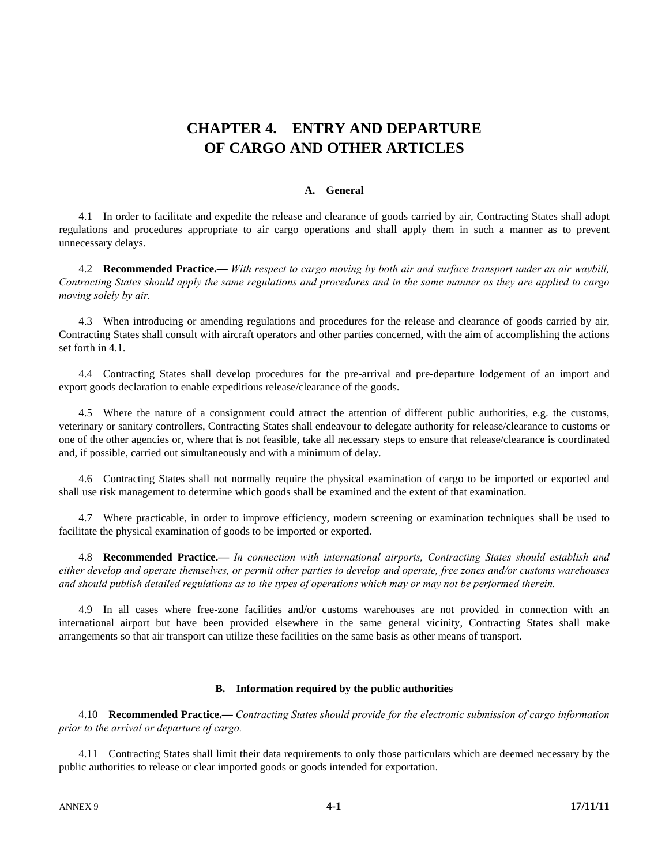# **CHAPTER 4. ENTRY AND DEPARTURE OF CARGO AND OTHER ARTICLES**

#### **A. General**

 4.1 In order to facilitate and expedite the release and clearance of goods carried by air, Contracting States shall adopt regulations and procedures appropriate to air cargo operations and shall apply them in such a manner as to prevent unnecessary delays.

 4.2 **Recommended Practice.—** *With respect to cargo moving by both air and surface transport under an air waybill, Contracting States should apply the same regulations and procedures and in the same manner as they are applied to cargo moving solely by air.* 

 4.3 When introducing or amending regulations and procedures for the release and clearance of goods carried by air, Contracting States shall consult with aircraft operators and other parties concerned, with the aim of accomplishing the actions set forth in 4.1.

 4.4 Contracting States shall develop procedures for the pre-arrival and pre-departure lodgement of an import and export goods declaration to enable expeditious release/clearance of the goods.

 4.5 Where the nature of a consignment could attract the attention of different public authorities, e.g. the customs, veterinary or sanitary controllers, Contracting States shall endeavour to delegate authority for release/clearance to customs or one of the other agencies or, where that is not feasible, take all necessary steps to ensure that release/clearance is coordinated and, if possible, carried out simultaneously and with a minimum of delay.

 4.6 Contracting States shall not normally require the physical examination of cargo to be imported or exported and shall use risk management to determine which goods shall be examined and the extent of that examination.

 4.7 Where practicable, in order to improve efficiency, modern screening or examination techniques shall be used to facilitate the physical examination of goods to be imported or exported.

 4.8 **Recommended Practice.—** *In connection with international airports, Contracting States should establish and either develop and operate themselves, or permit other parties to develop and operate, free zones and/or customs warehouses and should publish detailed regulations as to the types of operations which may or may not be performed therein.* 

 4.9 In all cases where free-zone facilities and/or customs warehouses are not provided in connection with an international airport but have been provided elsewhere in the same general vicinity, Contracting States shall make arrangements so that air transport can utilize these facilities on the same basis as other means of transport.

#### **B. Information required by the public authorities**

 4.10 **Recommended Practice.—** *Contracting States should provide for the electronic submission of cargo information prior to the arrival or departure of cargo.* 

 4.11 Contracting States shall limit their data requirements to only those particulars which are deemed necessary by the public authorities to release or clear imported goods or goods intended for exportation.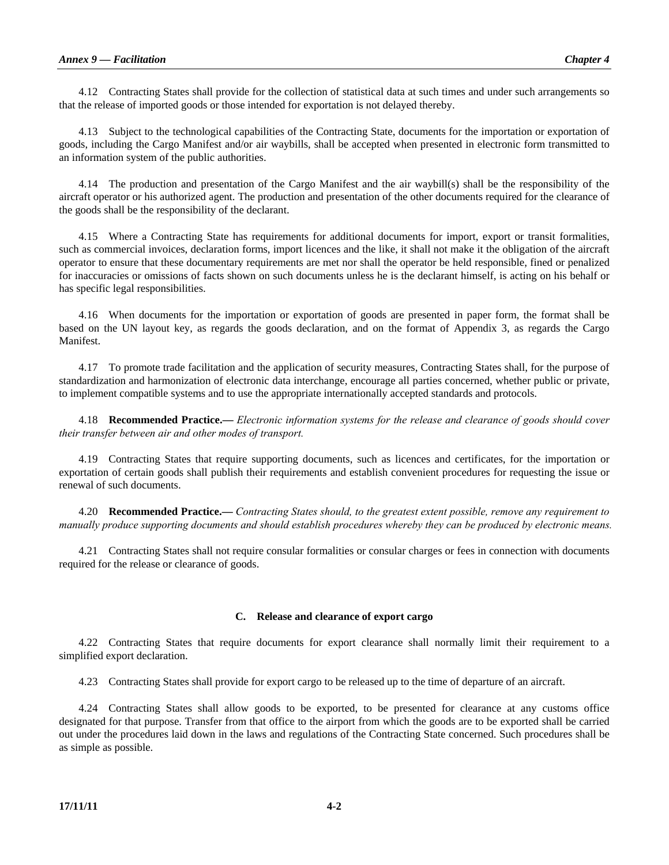4.12 Contracting States shall provide for the collection of statistical data at such times and under such arrangements so that the release of imported goods or those intended for exportation is not delayed thereby.

 4.13 Subject to the technological capabilities of the Contracting State, documents for the importation or exportation of goods, including the Cargo Manifest and/or air waybills, shall be accepted when presented in electronic form transmitted to an information system of the public authorities.

 4.14 The production and presentation of the Cargo Manifest and the air waybill(s) shall be the responsibility of the aircraft operator or his authorized agent. The production and presentation of the other documents required for the clearance of the goods shall be the responsibility of the declarant.

 4.15 Where a Contracting State has requirements for additional documents for import, export or transit formalities, such as commercial invoices, declaration forms, import licences and the like, it shall not make it the obligation of the aircraft operator to ensure that these documentary requirements are met nor shall the operator be held responsible, fined or penalized for inaccuracies or omissions of facts shown on such documents unless he is the declarant himself, is acting on his behalf or has specific legal responsibilities.

 4.16 When documents for the importation or exportation of goods are presented in paper form, the format shall be based on the UN layout key, as regards the goods declaration, and on the format of Appendix 3, as regards the Cargo Manifest.

 4.17 To promote trade facilitation and the application of security measures, Contracting States shall, for the purpose of standardization and harmonization of electronic data interchange, encourage all parties concerned, whether public or private, to implement compatible systems and to use the appropriate internationally accepted standards and protocols.

 4.18 **Recommended Practice.—** *Electronic information systems for the release and clearance of goods should cover their transfer between air and other modes of transport.* 

 4.19 Contracting States that require supporting documents, such as licences and certificates, for the importation or exportation of certain goods shall publish their requirements and establish convenient procedures for requesting the issue or renewal of such documents.

 4.20 **Recommended Practice.—** *Contracting States should, to the greatest extent possible, remove any requirement to manually produce supporting documents and should establish procedures whereby they can be produced by electronic means.* 

 4.21 Contracting States shall not require consular formalities or consular charges or fees in connection with documents required for the release or clearance of goods.

# **C. Release and clearance of export cargo**

 4.22 Contracting States that require documents for export clearance shall normally limit their requirement to a simplified export declaration.

4.23 Contracting States shall provide for export cargo to be released up to the time of departure of an aircraft.

 4.24 Contracting States shall allow goods to be exported, to be presented for clearance at any customs office designated for that purpose. Transfer from that office to the airport from which the goods are to be exported shall be carried out under the procedures laid down in the laws and regulations of the Contracting State concerned. Such procedures shall be as simple as possible.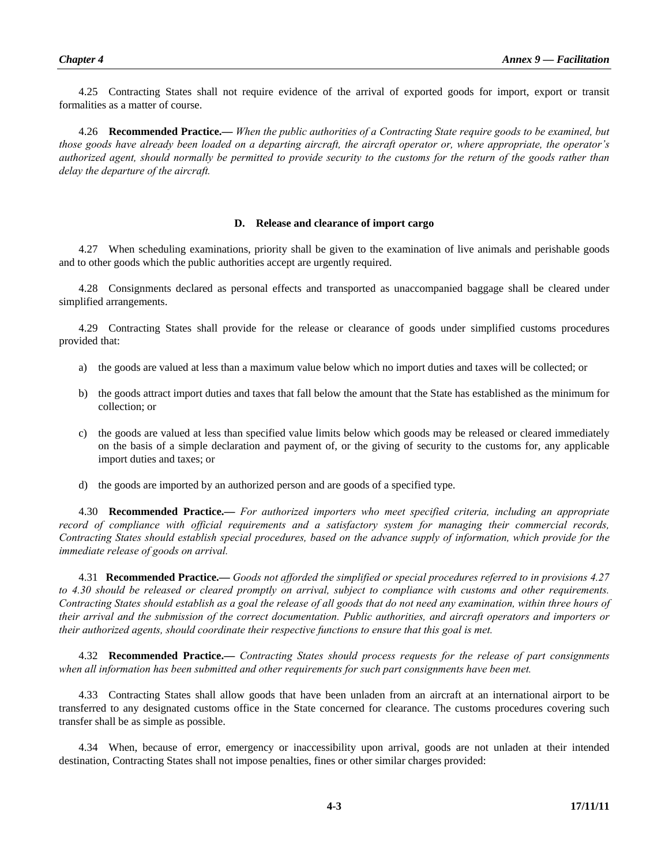4.25 Contracting States shall not require evidence of the arrival of exported goods for import, export or transit formalities as a matter of course.

 4.26 **Recommended Practice.—** *When the public authorities of a Contracting State require goods to be examined, but those goods have already been loaded on a departing aircraft, the aircraft operator or, where appropriate, the operator's authorized agent, should normally be permitted to provide security to the customs for the return of the goods rather than delay the departure of the aircraft.* 

#### **D. Release and clearance of import cargo**

 4.27 When scheduling examinations, priority shall be given to the examination of live animals and perishable goods and to other goods which the public authorities accept are urgently required.

 4.28 Consignments declared as personal effects and transported as unaccompanied baggage shall be cleared under simplified arrangements.

 4.29 Contracting States shall provide for the release or clearance of goods under simplified customs procedures provided that:

- a) the goods are valued at less than a maximum value below which no import duties and taxes will be collected; or
- b) the goods attract import duties and taxes that fall below the amount that the State has established as the minimum for collection; or
- c) the goods are valued at less than specified value limits below which goods may be released or cleared immediately on the basis of a simple declaration and payment of, or the giving of security to the customs for, any applicable import duties and taxes; or
- d) the goods are imported by an authorized person and are goods of a specified type.

 4.30 **Recommended Practice.—** *For authorized importers who meet specified criteria, including an appropriate record of compliance with official requirements and a satisfactory system for managing their commercial records, Contracting States should establish special procedures, based on the advance supply of information, which provide for the immediate release of goods on arrival.* 

 4.31 **Recommended Practice.—** *Goods not afforded the simplified or special procedures referred to in provisions 4.27 to 4.30 should be released or cleared promptly on arrival, subject to compliance with customs and other requirements. Contracting States should establish as a goal the release of all goods that do not need any examination, within three hours of their arrival and the submission of the correct documentation. Public authorities, and aircraft operators and importers or their authorized agents, should coordinate their respective functions to ensure that this goal is met.* 

 4.32 **Recommended Practice.—** *Contracting States should process requests for the release of part consignments when all information has been submitted and other requirements for such part consignments have been met.* 

 4.33 Contracting States shall allow goods that have been unladen from an aircraft at an international airport to be transferred to any designated customs office in the State concerned for clearance. The customs procedures covering such transfer shall be as simple as possible.

 4.34 When, because of error, emergency or inaccessibility upon arrival, goods are not unladen at their intended destination, Contracting States shall not impose penalties, fines or other similar charges provided: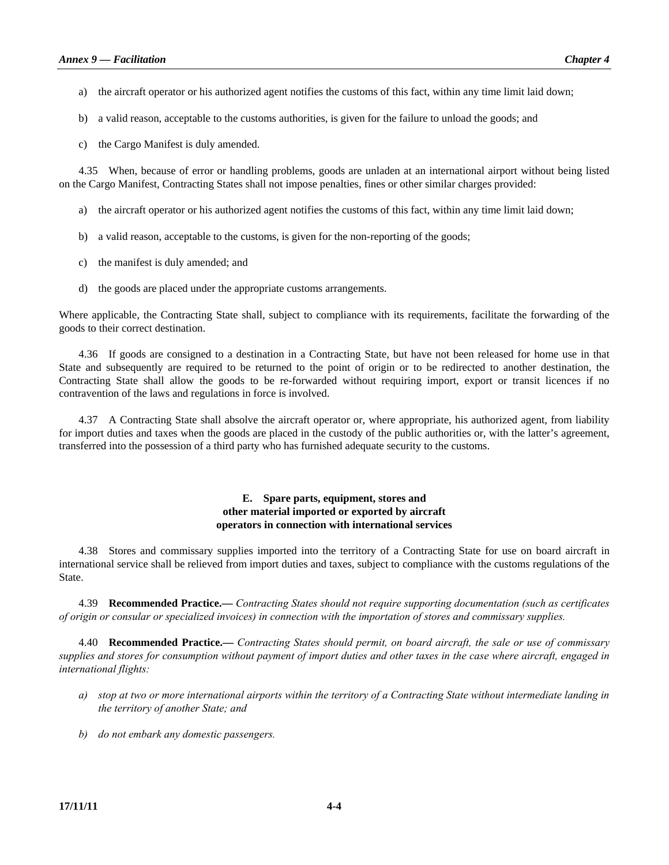- a) the aircraft operator or his authorized agent notifies the customs of this fact, within any time limit laid down;
- b) a valid reason, acceptable to the customs authorities, is given for the failure to unload the goods; and
- c) the Cargo Manifest is duly amended.

 4.35 When, because of error or handling problems, goods are unladen at an international airport without being listed on the Cargo Manifest, Contracting States shall not impose penalties, fines or other similar charges provided:

- a) the aircraft operator or his authorized agent notifies the customs of this fact, within any time limit laid down;
- b) a valid reason, acceptable to the customs, is given for the non-reporting of the goods;
- c) the manifest is duly amended; and
- d) the goods are placed under the appropriate customs arrangements.

Where applicable, the Contracting State shall, subject to compliance with its requirements, facilitate the forwarding of the goods to their correct destination.

 4.36 If goods are consigned to a destination in a Contracting State, but have not been released for home use in that State and subsequently are required to be returned to the point of origin or to be redirected to another destination, the Contracting State shall allow the goods to be re-forwarded without requiring import, export or transit licences if no contravention of the laws and regulations in force is involved.

 4.37 A Contracting State shall absolve the aircraft operator or, where appropriate, his authorized agent, from liability for import duties and taxes when the goods are placed in the custody of the public authorities or, with the latter's agreement, transferred into the possession of a third party who has furnished adequate security to the customs.

# **E. Spare parts, equipment, stores and other material imported or exported by aircraft operators in connection with international services**

 4.38 Stores and commissary supplies imported into the territory of a Contracting State for use on board aircraft in international service shall be relieved from import duties and taxes, subject to compliance with the customs regulations of the State.

 4.39 **Recommended Practice.—** *Contracting States should not require supporting documentation (such as certificates of origin or consular or specialized invoices) in connection with the importation of stores and commissary supplies.*

 4.40 **Recommended Practice.—** *Contracting States should permit, on board aircraft, the sale or use of commissary supplies and stores for consumption without payment of import duties and other taxes in the case where aircraft, engaged in international flights:*

- *a) stop at two or more international airports within the territory of a Contracting State without intermediate landing in the territory of another State; and*
- *b) do not embark any domestic passengers.*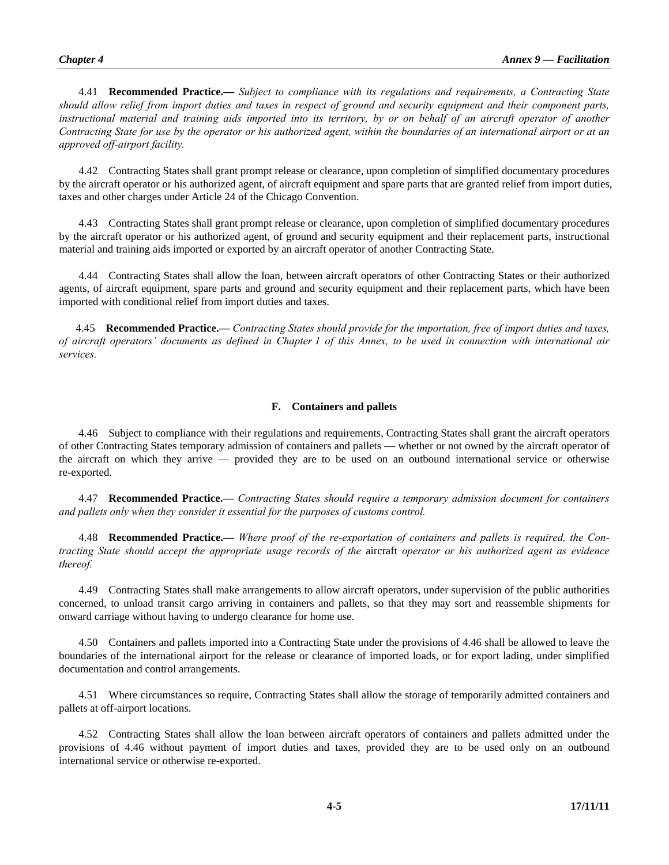4.41 **Recommended Practice.—** *Subject to compliance with its regulations and requirements, a Contracting State should allow relief from import duties and taxes in respect of ground and security equipment and their component parts,*  instructional material and training aids imported into its territory, by or on behalf of an aircraft operator of another *Contracting State for use by the operator or his authorized agent, within the boundaries of an international airport or at an approved off-airport facility.*

 4.42 Contracting States shall grant prompt release or clearance, upon completion of simplified documentary procedures by the aircraft operator or his authorized agent, of aircraft equipment and spare parts that are granted relief from import duties, taxes and other charges under Article 24 of the Chicago Convention.

 4.43 Contracting States shall grant prompt release or clearance, upon completion of simplified documentary procedures by the aircraft operator or his authorized agent, of ground and security equipment and their replacement parts, instructional material and training aids imported or exported by an aircraft operator of another Contracting State.

 4.44 Contracting States shall allow the loan, between aircraft operators of other Contracting States or their authorized agents, of aircraft equipment, spare parts and ground and security equipment and their replacement parts, which have been imported with conditional relief from import duties and taxes.

 4.45 **Recommended Practice.—** *Contracting States should provide for the importation, free of import duties and taxes, of aircraft operators' documents as defined in Chapter 1 of this Annex, to be used in connection with international air services.*

#### **F. Containers and pallets**

 4.46 Subject to compliance with their regulations and requirements, Contracting States shall grant the aircraft operators of other Contracting States temporary admission of containers and pallets — whether or not owned by the aircraft operator of the aircraft on which they arrive — provided they are to be used on an outbound international service or otherwise re-exported.

 4.47 **Recommended Practice.—** *Contracting States should require a temporary admission document for containers and pallets only when they consider it essential for the purposes of customs control.*

4.48 **Recommended Practice.—** *Where proof of the re-exportation of containers and pallets is required, the Contracting State should accept the appropriate usage records of the* aircraft *operator or his authorized agent as evidence thereof.*

 4.49 Contracting States shall make arrangements to allow aircraft operators, under supervision of the public authorities concerned, to unload transit cargo arriving in containers and pallets, so that they may sort and reassemble shipments for onward carriage without having to undergo clearance for home use.

 4.50 Containers and pallets imported into a Contracting State under the provisions of 4.46 shall be allowed to leave the boundaries of the international airport for the release or clearance of imported loads, or for export lading, under simplified documentation and control arrangements.

 4.51 Where circumstances so require, Contracting States shall allow the storage of temporarily admitted containers and pallets at off-airport locations.

 4.52 Contracting States shall allow the loan between aircraft operators of containers and pallets admitted under the provisions of 4.46 without payment of import duties and taxes, provided they are to be used only on an outbound international service or otherwise re-exported.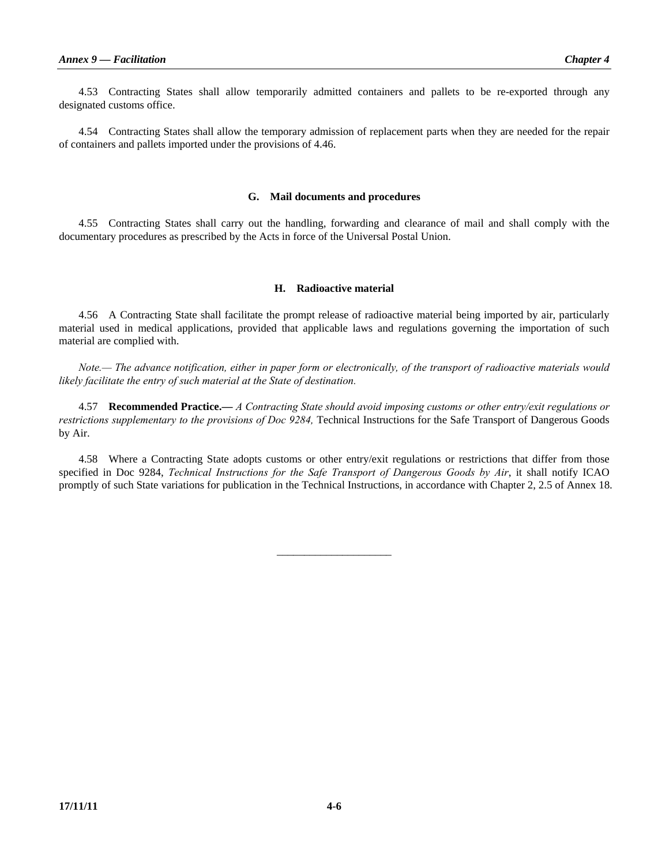4.53 Contracting States shall allow temporarily admitted containers and pallets to be re-exported through any designated customs office.

 4.54 Contracting States shall allow the temporary admission of replacement parts when they are needed for the repair of containers and pallets imported under the provisions of 4.46.

#### **G. Mail documents and procedures**

 4.55 Contracting States shall carry out the handling, forwarding and clearance of mail and shall comply with the documentary procedures as prescribed by the Acts in force of the Universal Postal Union.

#### **H. Radioactive material**

4.56 A Contracting State shall facilitate the prompt release of radioactive material being imported by air, particularly material used in medical applications, provided that applicable laws and regulations governing the importation of such material are complied with.

*Note.— The advance notification, either in paper form or electronically, of the transport of radioactive materials would likely facilitate the entry of such material at the State of destination.*

4.57 **Recommended Practice.—** *A Contracting State should avoid imposing customs or other entry/exit regulations or restrictions supplementary to the provisions of Doc 9284*, Technical Instructions for the Safe Transport of Dangerous Goods by Air.

 4.58 Where a Contracting State adopts customs or other entry/exit regulations or restrictions that differ from those specified in Doc 9284, *Technical Instructions for the Safe Transport of Dangerous Goods by Air*, it shall notify ICAO promptly of such State variations for publication in the Technical Instructions, in accordance with Chapter 2, 2.5 of Annex 18.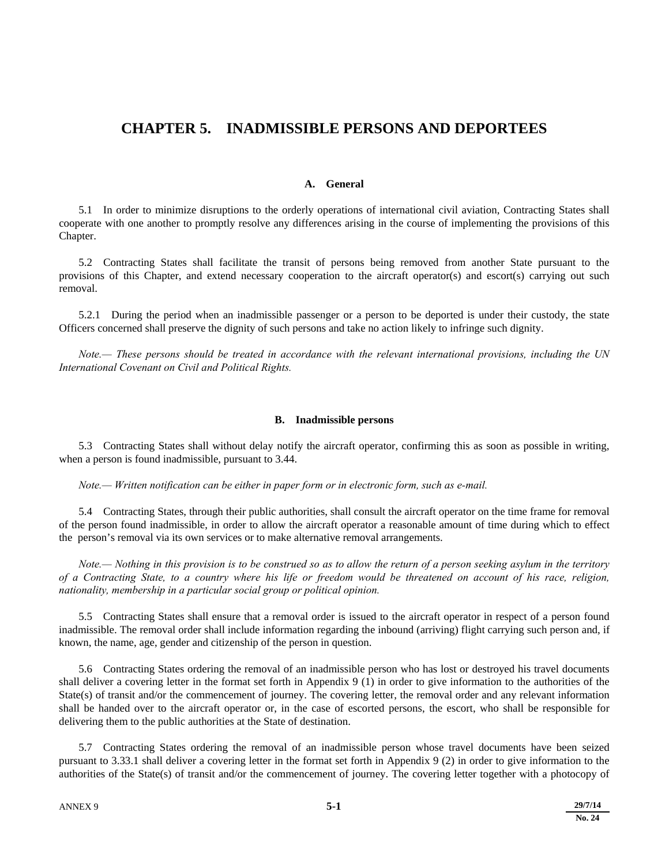# **CHAPTER 5. INADMISSIBLE PERSONS AND DEPORTEES**

#### **A. General**

 5.1 In order to minimize disruptions to the orderly operations of international civil aviation, Contracting States shall cooperate with one another to promptly resolve any differences arising in the course of implementing the provisions of this Chapter.

 5.2 Contracting States shall facilitate the transit of persons being removed from another State pursuant to the provisions of this Chapter, and extend necessary cooperation to the aircraft operator(s) and escort(s) carrying out such removal.

 5.2.1 During the period when an inadmissible passenger or a person to be deported is under their custody, the state Officers concerned shall preserve the dignity of such persons and take no action likely to infringe such dignity.

*Note.— These persons should be treated in accordance with the relevant international provisions, including the UN International Covenant on Civil and Political Rights.* 

#### **B. Inadmissible persons**

 5.3 Contracting States shall without delay notify the aircraft operator, confirming this as soon as possible in writing, when a person is found inadmissible, pursuant to 3.44.

*Note.— Written notification can be either in paper form or in electronic form, such as e-mail.* 

 5.4 Contracting States, through their public authorities, shall consult the aircraft operator on the time frame for removal of the person found inadmissible, in order to allow the aircraft operator a reasonable amount of time during which to effect the person's removal via its own services or to make alternative removal arrangements.

*Note.— Nothing in this provision is to be construed so as to allow the return of a person seeking asylum in the territory of a Contracting State, to a country where his life or freedom would be threatened on account of his race, religion, nationality, membership in a particular social group or political opinion.* 

 5.5 Contracting States shall ensure that a removal order is issued to the aircraft operator in respect of a person found inadmissible. The removal order shall include information regarding the inbound (arriving) flight carrying such person and, if known, the name, age, gender and citizenship of the person in question.

 5.6 Contracting States ordering the removal of an inadmissible person who has lost or destroyed his travel documents shall deliver a covering letter in the format set forth in Appendix 9 (1) in order to give information to the authorities of the State(s) of transit and/or the commencement of journey. The covering letter, the removal order and any relevant information shall be handed over to the aircraft operator or, in the case of escorted persons, the escort, who shall be responsible for delivering them to the public authorities at the State of destination.

 5.7 Contracting States ordering the removal of an inadmissible person whose travel documents have been seized pursuant to 3.33.1 shall deliver a covering letter in the format set forth in Appendix 9 (2) in order to give information to the authorities of the State(s) of transit and/or the commencement of journey. The covering letter together with a photocopy of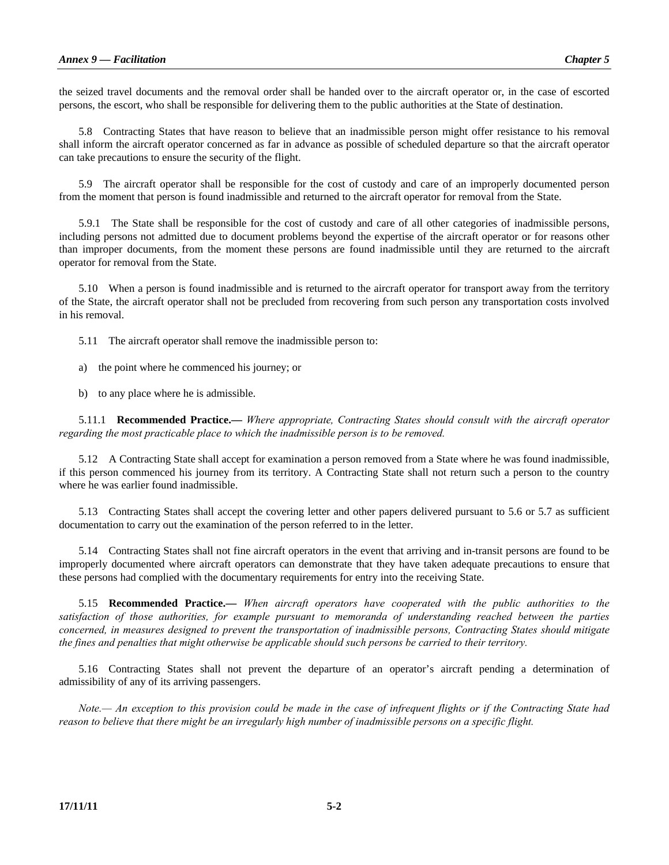the seized travel documents and the removal order shall be handed over to the aircraft operator or, in the case of escorted persons, the escort, who shall be responsible for delivering them to the public authorities at the State of destination.

 5.8 Contracting States that have reason to believe that an inadmissible person might offer resistance to his removal shall inform the aircraft operator concerned as far in advance as possible of scheduled departure so that the aircraft operator can take precautions to ensure the security of the flight.

 5.9 The aircraft operator shall be responsible for the cost of custody and care of an improperly documented person from the moment that person is found inadmissible and returned to the aircraft operator for removal from the State.

 5.9.1 The State shall be responsible for the cost of custody and care of all other categories of inadmissible persons, including persons not admitted due to document problems beyond the expertise of the aircraft operator or for reasons other than improper documents, from the moment these persons are found inadmissible until they are returned to the aircraft operator for removal from the State.

 5.10 When a person is found inadmissible and is returned to the aircraft operator for transport away from the territory of the State, the aircraft operator shall not be precluded from recovering from such person any transportation costs involved in his removal.

5.11 The aircraft operator shall remove the inadmissible person to:

- a) the point where he commenced his journey; or
- b) to any place where he is admissible.

 5.11.1 **Recommended Practice.—** *Where appropriate, Contracting States should consult with the aircraft operator regarding the most practicable place to which the inadmissible person is to be removed.* 

 5.12 A Contracting State shall accept for examination a person removed from a State where he was found inadmissible, if this person commenced his journey from its territory. A Contracting State shall not return such a person to the country where he was earlier found inadmissible.

 5.13 Contracting States shall accept the covering letter and other papers delivered pursuant to 5.6 or 5.7 as sufficient documentation to carry out the examination of the person referred to in the letter.

 5.14 Contracting States shall not fine aircraft operators in the event that arriving and in-transit persons are found to be improperly documented where aircraft operators can demonstrate that they have taken adequate precautions to ensure that these persons had complied with the documentary requirements for entry into the receiving State.

 5.15 **Recommended Practice.—** *When aircraft operators have cooperated with the public authorities to the satisfaction of those authorities, for example pursuant to memoranda of understanding reached between the parties concerned, in measures designed to prevent the transportation of inadmissible persons, Contracting States should mitigate the fines and penalties that might otherwise be applicable should such persons be carried to their territory.* 

 5.16 Contracting States shall not prevent the departure of an operator's aircraft pending a determination of admissibility of any of its arriving passengers.

*Note.— An exception to this provision could be made in the case of infrequent flights or if the Contracting State had reason to believe that there might be an irregularly high number of inadmissible persons on a specific flight.*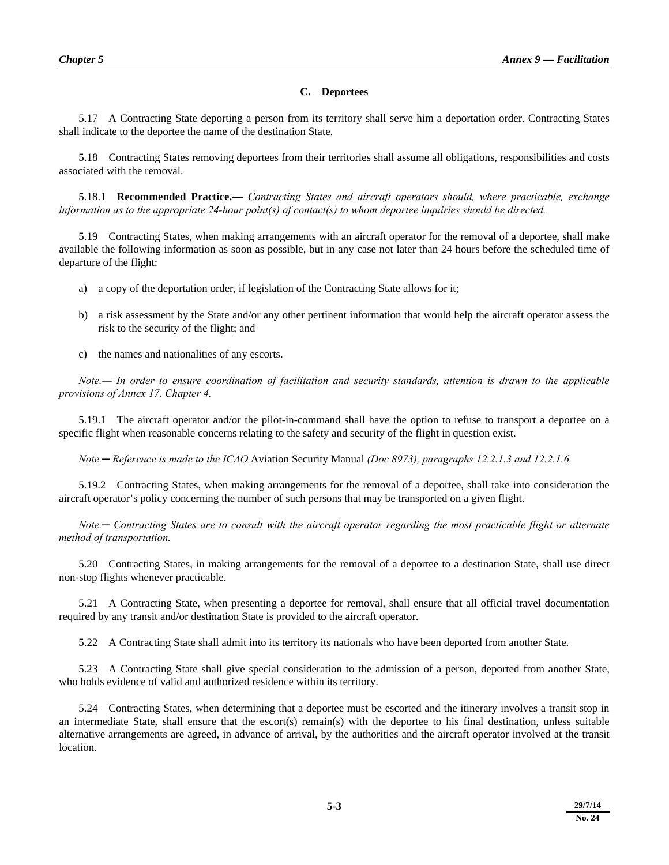# **C. Deportees**

 5.17 A Contracting State deporting a person from its territory shall serve him a deportation order. Contracting States shall indicate to the deportee the name of the destination State.

 5.18 Contracting States removing deportees from their territories shall assume all obligations, responsibilities and costs associated with the removal.

 5.18.1 **Recommended Practice.—** *Contracting States and aircraft operators should, where practicable, exchange information as to the appropriate 24-hour point(s) of contact(s) to whom deportee inquiries should be directed.*

 5.19 Contracting States, when making arrangements with an aircraft operator for the removal of a deportee, shall make available the following information as soon as possible, but in any case not later than 24 hours before the scheduled time of departure of the flight:

- a) a copy of the deportation order, if legislation of the Contracting State allows for it;
- b) a risk assessment by the State and/or any other pertinent information that would help the aircraft operator assess the risk to the security of the flight; and
- c) the names and nationalities of any escorts.

*Note.— In order to ensure coordination of facilitation and security standards, attention is drawn to the applicable provisions of Annex 17, Chapter 4.* 

 5.19.1 The aircraft operator and/or the pilot-in-command shall have the option to refuse to transport a deportee on a specific flight when reasonable concerns relating to the safety and security of the flight in question exist.

*Note.─ Reference is made to the ICAO* Aviation Security Manual *(Doc 8973), paragraphs 12.2.1.3 and 12.2.1.6.* 

 5.19.2 Contracting States, when making arrangements for the removal of a deportee, shall take into consideration the aircraft operator's policy concerning the number of such persons that may be transported on a given flight.

 *Note.─ Contracting States are to consult with the aircraft operator regarding the most practicable flight or alternate method of transportation.*

 5.20 Contracting States, in making arrangements for the removal of a deportee to a destination State, shall use direct non-stop flights whenever practicable.

 5.21 A Contracting State, when presenting a deportee for removal, shall ensure that all official travel documentation required by any transit and/or destination State is provided to the aircraft operator.

5.22 A Contracting State shall admit into its territory its nationals who have been deported from another State.

 5.23 A Contracting State shall give special consideration to the admission of a person, deported from another State, who holds evidence of valid and authorized residence within its territory.

 5.24 Contracting States, when determining that a deportee must be escorted and the itinerary involves a transit stop in an intermediate State, shall ensure that the escort(s) remain(s) with the deportee to his final destination, unless suitable alternative arrangements are agreed, in advance of arrival, by the authorities and the aircraft operator involved at the transit location.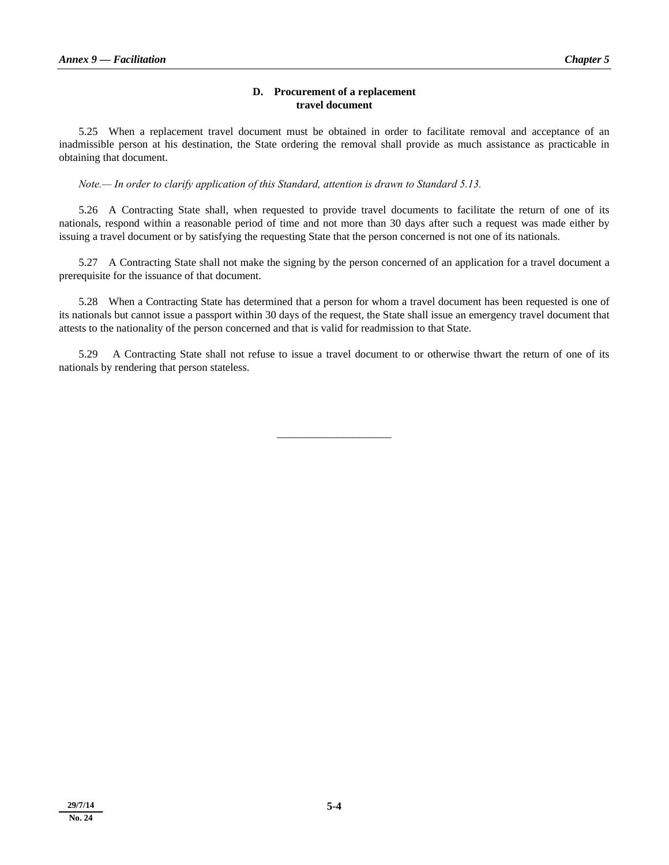# **D. Procurement of a replacement travel document**

 5.25 When a replacement travel document must be obtained in order to facilitate removal and acceptance of an inadmissible person at his destination, the State ordering the removal shall provide as much assistance as practicable in obtaining that document.

# *Note.— In order to clarify application of this Standard, attention is drawn to Standard 5.13.*

 5.26 A Contracting State shall, when requested to provide travel documents to facilitate the return of one of its nationals, respond within a reasonable period of time and not more than 30 days after such a request was made either by issuing a travel document or by satisfying the requesting State that the person concerned is not one of its nationals.

 5.27 A Contracting State shall not make the signing by the person concerned of an application for a travel document a prerequisite for the issuance of that document.

 5.28 When a Contracting State has determined that a person for whom a travel document has been requested is one of its nationals but cannot issue a passport within 30 days of the request, the State shall issue an emergency travel document that attests to the nationality of the person concerned and that is valid for readmission to that State.

 5.29 A Contracting State shall not refuse to issue a travel document to or otherwise thwart the return of one of its nationals by rendering that person stateless.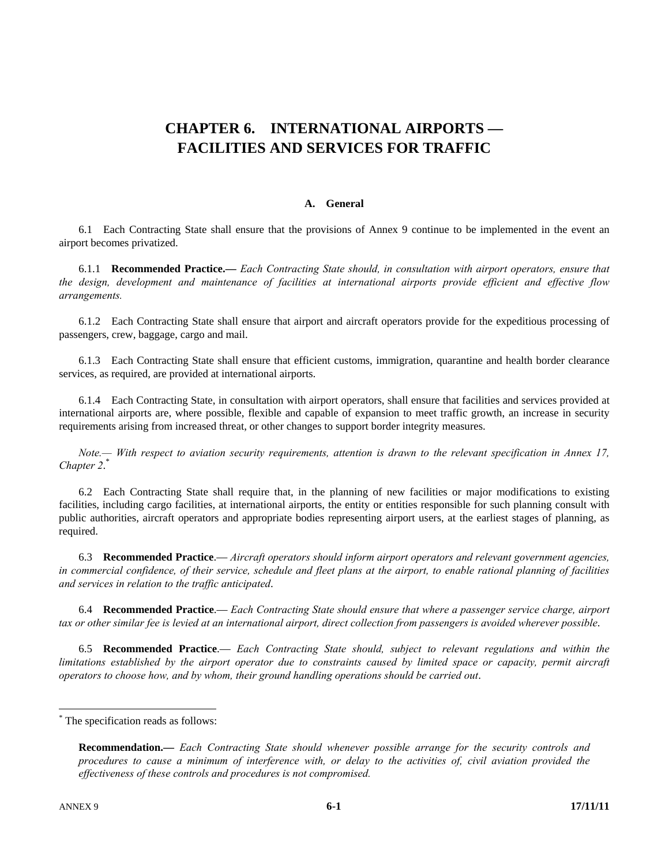# **CHAPTER 6. INTERNATIONAL AIRPORTS — FACILITIES AND SERVICES FOR TRAFFIC**

### **A. General**

 6.1 Each Contracting State shall ensure that the provisions of Annex 9 continue to be implemented in the event an airport becomes privatized.

 6.1.1 **Recommended Practice.—** *Each Contracting State should, in consultation with airport operators, ensure that the design, development and maintenance of facilities at international airports provide efficient and effective flow arrangements.*

 6.1.2 Each Contracting State shall ensure that airport and aircraft operators provide for the expeditious processing of passengers, crew, baggage, cargo and mail.

 6.1.3 Each Contracting State shall ensure that efficient customs, immigration, quarantine and health border clearance services, as required, are provided at international airports.

 6.1.4 Each Contracting State, in consultation with airport operators, shall ensure that facilities and services provided at international airports are, where possible, flexible and capable of expansion to meet traffic growth, an increase in security requirements arising from increased threat, or other changes to support border integrity measures.

*Note.— With respect to aviation security requirements, attention is drawn to the relevant specification in Annex 17, Chapter 2*. \*

 6.2 Each Contracting State shall require that, in the planning of new facilities or major modifications to existing facilities, including cargo facilities, at international airports, the entity or entities responsible for such planning consult with public authorities, aircraft operators and appropriate bodies representing airport users, at the earliest stages of planning, as required.

6.3 **Recommended Practice**.— *Aircraft operators should inform airport operators and relevant government agencies, in commercial confidence, of their service, schedule and fleet plans at the airport, to enable rational planning of facilities and services in relation to the traffic anticipated*.

 6.4 **Recommended Practice**.— *Each Contracting State should ensure that where a passenger service charge, airport tax or other similar fee is levied at an international airport, direct collection from passengers is avoided wherever possible*.

 6.5 **Recommended Practice**.— *Each Contracting State should, subject to relevant regulations and within the limitations established by the airport operator due to constraints caused by limited space or capacity, permit aircraft operators to choose how, and by whom, their ground handling operations should be carried out*.

1

<sup>\*</sup> The specification reads as follows:

**Recommendation.—** *Each Contracting State should whenever possible arrange for the security controls and procedures to cause a minimum of interference with, or delay to the activities of, civil aviation provided the effectiveness of these controls and procedures is not compromised.*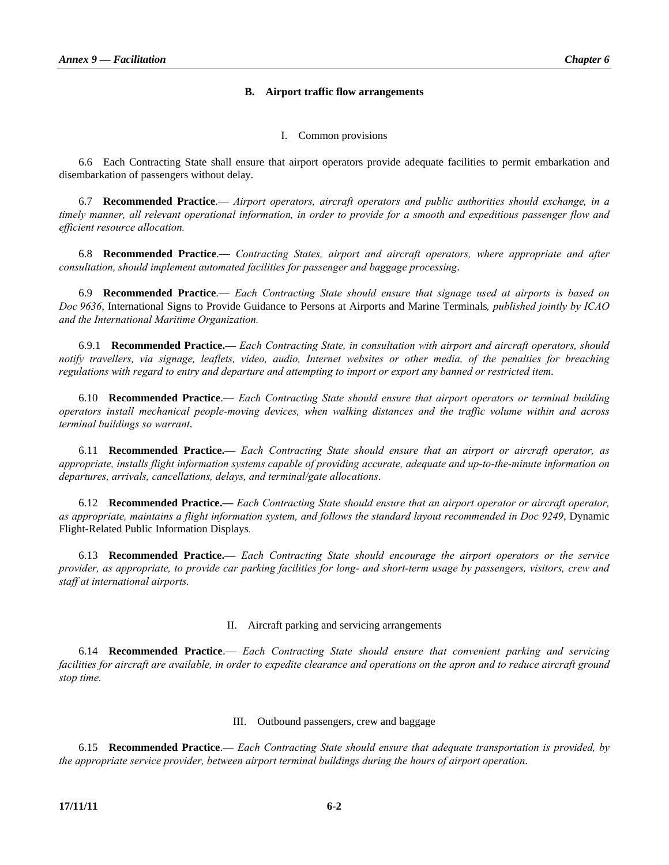#### **B. Airport traffic flow arrangements**

#### I. Common provisions

 6.6 Each Contracting State shall ensure that airport operators provide adequate facilities to permit embarkation and disembarkation of passengers without delay.

 6.7 **Recommended Practice**.— *Airport operators, aircraft operators and public authorities should exchange, in a timely manner, all relevant operational information, in order to provide for a smooth and expeditious passenger flow and efficient resource allocation.* 

 6.8 **Recommended Practice**.— *Contracting States, airport and aircraft operators, where appropriate and after consultation, should implement automated facilities for passenger and baggage processing*.

 6.9 **Recommended Practice**.— *Each Contracting State should ensure that signage used at airports is based on Doc 9636*, International Signs to Provide Guidance to Persons at Airports and Marine Terminals*, published jointly by ICAO and the International Maritime Organization.* 

 6.9.1 **Recommended Practice.—** *Each Contracting State, in consultation with airport and aircraft operators, should notify travellers, via signage, leaflets, video, audio, Internet websites or other media, of the penalties for breaching regulations with regard to entry and departure and attempting to import or export any banned or restricted item*.

 6.10 **Recommended Practice**.— *Each Contracting State should ensure that airport operators or terminal building operators install mechanical people-moving devices, when walking distances and the traffic volume within and across terminal buildings so warrant*.

 6.11 **Recommended Practice.—** *Each Contracting State should ensure that an airport or aircraft operator, as appropriate, installs flight information systems capable of providing accurate, adequate and up-to-the-minute information on departures, arrivals, cancellations, delays, and terminal/gate allocations*.

 6.12 **Recommended Practice.—** *Each Contracting State should ensure that an airport operator or aircraft operator, as appropriate, maintains a flight information system, and follows the standard layout recommended in Doc 9249*, Dynamic Flight-Related Public Information Displays*.* 

 6.13 **Recommended Practice.—** *Each Contracting State should encourage the airport operators or the service provider, as appropriate, to provide car parking facilities for long- and short-term usage by passengers, visitors, crew and staff at international airports.*

#### II. Aircraft parking and servicing arrangements

 6.14 **Recommended Practice**.— *Each Contracting State should ensure that convenient parking and servicing facilities for aircraft are available, in order to expedite clearance and operations on the apron and to reduce aircraft ground stop time.*

# III. Outbound passengers, crew and baggage

 6.15 **Recommended Practice**.— *Each Contracting State should ensure that adequate transportation is provided, by the appropriate service provider, between airport terminal buildings during the hours of airport operation*.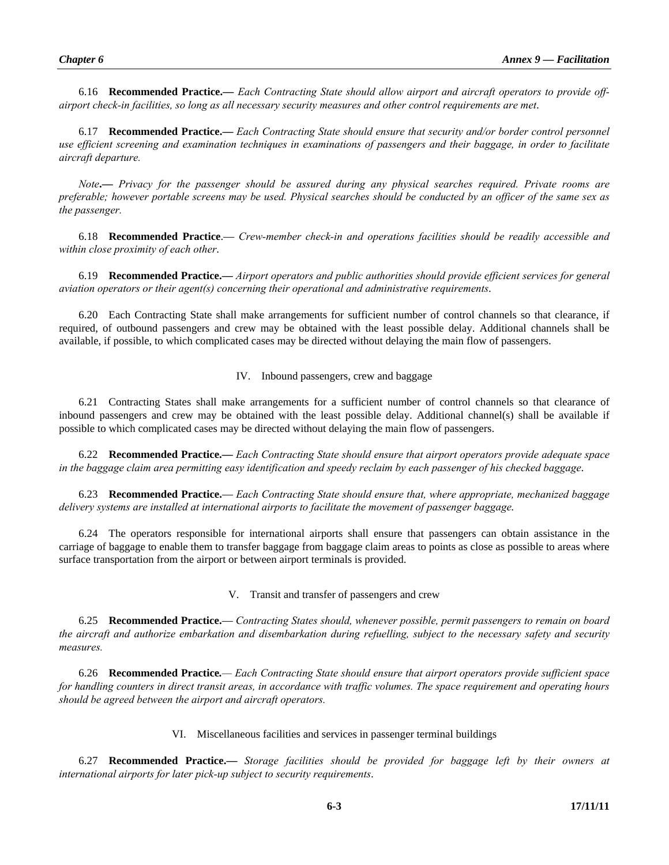6.16 **Recommended Practice.—** *Each Contracting State should allow airport and aircraft operators to provide offairport check-in facilities, so long as all necessary security measures and other control requirements are met*.

 6.17 **Recommended Practice.—** *Each Contracting State should ensure that security and/or border control personnel use efficient screening and examination techniques in examinations of passengers and their baggage, in order to facilitate aircraft departure.*

 *Note***.—** *Privacy for the passenger should be assured during any physical searches required. Private rooms are preferable; however portable screens may be used. Physical searches should be conducted by an officer of the same sex as the passenger.*

6.18 **Recommended Practice**.— *Crew-member check-in and operations facilities should be readily accessible and within close proximity of each other*.

 6.19 **Recommended Practice.—** *Airport operators and public authorities should provide efficient services for general aviation operators or their agent(s) concerning their operational and administrative requirements*.

 6.20 Each Contracting State shall make arrangements for sufficient number of control channels so that clearance, if required, of outbound passengers and crew may be obtained with the least possible delay. Additional channels shall be available, if possible, to which complicated cases may be directed without delaying the main flow of passengers.

IV. Inbound passengers, crew and baggage

 6.21 Contracting States shall make arrangements for a sufficient number of control channels so that clearance of inbound passengers and crew may be obtained with the least possible delay. Additional channel(s) shall be available if possible to which complicated cases may be directed without delaying the main flow of passengers.

 6.22 **Recommended Practice.—** *Each Contracting State should ensure that airport operators provide adequate space in the baggage claim area permitting easy identification and speedy reclaim by each passenger of his checked baggage*.

 6.23 **Recommended Practice.**— *Each Contracting State should ensure that, where appropriate, mechanized baggage delivery systems are installed at international airports to facilitate the movement of passenger baggage*.

 6.24 The operators responsible for international airports shall ensure that passengers can obtain assistance in the carriage of baggage to enable them to transfer baggage from baggage claim areas to points as close as possible to areas where surface transportation from the airport or between airport terminals is provided.

V. Transit and transfer of passengers and crew

 6.25 **Recommended Practice.**— *Contracting States should, whenever possible, permit passengers to remain on board the aircraft and authorize embarkation and disembarkation during refuelling, subject to the necessary safety and security measures.*

 6.26 **Recommended Practice***.— Each Contracting State should ensure that airport operators provide sufficient space for handling counters in direct transit areas, in accordance with traffic volumes. The space requirement and operating hours should be agreed between the airport and aircraft operators.* 

VI. Miscellaneous facilities and services in passenger terminal buildings

 6.27 **Recommended Practice.—** *Storage facilities should be provided for baggage left by their owners at international airports for later pick-up subject to security requirements*.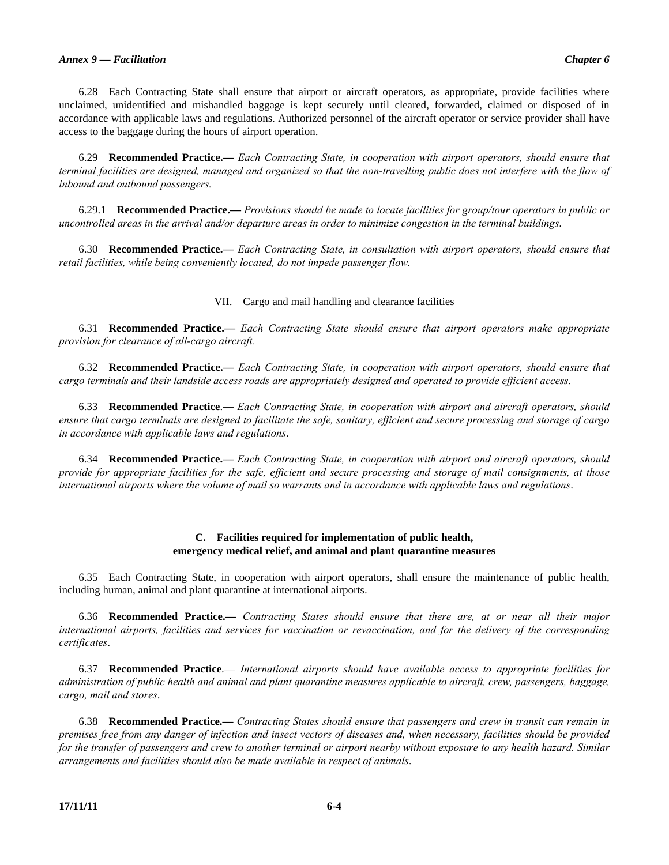6.28 Each Contracting State shall ensure that airport or aircraft operators, as appropriate, provide facilities where unclaimed, unidentified and mishandled baggage is kept securely until cleared, forwarded, claimed or disposed of in accordance with applicable laws and regulations. Authorized personnel of the aircraft operator or service provider shall have access to the baggage during the hours of airport operation.

 6.29 **Recommended Practice.—** *Each Contracting State, in cooperation with airport operators, should ensure that terminal facilities are designed, managed and organized so that the non-travelling public does not interfere with the flow of inbound and outbound passengers.*

6.29.1 **Recommended Practice.—** *Provisions should be made to locate facilities for group/tour operators in public or uncontrolled areas in the arrival and/or departure areas in order to minimize congestion in the terminal buildings*.

 6.30 **Recommended Practice.—** *Each Contracting State, in consultation with airport operators, should ensure that retail facilities, while being conveniently located, do not impede passenger flow.* 

#### VII. Cargo and mail handling and clearance facilities

 6.31 **Recommended Practice.—** *Each Contracting State should ensure that airport operators make appropriate provision for clearance of all-cargo aircraft.* 

6.32 **Recommended Practice.—** *Each Contracting State, in cooperation with airport operators, should ensure that cargo terminals and their landside access roads are appropriately designed and operated to provide efficient access*.

 6.33 **Recommended Practice**.— *Each Contracting State, in cooperation with airport and aircraft operators, should ensure that cargo terminals are designed to facilitate the safe, sanitary, efficient and secure processing and storage of cargo in accordance with applicable laws and regulations*.

 6.34 **Recommended Practice.—** *Each Contracting State, in cooperation with airport and aircraft operators, should provide for appropriate facilities for the safe, efficient and secure processing and storage of mail consignments, at those international airports where the volume of mail so warrants and in accordance with applicable laws and regulations*.

### **C. Facilities required for implementation of public health, emergency medical relief, and animal and plant quarantine measures**

6.35 Each Contracting State, in cooperation with airport operators, shall ensure the maintenance of public health, including human, animal and plant quarantine at international airports.

 6.36 **Recommended Practice.—** *Contracting States should ensure that there are, at or near all their major international airports, facilities and services for vaccination or revaccination, and for the delivery of the corresponding certificates*.

 6.37 **Recommended Practice**.— *International airports should have available access to appropriate facilities for administration of public health and animal and plant quarantine measures applicable to aircraft, crew, passengers, baggage, cargo, mail and stores*.

 6.38 **Recommended Practice.—** *Contracting States should ensure that passengers and crew in transit can remain in premises free from any danger of infection and insect vectors of diseases and, when necessary, facilities should be provided for the transfer of passengers and crew to another terminal or airport nearby without exposure to any health hazard. Similar arrangements and facilities should also be made available in respect of animals*.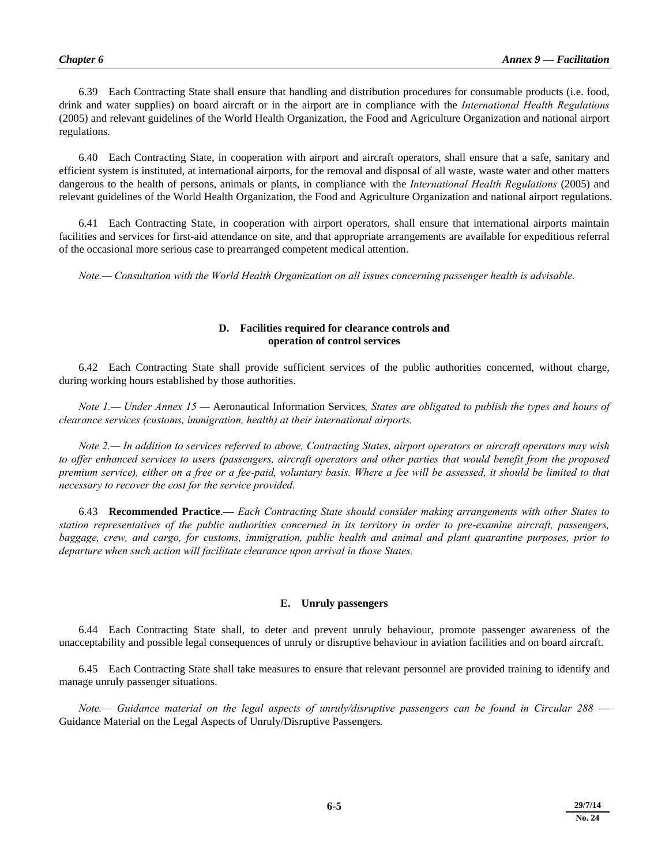6.39 Each Contracting State shall ensure that handling and distribution procedures for consumable products (i.e. food, drink and water supplies) on board aircraft or in the airport are in compliance with the *International Health Regulations* (2005) and relevant guidelines of the World Health Organization, the Food and Agriculture Organization and national airport regulations.

 6.40 Each Contracting State, in cooperation with airport and aircraft operators, shall ensure that a safe, sanitary and efficient system is instituted, at international airports, for the removal and disposal of all waste, waste water and other matters dangerous to the health of persons, animals or plants, in compliance with the *International Health Regulations* (2005) and relevant guidelines of the World Health Organization, the Food and Agriculture Organization and national airport regulations.

 6.41 Each Contracting State, in cooperation with airport operators, shall ensure that international airports maintain facilities and services for first-aid attendance on site, and that appropriate arrangements are available for expeditious referral of the occasional more serious case to prearranged competent medical attention.

 *Note.— Consultation with the World Health Organization on all issues concerning passenger health is advisable.* 

# **D. Facilities required for clearance controls and operation of control services**

 6.42 Each Contracting State shall provide sufficient services of the public authorities concerned, without charge, during working hours established by those authorities.

*Note 1.— Under Annex 15 —* Aeronautical Information Services*, States are obligated to publish the types and hours of clearance services (customs, immigration, health) at their international airports.* 

*Note 2.— In addition to services referred to above, Contracting States, airport operators or aircraft operators may wish to offer enhanced services to users (passengers, aircraft operators and other parties that would benefit from the proposed premium service), either on a free or a fee-paid, voluntary basis. Where a fee will be assessed, it should be limited to that necessary to recover the cost for the service provided.* 

 6.43 **Recommended Practice**.— *Each Contracting State should consider making arrangements with other States to station representatives of the public authorities concerned in its territory in order to pre-examine aircraft, passengers, baggage, crew, and cargo, for customs, immigration, public health and animal and plant quarantine purposes, prior to departure when such action will facilitate clearance upon arrival in those States.* 

# **E. Unruly passengers**

 6.44 Each Contracting State shall, to deter and prevent unruly behaviour, promote passenger awareness of the unacceptability and possible legal consequences of unruly or disruptive behaviour in aviation facilities and on board aircraft.

 6.45 Each Contracting State shall take measures to ensure that relevant personnel are provided training to identify and manage unruly passenger situations.

*Note.*— Guidance material on the legal aspects of unruly/disruptive passengers can be found in Circular 288 — Guidance Material on the Legal Aspects of Unruly/Disruptive Passengers*.*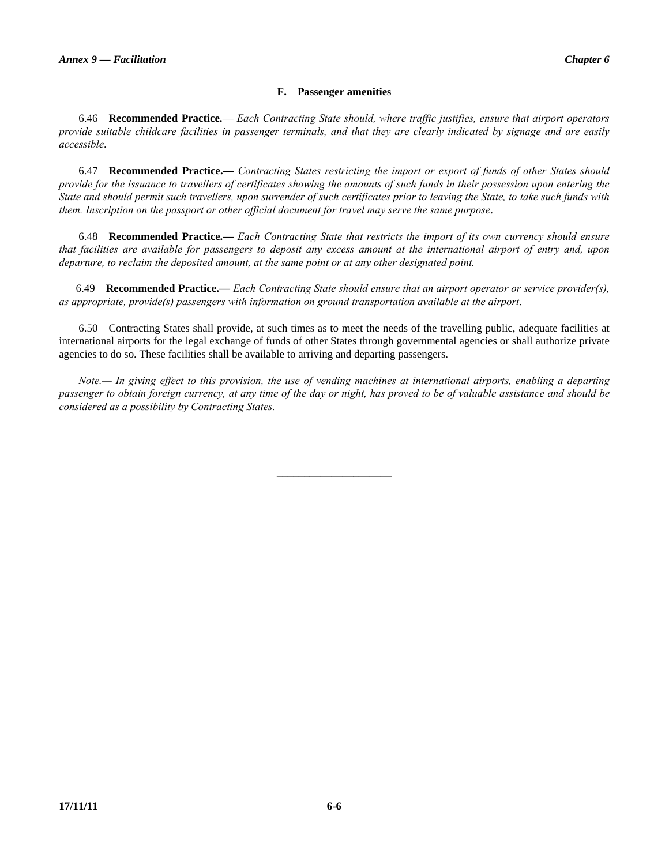# **F. Passenger amenities**

 6.46 **Recommended Practice.**— *Each Contracting State should, where traffic justifies, ensure that airport operators provide suitable childcare facilities in passenger terminals, and that they are clearly indicated by signage and are easily accessible*.

 6.47 **Recommended Practice.—** *Contracting States restricting the import or export of funds of other States should provide for the issuance to travellers of certificates showing the amounts of such funds in their possession upon entering the State and should permit such travellers, upon surrender of such certificates prior to leaving the State, to take such funds with them. Inscription on the passport or other official document for travel may serve the same purpose*.

 6.48 **Recommended Practice.—** *Each Contracting State that restricts the import of its own currency should ensure that facilities are available for passengers to deposit any excess amount at the international airport of entry and, upon departure, to reclaim the deposited amount, at the same point or at any other designated point.*

6.49 **Recommended Practice.—** *Each Contracting State should ensure that an airport operator or service provider(s), as appropriate, provide(s) passengers with information on ground transportation available at the airport*.

 6.50 Contracting States shall provide, at such times as to meet the needs of the travelling public, adequate facilities at international airports for the legal exchange of funds of other States through governmental agencies or shall authorize private agencies to do so. These facilities shall be available to arriving and departing passengers.

 *Note.— In giving effect to this provision, the use of vending machines at international airports, enabling a departing passenger to obtain foreign currency, at any time of the day or night, has proved to be of valuable assistance and should be considered as a possibility by Contracting States.*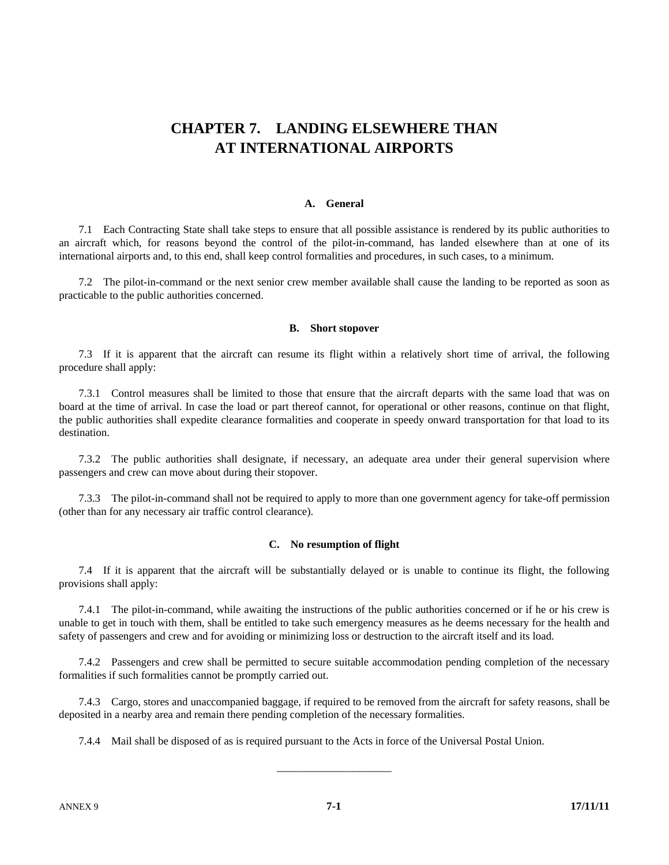# **CHAPTER 7. LANDING ELSEWHERE THAN AT INTERNATIONAL AIRPORTS**

### **A. General**

 7.1 Each Contracting State shall take steps to ensure that all possible assistance is rendered by its public authorities to an aircraft which, for reasons beyond the control of the pilot-in-command, has landed elsewhere than at one of its international airports and, to this end, shall keep control formalities and procedures, in such cases, to a minimum.

 7.2 The pilot-in-command or the next senior crew member available shall cause the landing to be reported as soon as practicable to the public authorities concerned.

#### **B. Short stopover**

 7.3 If it is apparent that the aircraft can resume its flight within a relatively short time of arrival, the following procedure shall apply:

 7.3.1 Control measures shall be limited to those that ensure that the aircraft departs with the same load that was on board at the time of arrival. In case the load or part thereof cannot, for operational or other reasons, continue on that flight, the public authorities shall expedite clearance formalities and cooperate in speedy onward transportation for that load to its destination.

 7.3.2 The public authorities shall designate, if necessary, an adequate area under their general supervision where passengers and crew can move about during their stopover.

 7.3.3 The pilot-in-command shall not be required to apply to more than one government agency for take-off permission (other than for any necessary air traffic control clearance).

#### **C. No resumption of flight**

 7.4 If it is apparent that the aircraft will be substantially delayed or is unable to continue its flight, the following provisions shall apply:

 7.4.1 The pilot-in-command, while awaiting the instructions of the public authorities concerned or if he or his crew is unable to get in touch with them, shall be entitled to take such emergency measures as he deems necessary for the health and safety of passengers and crew and for avoiding or minimizing loss or destruction to the aircraft itself and its load.

 7.4.2 Passengers and crew shall be permitted to secure suitable accommodation pending completion of the necessary formalities if such formalities cannot be promptly carried out.

 7.4.3 Cargo, stores and unaccompanied baggage, if required to be removed from the aircraft for safety reasons, shall be deposited in a nearby area and remain there pending completion of the necessary formalities.

7.4.4 Mail shall be disposed of as is required pursuant to the Acts in force of the Universal Postal Union.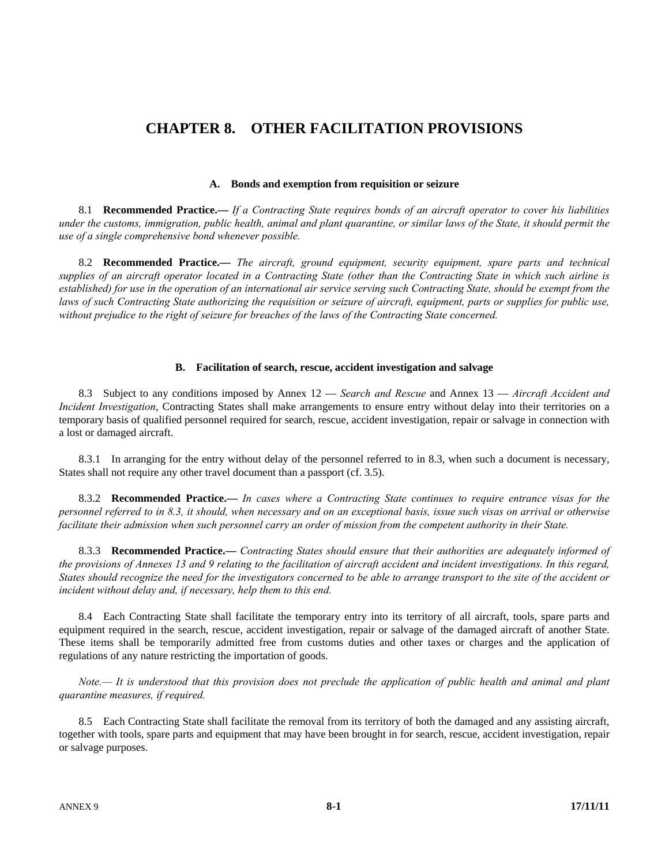# **CHAPTER 8. OTHER FACILITATION PROVISIONS**

#### **A. Bonds and exemption from requisition or seizure**

 8.1 **Recommended Practice.—** *If a Contracting State requires bonds of an aircraft operator to cover his liabilities under the customs, immigration, public health, animal and plant quarantine, or similar laws of the State, it should permit the use of a single comprehensive bond whenever possible.*

 8.2 **Recommended Practice.—** *The aircraft, ground equipment, security equipment, spare parts and technical supplies of an aircraft operator located in a Contracting State (other than the Contracting State in which such airline is established) for use in the operation of an international air service serving such Contracting State, should be exempt from the laws of such Contracting State authorizing the requisition or seizure of aircraft, equipment, parts or supplies for public use, without prejudice to the right of seizure for breaches of the laws of the Contracting State concerned.*

# **B. Facilitation of search, rescue, accident investigation and salvage**

 8.3 Subject to any conditions imposed by Annex 12 — *Search and Rescue* and Annex 13 — *Aircraft Accident and Incident Investigation*, Contracting States shall make arrangements to ensure entry without delay into their territories on a temporary basis of qualified personnel required for search, rescue, accident investigation, repair or salvage in connection with a lost or damaged aircraft.

 8.3.1 In arranging for the entry without delay of the personnel referred to in 8.3, when such a document is necessary, States shall not require any other travel document than a passport (cf. 3.5).

 8.3.2 **Recommended Practice.—** *In cases where a Contracting State continues to require entrance visas for the personnel referred to in 8.3, it should, when necessary and on an exceptional basis, issue such visas on arrival or otherwise facilitate their admission when such personnel carry an order of mission from the competent authority in their State.*

8.3.3 **Recommended Practice.—** *Contracting States should ensure that their authorities are adequately informed of the provisions of Annexes 13 and 9 relating to the facilitation of aircraft accident and incident investigations. In this regard, States should recognize the need for the investigators concerned to be able to arrange transport to the site of the accident or incident without delay and, if necessary, help them to this end.*

 8.4 Each Contracting State shall facilitate the temporary entry into its territory of all aircraft, tools, spare parts and equipment required in the search, rescue, accident investigation, repair or salvage of the damaged aircraft of another State. These items shall be temporarily admitted free from customs duties and other taxes or charges and the application of regulations of any nature restricting the importation of goods.

*Note.— It is understood that this provision does not preclude the application of public health and animal and plant quarantine measures, if required.*

 8.5 Each Contracting State shall facilitate the removal from its territory of both the damaged and any assisting aircraft, together with tools, spare parts and equipment that may have been brought in for search, rescue, accident investigation, repair or salvage purposes.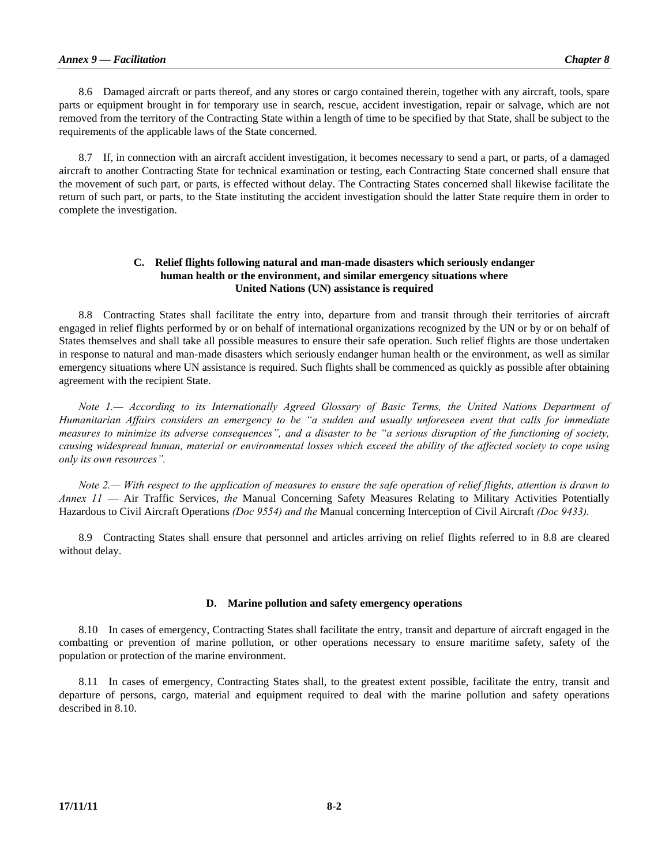8.6 Damaged aircraft or parts thereof, and any stores or cargo contained therein, together with any aircraft, tools, spare parts or equipment brought in for temporary use in search, rescue, accident investigation, repair or salvage, which are not removed from the territory of the Contracting State within a length of time to be specified by that State, shall be subject to the requirements of the applicable laws of the State concerned.

 8.7 If, in connection with an aircraft accident investigation, it becomes necessary to send a part, or parts, of a damaged aircraft to another Contracting State for technical examination or testing, each Contracting State concerned shall ensure that the movement of such part, or parts, is effected without delay. The Contracting States concerned shall likewise facilitate the return of such part, or parts, to the State instituting the accident investigation should the latter State require them in order to complete the investigation.

# **C. Relief flights following natural and man-made disasters which seriously endanger human health or the environment, and similar emergency situations where United Nations (UN) assistance is required**

 8.8 Contracting States shall facilitate the entry into, departure from and transit through their territories of aircraft engaged in relief flights performed by or on behalf of international organizations recognized by the UN or by or on behalf of States themselves and shall take all possible measures to ensure their safe operation. Such relief flights are those undertaken in response to natural and man-made disasters which seriously endanger human health or the environment, as well as similar emergency situations where UN assistance is required. Such flights shall be commenced as quickly as possible after obtaining agreement with the recipient State.

*Note 1.— According to its Internationally Agreed Glossary of Basic Terms, the United Nations Department of Humanitarian Affairs considers an emergency to be "a sudden and usually unforeseen event that calls for immediate measures to minimize its adverse consequences", and a disaster to be "a serious disruption of the functioning of society, causing widespread human, material or environmental losses which exceed the ability of the affected society to cope using only its own resources".*

 *Note 2.— With respect to the application of measures to ensure the safe operation of relief flights, attention is drawn to Annex 11* — Air Traffic Services, *the* Manual Concerning Safety Measures Relating to Military Activities Potentially Hazardous to Civil Aircraft Operations *(Doc 9554) and the* Manual concerning Interception of Civil Aircraft *(Doc 9433).*

 8.9 Contracting States shall ensure that personnel and articles arriving on relief flights referred to in 8.8 are cleared without delay.

# **D. Marine pollution and safety emergency operations**

 8.10 In cases of emergency, Contracting States shall facilitate the entry, transit and departure of aircraft engaged in the combatting or prevention of marine pollution, or other operations necessary to ensure maritime safety, safety of the population or protection of the marine environment.

 8.11 In cases of emergency, Contracting States shall, to the greatest extent possible, facilitate the entry, transit and departure of persons, cargo, material and equipment required to deal with the marine pollution and safety operations described in 8.10.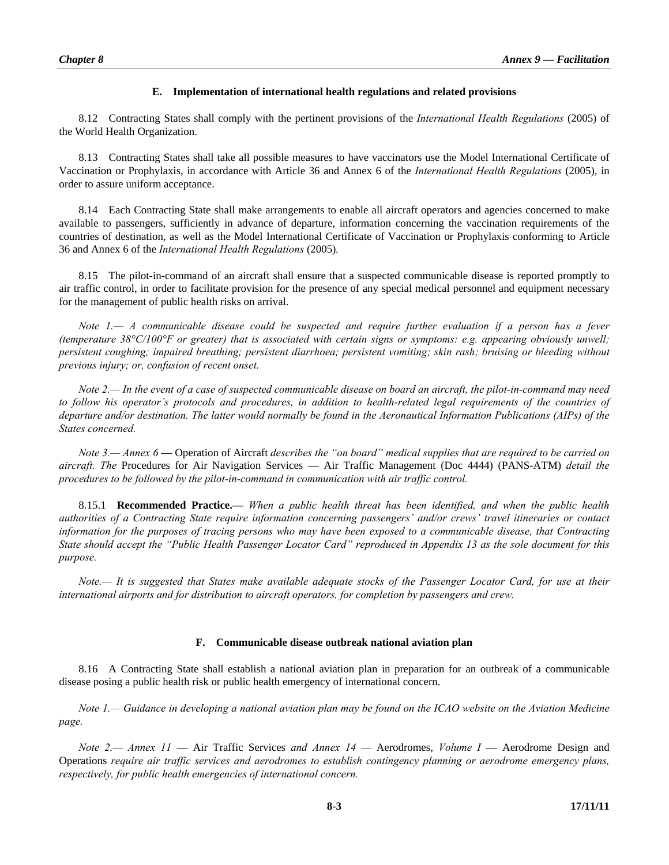# **E. Implementation of international health regulations and related provisions**

 8.12 Contracting States shall comply with the pertinent provisions of the *International Health Regulations* (2005) of the World Health Organization.

 8.13 Contracting States shall take all possible measures to have vaccinators use the Model International Certificate of Vaccination or Prophylaxis, in accordance with Article 36 and Annex 6 of the *International Health Regulations* (2005), in order to assure uniform acceptance.

 8.14 Each Contracting State shall make arrangements to enable all aircraft operators and agencies concerned to make available to passengers, sufficiently in advance of departure, information concerning the vaccination requirements of the countries of destination, as well as the Model International Certificate of Vaccination or Prophylaxis conforming to Article 36 and Annex 6 of the *International Health Regulations* (2005)*.*

 8.15 The pilot-in-command of an aircraft shall ensure that a suspected communicable disease is reported promptly to air traffic control, in order to facilitate provision for the presence of any special medical personnel and equipment necessary for the management of public health risks on arrival.

 *Note 1.— A communicable disease could be suspected and require further evaluation if a person has a fever (temperature 38°C/100°F or greater) that is associated with certain signs or symptoms: e.g. appearing obviously unwell; persistent coughing; impaired breathing; persistent diarrhoea; persistent vomiting; skin rash; bruising or bleeding without previous injury; or, confusion of recent onset.* 

 *Note 2.— In the event of a case of suspected communicable disease on board an aircraft, the pilot-in-command may need*  to follow his operator's protocols and procedures, in addition to health-related legal requirements of the countries of *departure and/or destination. The latter would normally be found in the Aeronautical Information Publications (AIPs) of the States concerned.* 

 *Note 3.— Annex 6* — Operation of Aircraft *describes the "on board" medical supplies that are required to be carried on aircraft. The* Procedures for Air Navigation Services — Air Traffic Management (Doc 4444) (PANS-ATM) *detail the procedures to be followed by the pilot-in-command in communication with air traffic control.*

 8.15.1 **Recommended Practice.—** *When a public health threat has been identified, and when the public health authorities of a Contracting State require information concerning passengers' and/or crews' travel itineraries or contact information for the purposes of tracing persons who may have been exposed to a communicable disease, that Contracting State should accept the "Public Health Passenger Locator Card" reproduced in Appendix 13 as the sole document for this purpose.* 

*Note.— It is suggested that States make available adequate stocks of the Passenger Locator Card, for use at their international airports and for distribution to aircraft operators, for completion by passengers and crew.* 

# **F. Communicable disease outbreak national aviation plan**

 8.16 A Contracting State shall establish a national aviation plan in preparation for an outbreak of a communicable disease posing a public health risk or public health emergency of international concern.

*Note 1.— Guidance in developing a national aviation plan may be found on the ICAO website on the Aviation Medicine page.*

*Note 2.— Annex 11* — Air Traffic Services *and Annex 14 —* Aerodromes, *Volume I* — Aerodrome Design and Operations *require air traffic services and aerodromes to establish contingency planning or aerodrome emergency plans, respectively, for public health emergencies of international concern.*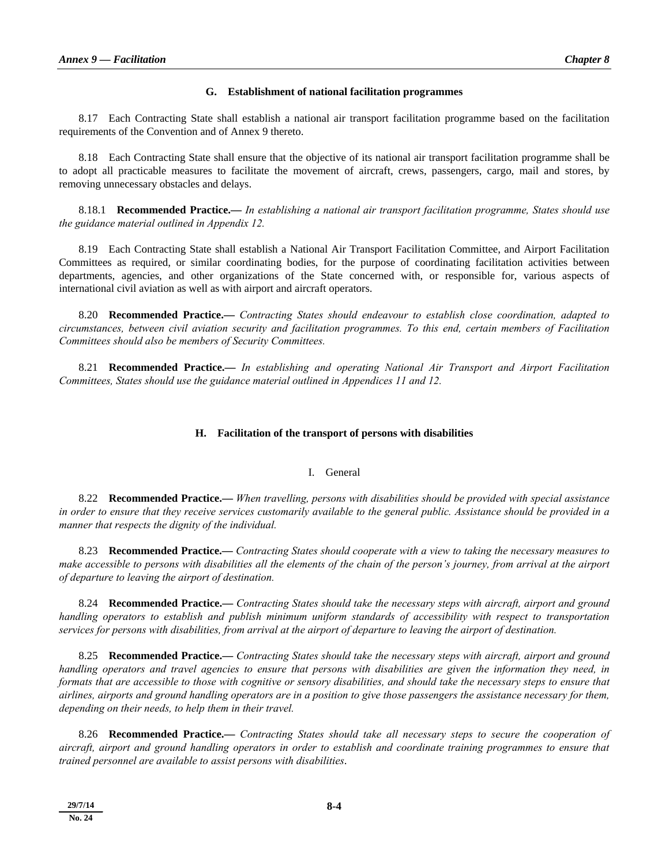### **G. Establishment of national facilitation programmes**

 8.17 Each Contracting State shall establish a national air transport facilitation programme based on the facilitation requirements of the Convention and of Annex 9 thereto.

 8.18 Each Contracting State shall ensure that the objective of its national air transport facilitation programme shall be to adopt all practicable measures to facilitate the movement of aircraft, crews, passengers, cargo, mail and stores, by removing unnecessary obstacles and delays.

 8.18.1 **Recommended Practice.—** *In establishing a national air transport facilitation programme, States should use the guidance material outlined in Appendix 12.*

 8.19 Each Contracting State shall establish a National Air Transport Facilitation Committee, and Airport Facilitation Committees as required, or similar coordinating bodies, for the purpose of coordinating facilitation activities between departments, agencies, and other organizations of the State concerned with, or responsible for, various aspects of international civil aviation as well as with airport and aircraft operators.

 8.20 **Recommended Practice.—** *Contracting States should endeavour to establish close coordination, adapted to circumstances, between civil aviation security and facilitation programmes. To this end, certain members of Facilitation Committees should also be members of Security Committees.*

 8.21 **Recommended Practice.—** *In establishing and operating National Air Transport and Airport Facilitation Committees, States should use the guidance material outlined in Appendices 11 and 12.*

# **H. Facilitation of the transport of persons with disabilities**

# I. General

 8.22 **Recommended Practice.—** *When travelling, persons with disabilities should be provided with special assistance in order to ensure that they receive services customarily available to the general public. Assistance should be provided in a manner that respects the dignity of the individual.*

8.23 **Recommended Practice.—** *Contracting States should cooperate with a view to taking the necessary measures to make accessible to persons with disabilities all the elements of the chain of the person's journey, from arrival at the airport of departure to leaving the airport of destination.*

 8.24 **Recommended Practice.—** *Contracting States should take the necessary steps with aircraft, airport and ground handling operators to establish and publish minimum uniform standards of accessibility with respect to transportation services for persons with disabilities, from arrival at the airport of departure to leaving the airport of destination.*

 8.25 **Recommended Practice.—** *Contracting States should take the necessary steps with aircraft, airport and ground handling operators and travel agencies to ensure that persons with disabilities are given the information they need, in formats that are accessible to those with cognitive or sensory disabilities, and should take the necessary steps to ensure that airlines, airports and ground handling operators are in a position to give those passengers the assistance necessary for them, depending on their needs, to help them in their travel.*

8.26 **Recommended Practice.—** *Contracting States should take all necessary steps to secure the cooperation of aircraft, airport and ground handling operators in order to establish and coordinate training programmes to ensure that trained personnel are available to assist persons with disabilities*.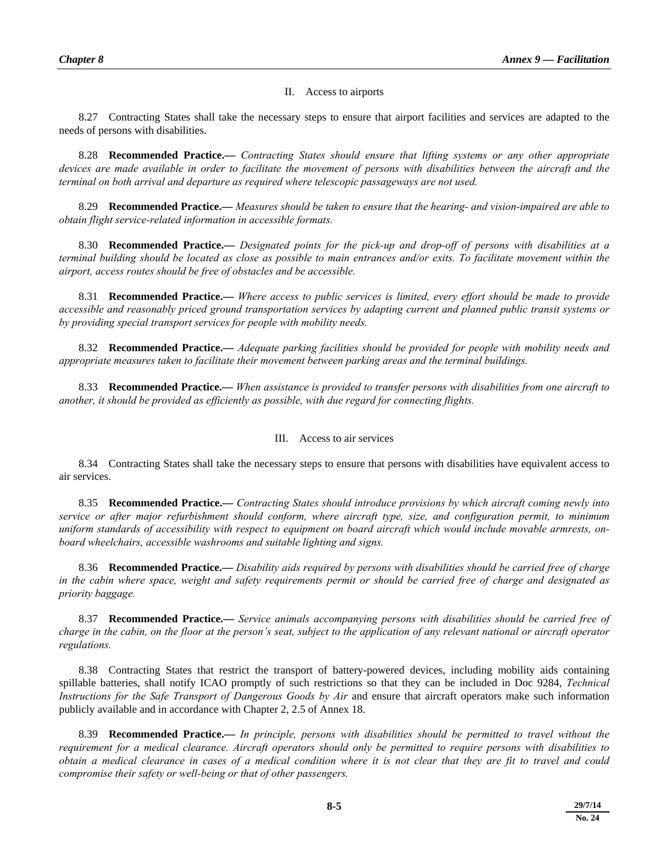# II. Access to airports

 8.27 Contracting States shall take the necessary steps to ensure that airport facilities and services are adapted to the needs of persons with disabilities.

 8.28 **Recommended Practice.—** *Contracting States should ensure that lifting systems or any other appropriate devices are made available in order to facilitate the movement of persons with disabilities between the aircraft and the terminal on both arrival and departure as required where telescopic passageways are not used.*

 8.29 **Recommended Practice.—** *Measures should be taken to ensure that the hearing- and vision-impaired are able to obtain flight service-related information in accessible formats.*

8.30 **Recommended Practice.—** *Designated points for the pick-up and drop-off of persons with disabilities at a terminal building should be located as close as possible to main entrances and/or exits. To facilitate movement within the airport, access routes should be free of obstacles and be accessible.*

 8.31 **Recommended Practice.—** *Where access to public services is limited, every effort should be made to provide accessible and reasonably priced ground transportation services by adapting current and planned public transit systems or by providing special transport services for people with mobility needs.*

8.32 **Recommended Practice.—** *Adequate parking facilities should be provided for people with mobility needs and appropriate measures taken to facilitate their movement between parking areas and the terminal buildings.*

 8.33 **Recommended Practice.—** *When assistance is provided to transfer persons with disabilities from one aircraft to another, it should be provided as efficiently as possible, with due regard for connecting flights.*

# III. Access to air services

 8.34 Contracting States shall take the necessary steps to ensure that persons with disabilities have equivalent access to air services.

 8.35 **Recommended Practice.—** *Contracting States should introduce provisions by which aircraft coming newly into service or after major refurbishment should conform, where aircraft type, size, and configuration permit, to minimum uniform standards of accessibility with respect to equipment on board aircraft which would include movable armrests, onboard wheelchairs, accessible washrooms and suitable lighting and signs.*

 8.36 **Recommended Practice.—** *Disability aids required by persons with disabilities should be carried free of charge in the cabin where space, weight and safety requirements permit or should be carried free of charge and designated as priority baggage.*

8.37 **Recommended Practice.—** *Service animals accompanying persons with disabilities should be carried free of charge in the cabin, on the floor at the person's seat, subject to the application of any relevant national or aircraft operator regulations.*

8.38 Contracting States that restrict the transport of battery-powered devices, including mobility aids containing spillable batteries, shall notify ICAO promptly of such restrictions so that they can be included in Doc 9284, *Technical Instructions for the Safe Transport of Dangerous Goods by Air* and ensure that aircraft operators make such information publicly available and in accordance with Chapter 2, 2.5 of Annex 18.

 8.39 **Recommended Practice.—** *In principle, persons with disabilities should be permitted to travel without the requirement for a medical clearance. Aircraft operators should only be permitted to require persons with disabilities to obtain a medical clearance in cases of a medical condition where it is not clear that they are fit to travel and could compromise their safety or well-being or that of other passengers.*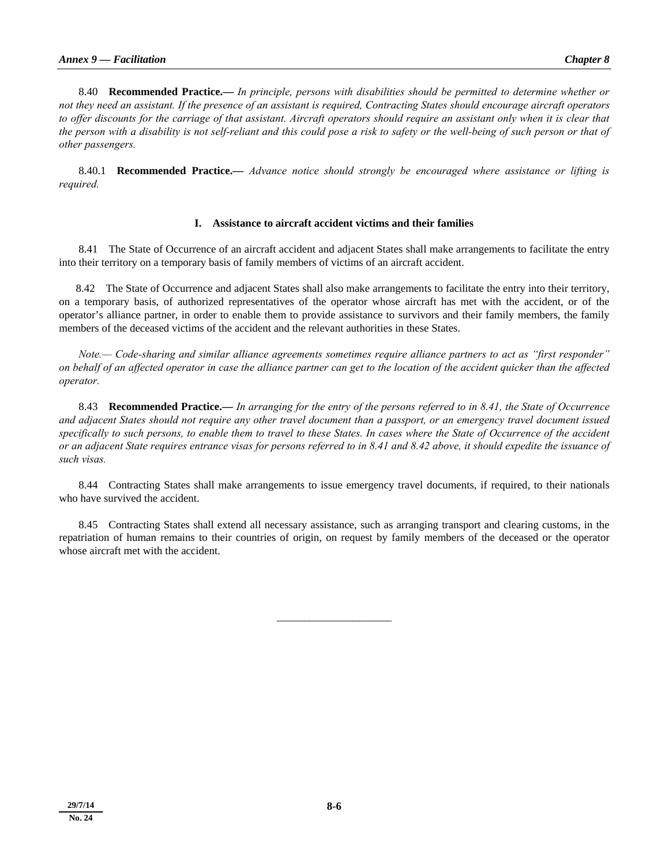8.40 **Recommended Practice.—** *In principle, persons with disabilities should be permitted to determine whether or not they need an assistant. If the presence of an assistant is required, Contracting States should encourage aircraft operators to offer discounts for the carriage of that assistant. Aircraft operators should require an assistant only when it is clear that the person with a disability is not self-reliant and this could pose a risk to safety or the well-being of such person or that of other passengers.*

 8.40.1 **Recommended Practice.—** *Advance notice should strongly be encouraged where assistance or lifting is required.*

## **I. Assistance to aircraft accident victims and their families**

 8.41 The State of Occurrence of an aircraft accident and adjacent States shall make arrangements to facilitate the entry into their territory on a temporary basis of family members of victims of an aircraft accident.

 8.42 The State of Occurrence and adjacent States shall also make arrangements to facilitate the entry into their territory, on a temporary basis, of authorized representatives of the operator whose aircraft has met with the accident, or of the operator's alliance partner, in order to enable them to provide assistance to survivors and their family members, the family members of the deceased victims of the accident and the relevant authorities in these States.

*Note.— Code-sharing and similar alliance agreements sometimes require alliance partners to act as "first responder" on behalf of an affected operator in case the alliance partner can get to the location of the accident quicker than the affected operator.* 

 8.43 **Recommended Practice.—** *In arranging for the entry of the persons referred to in 8.41, the State of Occurrence and adjacent States should not require any other travel document than a passport, or an emergency travel document issued specifically to such persons, to enable them to travel to these States. In cases where the State of Occurrence of the accident or an adjacent State requires entrance visas for persons referred to in 8.41 and 8.42 above, it should expedite the issuance of such visas.* 

 8.44 Contracting States shall make arrangements to issue emergency travel documents, if required, to their nationals who have survived the accident.

 8.45 Contracting States shall extend all necessary assistance, such as arranging transport and clearing customs, in the repatriation of human remains to their countries of origin, on request by family members of the deceased or the operator whose aircraft met with the accident.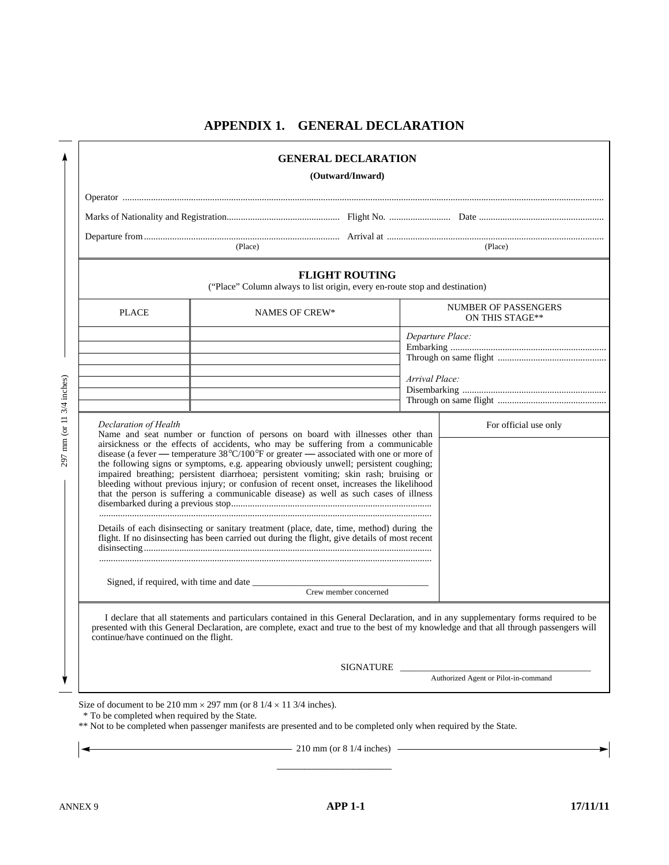|                                        | <b>GENERAL DECLARATION</b><br>(Outward/Inward)                                                                                                                                                                                                                                                                                                                                                                                                                                                                                                                     |                |                                                |
|----------------------------------------|--------------------------------------------------------------------------------------------------------------------------------------------------------------------------------------------------------------------------------------------------------------------------------------------------------------------------------------------------------------------------------------------------------------------------------------------------------------------------------------------------------------------------------------------------------------------|----------------|------------------------------------------------|
|                                        |                                                                                                                                                                                                                                                                                                                                                                                                                                                                                                                                                                    |                |                                                |
|                                        |                                                                                                                                                                                                                                                                                                                                                                                                                                                                                                                                                                    |                |                                                |
|                                        |                                                                                                                                                                                                                                                                                                                                                                                                                                                                                                                                                                    |                |                                                |
|                                        | (Place)                                                                                                                                                                                                                                                                                                                                                                                                                                                                                                                                                            |                | (Place)                                        |
|                                        | <b>FLIGHT ROUTING</b><br>("Place" Column always to list origin, every en-route stop and destination)                                                                                                                                                                                                                                                                                                                                                                                                                                                               |                |                                                |
| <b>PLACE</b>                           | NAMES OF CREW*                                                                                                                                                                                                                                                                                                                                                                                                                                                                                                                                                     |                | <b>NUMBER OF PASSENGERS</b><br>ON THIS STAGE** |
|                                        |                                                                                                                                                                                                                                                                                                                                                                                                                                                                                                                                                                    |                | Departure Place:                               |
|                                        |                                                                                                                                                                                                                                                                                                                                                                                                                                                                                                                                                                    | Arrival Place: |                                                |
|                                        | Name and seat number or function of persons on board with illnesses other than                                                                                                                                                                                                                                                                                                                                                                                                                                                                                     |                | For official use only                          |
|                                        | airsickness or the effects of accidents, who may be suffering from a communicable<br>disease (a fever — temperature $38^{\circ}C/100^{\circ}F$ or greater — associated with one or more of<br>the following signs or symptoms, e.g. appearing obviously unwell; persistent coughing;<br>impaired breathing; persistent diarrhoea; persistent vomiting; skin rash; bruising or<br>bleeding without previous injury; or confusion of recent onset, increases the likelihood<br>that the person is suffering a communicable disease) as well as such cases of illness |                |                                                |
|                                        | Details of each disinsecting or sanitary treatment (place, date, time, method) during the<br>flight. If no disinsecting has been carried out during the flight, give details of most recent                                                                                                                                                                                                                                                                                                                                                                        |                |                                                |
|                                        |                                                                                                                                                                                                                                                                                                                                                                                                                                                                                                                                                                    |                |                                                |
| continue/have continued on the flight. | I declare that all statements and particulars contained in this General Declaration, and in any supplementary forms required to be<br>presented with this General Declaration, are complete, exact and true to the best of my knowledge and that all through passengers will                                                                                                                                                                                                                                                                                       |                |                                                |

**APPENDIX 1. GENERAL DECLARATION** 

#### \*\* Not to be completed when passenger manifests are presented and to be completed only when required by the State.

 $210 \text{ mm}$  (or 8 1/4 inches)  $-$ 

\_\_\_\_\_\_\_\_\_\_\_\_\_\_\_\_\_\_\_\_\_

◀

 $\blacktriangleright$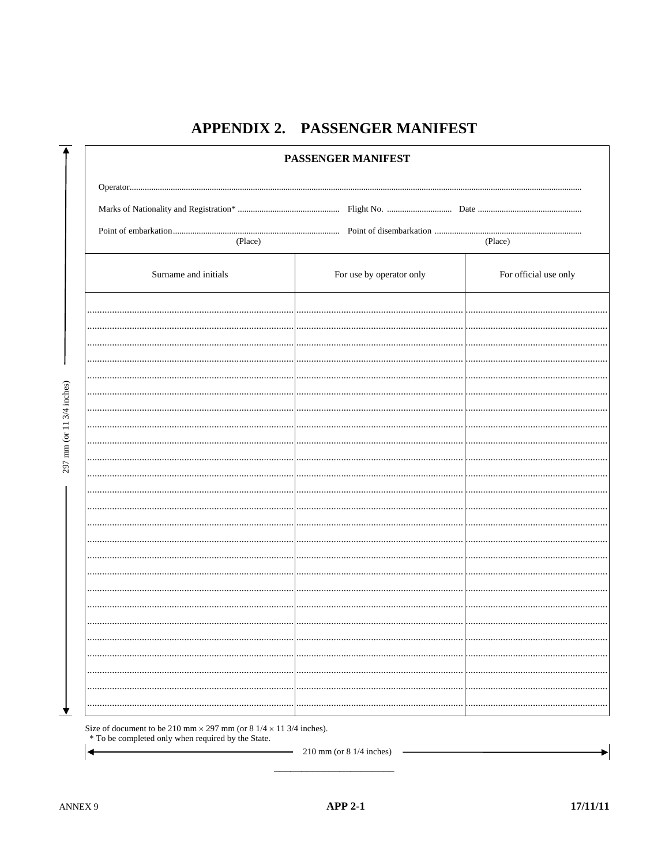# APPENDIX 2. PASSENGER MANIFEST

|         | PASSENGER MANIFEST   |                          |                       |  |
|---------|----------------------|--------------------------|-----------------------|--|
|         |                      |                          |                       |  |
|         |                      |                          |                       |  |
|         |                      |                          | (Place)               |  |
| (Place) |                      |                          |                       |  |
|         | Surname and initials | For use by operator only | For official use only |  |
|         |                      |                          |                       |  |
|         |                      |                          |                       |  |
|         |                      |                          |                       |  |
|         |                      |                          |                       |  |
|         |                      |                          |                       |  |
|         |                      |                          |                       |  |
|         |                      |                          |                       |  |
|         |                      |                          |                       |  |
|         |                      |                          |                       |  |
|         |                      |                          |                       |  |
|         |                      |                          |                       |  |
|         |                      |                          |                       |  |
|         |                      |                          |                       |  |
|         |                      |                          |                       |  |
|         |                      |                          |                       |  |
|         |                      |                          |                       |  |

Size of document to be 210 mm  $\times$  297 mm (or 8 1/4  $\times$  11 3/4 inches).<br>\* To be completed only when required by the State.

∣←

 $-$  210 mm (or 8 1/4 inches)  $-$ 

 $\ddot{\phantom{1}}$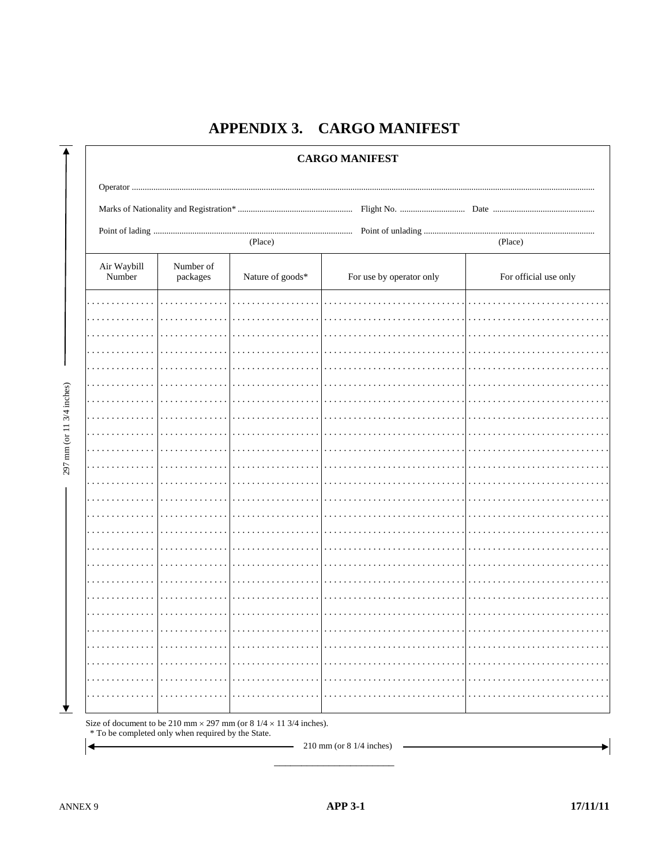# APPENDIX 3. CARGO MANIFEST

| <b>CARGO MANIFEST</b> |                       |                  |                          |                       |  |
|-----------------------|-----------------------|------------------|--------------------------|-----------------------|--|
|                       |                       |                  |                          |                       |  |
|                       |                       |                  |                          |                       |  |
| (Place)               |                       |                  | (Place)                  |                       |  |
| Air Waybill<br>Number | Number of<br>packages | Nature of goods* | For use by operator only | For official use only |  |
|                       |                       |                  |                          |                       |  |
|                       |                       |                  |                          |                       |  |
|                       |                       |                  |                          |                       |  |
|                       |                       |                  |                          |                       |  |
|                       |                       |                  |                          |                       |  |
|                       |                       |                  |                          |                       |  |
|                       |                       |                  |                          |                       |  |
|                       |                       |                  |                          |                       |  |
|                       |                       |                  |                          |                       |  |
|                       |                       |                  |                          |                       |  |
|                       |                       |                  |                          |                       |  |
|                       |                       |                  |                          |                       |  |
|                       |                       |                  |                          |                       |  |
|                       |                       |                  |                          |                       |  |
|                       |                       |                  |                          |                       |  |
|                       |                       |                  |                          |                       |  |
|                       |                       |                  |                          |                       |  |
|                       |                       |                  |                          |                       |  |
|                       |                       |                  |                          |                       |  |
|                       |                       |                  |                          |                       |  |
|                       |                       |                  |                          | .                     |  |
|                       |                       |                  |                          |                       |  |
|                       |                       |                  |                          |                       |  |
|                       |                       |                  |                          |                       |  |
|                       |                       |                  |                          |                       |  |
|                       |                       |                  |                          |                       |  |

Size of document to be 210 mm  $\times$  297 mm (or 8 1/4  $\times$  11 3/4 inches). \* To be completed only when required by the State.

 $210 \text{ mm (or } 81/4 \text{ inches})$ 

∣←

▶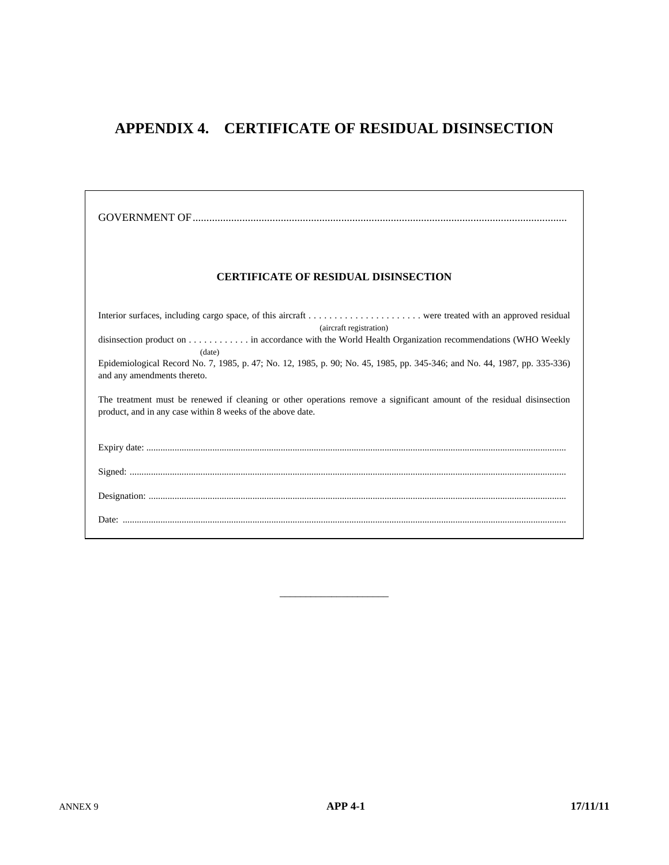# **APPENDIX 4. CERTIFICATE OF RESIDUAL DISINSECTION**

| <b>CERTIFICATE OF RESIDUAL DISINSECTION</b>                                                                                                                                          |
|--------------------------------------------------------------------------------------------------------------------------------------------------------------------------------------|
| (aircraft registration)                                                                                                                                                              |
| disinsection product on in accordance with the World Health Organization recommendations (WHO Weekly                                                                                 |
| (date)<br>Epidemiological Record No. 7, 1985, p. 47; No. 12, 1985, p. 90; No. 45, 1985, pp. 345-346; and No. 44, 1987, pp. 335-336)<br>and any amendments thereto.                   |
| The treatment must be renewed if cleaning or other operations remove a significant amount of the residual disinsection<br>product, and in any case within 8 weeks of the above date. |
|                                                                                                                                                                                      |
|                                                                                                                                                                                      |
|                                                                                                                                                                                      |
|                                                                                                                                                                                      |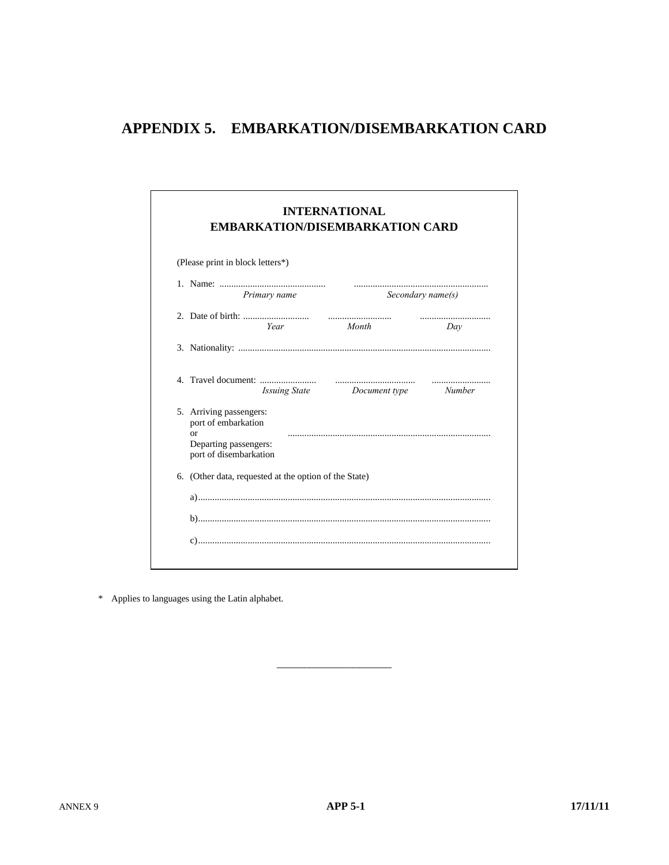# **APPENDIX 5. EMBARKATION/DISEMBARKATION CARD**

| (Please print in block letters*)                                                                                   |                      |                   |  |
|--------------------------------------------------------------------------------------------------------------------|----------------------|-------------------|--|
| Primary name                                                                                                       |                      | Secondary name(s) |  |
| Year                                                                                                               | Month                | Day               |  |
|                                                                                                                    |                      |                   |  |
| <i>Issuing State</i>                                                                                               | Document type Mumber |                   |  |
| 5. Arriving passengers:<br>port of embarkation<br><sub>or</sub><br>Departing passengers:<br>port of disembarkation |                      |                   |  |
| 6. (Other data, requested at the option of the State)                                                              |                      |                   |  |
|                                                                                                                    |                      |                   |  |

\* Applies to languages using the Latin alphabet.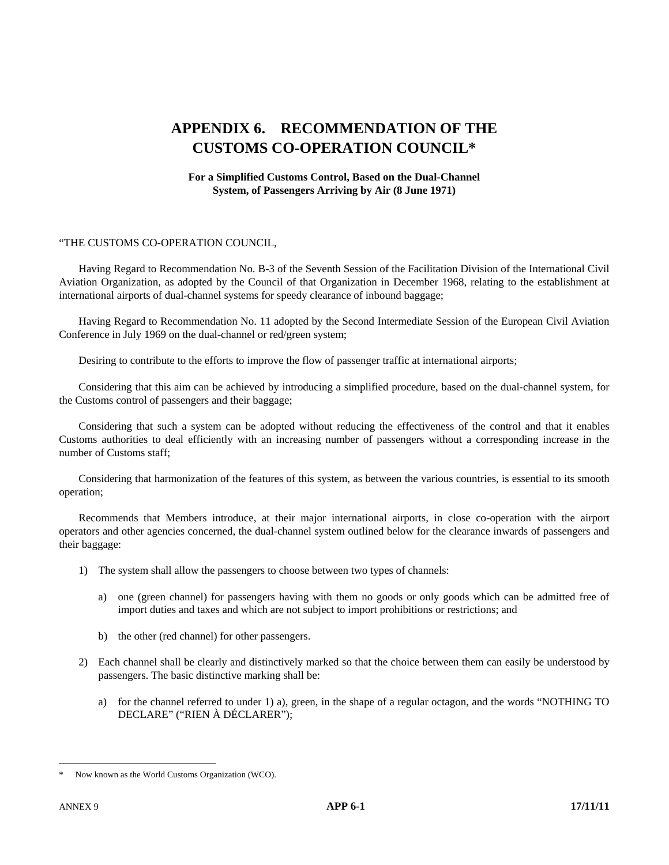# **APPENDIX 6. RECOMMENDATION OF THE CUSTOMS CO-OPERATION COUNCIL\***

# **For a Simplified Customs Control, Based on the Dual-Channel System, of Passengers Arriving by Air (8 June 1971)**

### "THE CUSTOMS CO-OPERATION COUNCIL,

 Having Regard to Recommendation No. B-3 of the Seventh Session of the Facilitation Division of the International Civil Aviation Organization, as adopted by the Council of that Organization in December 1968, relating to the establishment at international airports of dual-channel systems for speedy clearance of inbound baggage;

 Having Regard to Recommendation No. 11 adopted by the Second Intermediate Session of the European Civil Aviation Conference in July 1969 on the dual-channel or red/green system;

Desiring to contribute to the efforts to improve the flow of passenger traffic at international airports;

 Considering that this aim can be achieved by introducing a simplified procedure, based on the dual-channel system, for the Customs control of passengers and their baggage;

 Considering that such a system can be adopted without reducing the effectiveness of the control and that it enables Customs authorities to deal efficiently with an increasing number of passengers without a corresponding increase in the number of Customs staff;

 Considering that harmonization of the features of this system, as between the various countries, is essential to its smooth operation;

 Recommends that Members introduce, at their major international airports, in close co-operation with the airport operators and other agencies concerned, the dual-channel system outlined below for the clearance inwards of passengers and their baggage:

- 1) The system shall allow the passengers to choose between two types of channels:
	- a) one (green channel) for passengers having with them no goods or only goods which can be admitted free of import duties and taxes and which are not subject to import prohibitions or restrictions; and
	- b) the other (red channel) for other passengers.
- 2) Each channel shall be clearly and distinctively marked so that the choice between them can easily be understood by passengers. The basic distinctive marking shall be:
	- a) for the channel referred to under 1) a), green, in the shape of a regular octagon, and the words "NOTHING TO DECLARE" ("RIEN À DÉCLARER");

 $\overline{a}$ 

Now known as the World Customs Organization (WCO).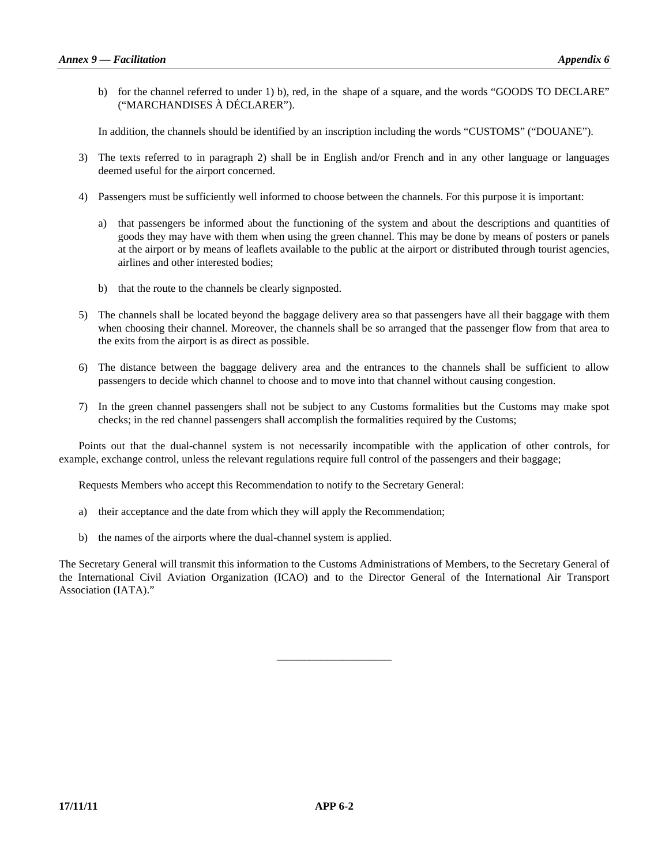b) for the channel referred to under 1) b), red, in the shape of a square, and the words "GOODS TO DECLARE" ("MARCHANDISES À DÉCLARER").

In addition, the channels should be identified by an inscription including the words "CUSTOMS" ("DOUANE").

- 3) The texts referred to in paragraph 2) shall be in English and/or French and in any other language or languages deemed useful for the airport concerned.
- 4) Passengers must be sufficiently well informed to choose between the channels. For this purpose it is important:
	- a) that passengers be informed about the functioning of the system and about the descriptions and quantities of goods they may have with them when using the green channel. This may be done by means of posters or panels at the airport or by means of leaflets available to the public at the airport or distributed through tourist agencies, airlines and other interested bodies;
	- b) that the route to the channels be clearly signposted.
- 5) The channels shall be located beyond the baggage delivery area so that passengers have all their baggage with them when choosing their channel. Moreover, the channels shall be so arranged that the passenger flow from that area to the exits from the airport is as direct as possible.
- 6) The distance between the baggage delivery area and the entrances to the channels shall be sufficient to allow passengers to decide which channel to choose and to move into that channel without causing congestion.
- 7) In the green channel passengers shall not be subject to any Customs formalities but the Customs may make spot checks; in the red channel passengers shall accomplish the formalities required by the Customs;

 Points out that the dual-channel system is not necessarily incompatible with the application of other controls, for example, exchange control, unless the relevant regulations require full control of the passengers and their baggage;

Requests Members who accept this Recommendation to notify to the Secretary General:

- a) their acceptance and the date from which they will apply the Recommendation;
- b) the names of the airports where the dual-channel system is applied.

The Secretary General will transmit this information to the Customs Administrations of Members, to the Secretary General of the International Civil Aviation Organization (ICAO) and to the Director General of the International Air Transport Association (IATA)."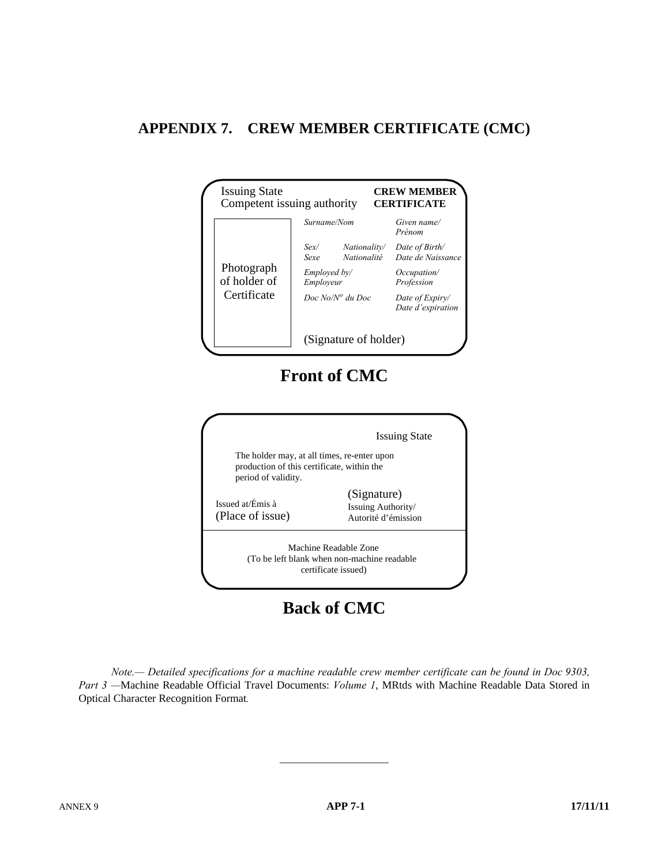### **APPENDIX 7. CREW MEMBER CERTIFICATE (CMC)**



# **Front of CMC**



## **Back of CMC**

 *Note.— Detailed specifications for a machine readable crew member certificate can be found in Doc 9303, Part 3 —*Machine Readable Official Travel Documents: *Volume 1*, MRtds with Machine Readable Data Stored in Optical Character Recognition Format*.*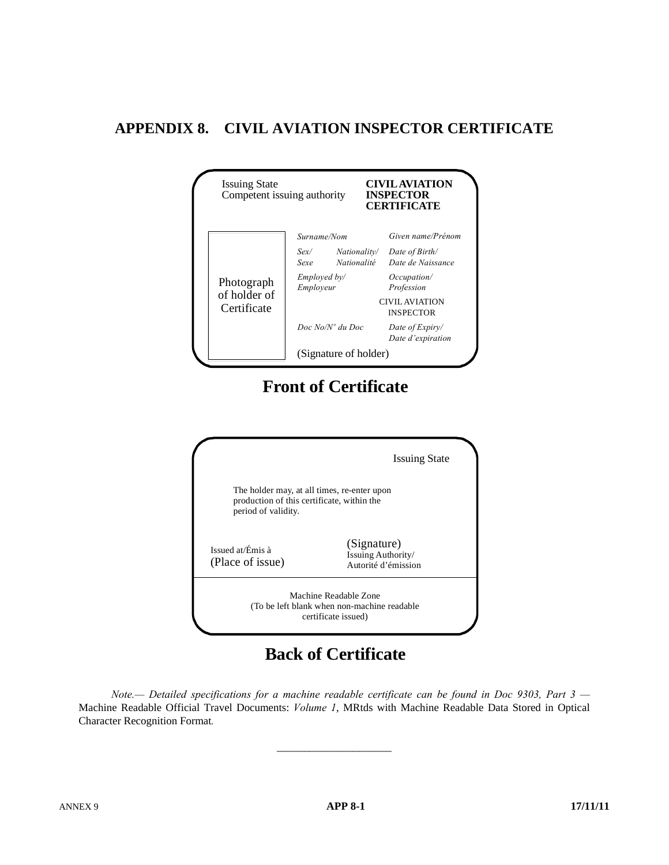### **APPENDIX 8. CIVIL AVIATION INSPECTOR CERTIFICATE**

| <b>Issuing State</b><br>Competent issuing authority |                                             | <b>CIVIL AVIATION</b><br><b>INSPECTOR</b><br><b>CERTIFICATE</b> |  |  |  |  |
|-----------------------------------------------------|---------------------------------------------|-----------------------------------------------------------------|--|--|--|--|
|                                                     | Surname/Nom                                 | Given name/Prénom                                               |  |  |  |  |
|                                                     | Sex/<br>Nationality/<br>Nationalité<br>Sexe | Date of Birth/<br>Date de Naissance                             |  |  |  |  |
| Photograph                                          | Employed by/<br>Employeur                   | <i>Occupation</i> /<br>Profession                               |  |  |  |  |
| of holder of<br>Certificate                         |                                             | CIVIL AVIATION<br><b>INSPECTOR</b>                              |  |  |  |  |
|                                                     | Doc $No/N^{\circ}$ du Doc                   | Date of Expiry/<br>Date d'expiration                            |  |  |  |  |
|                                                     | (Signature of holder)                       |                                                                 |  |  |  |  |

# **Front of Certificate**



# **Back of Certificate**

 *Note.— Detailed specifications for a machine readable certificate can be found in Doc 9303, Part 3 —*  Machine Readable Official Travel Documents: *Volume 1*, MRtds with Machine Readable Data Stored in Optical Character Recognition Format*.*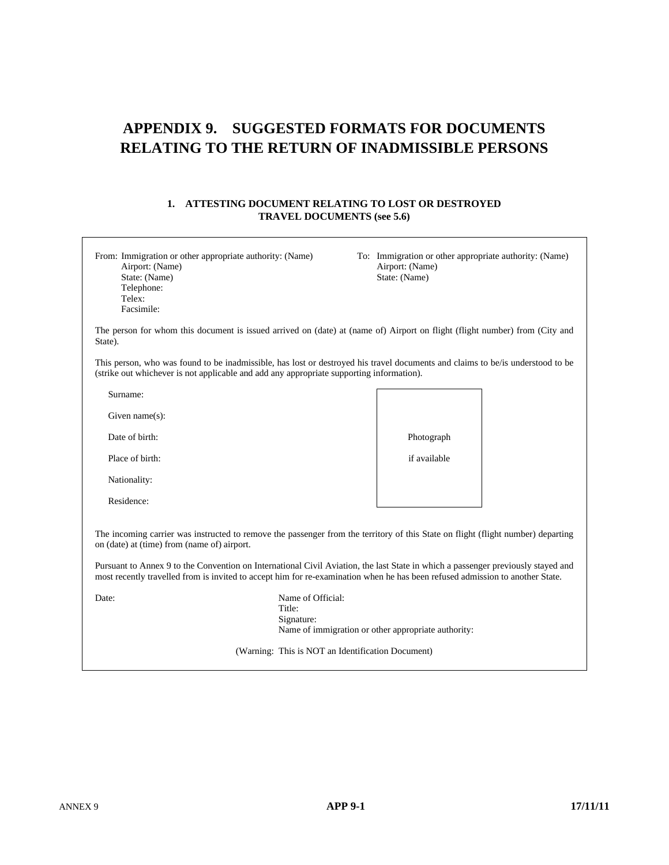## **APPENDIX 9. SUGGESTED FORMATS FOR DOCUMENTS RELATING TO THE RETURN OF INADMISSIBLE PERSONS**

### **1. ATTESTING DOCUMENT RELATING TO LOST OR DESTROYED TRAVEL DOCUMENTS (see 5.6)**

| From: Immigration or other appropriate authority: (Name)<br>Airport: (Name)                                                                                                                                                                                       |                   |              | To: Immigration or other appropriate authority: (Name)<br>Airport: (Name) |  |  |  |  |  |  |  |
|-------------------------------------------------------------------------------------------------------------------------------------------------------------------------------------------------------------------------------------------------------------------|-------------------|--------------|---------------------------------------------------------------------------|--|--|--|--|--|--|--|
| State: (Name)                                                                                                                                                                                                                                                     |                   |              |                                                                           |  |  |  |  |  |  |  |
| Telephone:                                                                                                                                                                                                                                                        |                   |              | State: (Name)                                                             |  |  |  |  |  |  |  |
| Telex:                                                                                                                                                                                                                                                            |                   |              |                                                                           |  |  |  |  |  |  |  |
| Facsimile:                                                                                                                                                                                                                                                        |                   |              |                                                                           |  |  |  |  |  |  |  |
| The person for whom this document is issued arrived on (date) at (name of) Airport on flight (flight number) from (City and<br>State).                                                                                                                            |                   |              |                                                                           |  |  |  |  |  |  |  |
| This person, who was found to be inadmissible, has lost or destroyed his travel documents and claims to be/is understood to be<br>(strike out whichever is not applicable and add any appropriate supporting information).                                        |                   |              |                                                                           |  |  |  |  |  |  |  |
| Surname:                                                                                                                                                                                                                                                          |                   |              |                                                                           |  |  |  |  |  |  |  |
| Given name $(s)$ :                                                                                                                                                                                                                                                |                   |              |                                                                           |  |  |  |  |  |  |  |
| Date of birth:                                                                                                                                                                                                                                                    |                   |              | Photograph                                                                |  |  |  |  |  |  |  |
| Place of birth:                                                                                                                                                                                                                                                   |                   | if available |                                                                           |  |  |  |  |  |  |  |
| Nationality:                                                                                                                                                                                                                                                      |                   |              |                                                                           |  |  |  |  |  |  |  |
| Residence:                                                                                                                                                                                                                                                        |                   |              |                                                                           |  |  |  |  |  |  |  |
| The incoming carrier was instructed to remove the passenger from the territory of this State on flight (flight number) departing                                                                                                                                  |                   |              |                                                                           |  |  |  |  |  |  |  |
| on (date) at (time) from (name of) airport.                                                                                                                                                                                                                       |                   |              |                                                                           |  |  |  |  |  |  |  |
| Pursuant to Annex 9 to the Convention on International Civil Aviation, the last State in which a passenger previously stayed and<br>most recently travelled from is invited to accept him for re-examination when he has been refused admission to another State. |                   |              |                                                                           |  |  |  |  |  |  |  |
| Date:                                                                                                                                                                                                                                                             | Name of Official: |              |                                                                           |  |  |  |  |  |  |  |
|                                                                                                                                                                                                                                                                   | Title:            |              |                                                                           |  |  |  |  |  |  |  |
|                                                                                                                                                                                                                                                                   | Signature:        |              |                                                                           |  |  |  |  |  |  |  |
|                                                                                                                                                                                                                                                                   |                   |              | Name of immigration or other appropriate authority:                       |  |  |  |  |  |  |  |

(Warning: This is NOT an Identification Document)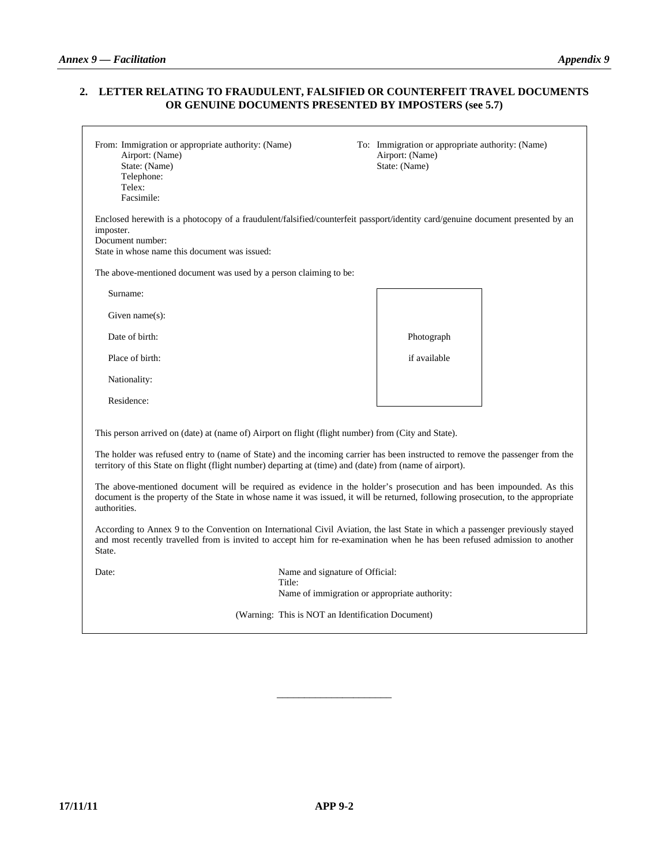### **2. LETTER RELATING TO FRAUDULENT, FALSIFIED OR COUNTERFEIT TRAVEL DOCUMENTS OR GENUINE DOCUMENTS PRESENTED BY IMPOSTERS (see 5.7)**

| From: Immigration or appropriate authority: (Name)<br>Airport: (Name)<br>State: (Name)<br>Telephone:<br>Telex:<br>Facsimile:                                                                                                                                               | To: Immigration or appropriate authority: (Name)<br>Airport: (Name)<br>State: (Name) |  |  |  |  |  |  |
|----------------------------------------------------------------------------------------------------------------------------------------------------------------------------------------------------------------------------------------------------------------------------|--------------------------------------------------------------------------------------|--|--|--|--|--|--|
| Enclosed herewith is a photocopy of a fraudulent/falsified/counterfeit passport/identity card/genuine document presented by an<br>imposter.<br>Document number:<br>State in whose name this document was issued:                                                           |                                                                                      |  |  |  |  |  |  |
| The above-mentioned document was used by a person claiming to be:                                                                                                                                                                                                          |                                                                                      |  |  |  |  |  |  |
| Surname:                                                                                                                                                                                                                                                                   |                                                                                      |  |  |  |  |  |  |
| Given name $(s)$ :                                                                                                                                                                                                                                                         |                                                                                      |  |  |  |  |  |  |
| Date of birth:                                                                                                                                                                                                                                                             | Photograph                                                                           |  |  |  |  |  |  |
| Place of birth:                                                                                                                                                                                                                                                            | if available                                                                         |  |  |  |  |  |  |
| Nationality:                                                                                                                                                                                                                                                               |                                                                                      |  |  |  |  |  |  |
| Residence:                                                                                                                                                                                                                                                                 |                                                                                      |  |  |  |  |  |  |
| This person arrived on (date) at (name of) Airport on flight (flight number) from (City and State).                                                                                                                                                                        |                                                                                      |  |  |  |  |  |  |
| The holder was refused entry to (name of State) and the incoming carrier has been instructed to remove the passenger from the<br>territory of this State on flight (flight number) departing at (time) and (date) from (name of airport).                                  |                                                                                      |  |  |  |  |  |  |
| The above-mentioned document will be required as evidence in the holder's prosecution and has been impounded. As this<br>document is the property of the State in whose name it was issued, it will be returned, following prosecution, to the appropriate<br>authorities. |                                                                                      |  |  |  |  |  |  |
| According to Annex 9 to the Convention on International Civil Aviation, the last State in which a passenger previously stayed<br>and most recently travelled from is invited to accept him for re-examination when he has been refused admission to another<br>State.      |                                                                                      |  |  |  |  |  |  |
| Date:<br>Name and signature of Official:<br>Title:                                                                                                                                                                                                                         | Name of immigration or appropriate authority:                                        |  |  |  |  |  |  |
| (Warning: This is NOT an Identification Document)                                                                                                                                                                                                                          |                                                                                      |  |  |  |  |  |  |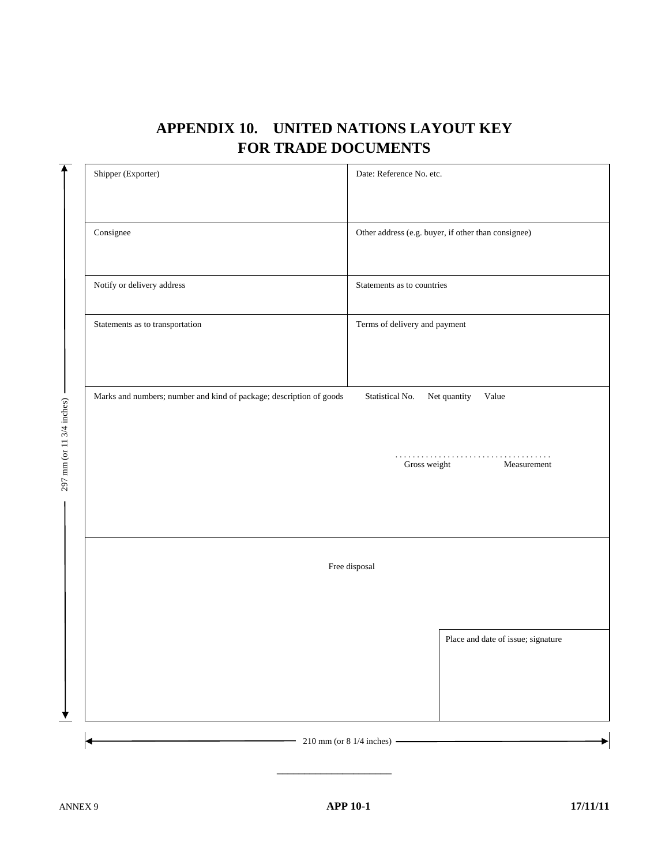# **APPENDIX 10. UNITED NATIONS LAYOUT KEY FOR TRADE DOCUMENTS**

| Shipper (Exporter)                                                  | Date: Reference No. etc.                            |
|---------------------------------------------------------------------|-----------------------------------------------------|
| Consignee                                                           | Other address (e.g. buyer, if other than consignee) |
| Notify or delivery address                                          | Statements as to countries                          |
| Statements as to transportation                                     | Terms of delivery and payment                       |
| Marks and numbers; number and kind of package; description of goods | Net quantity<br>Statistical No.<br>Value            |
|                                                                     | Gross weight<br>Measurement                         |
|                                                                     | Free disposal                                       |
|                                                                     | Place and date of issue; signature                  |
|                                                                     |                                                     |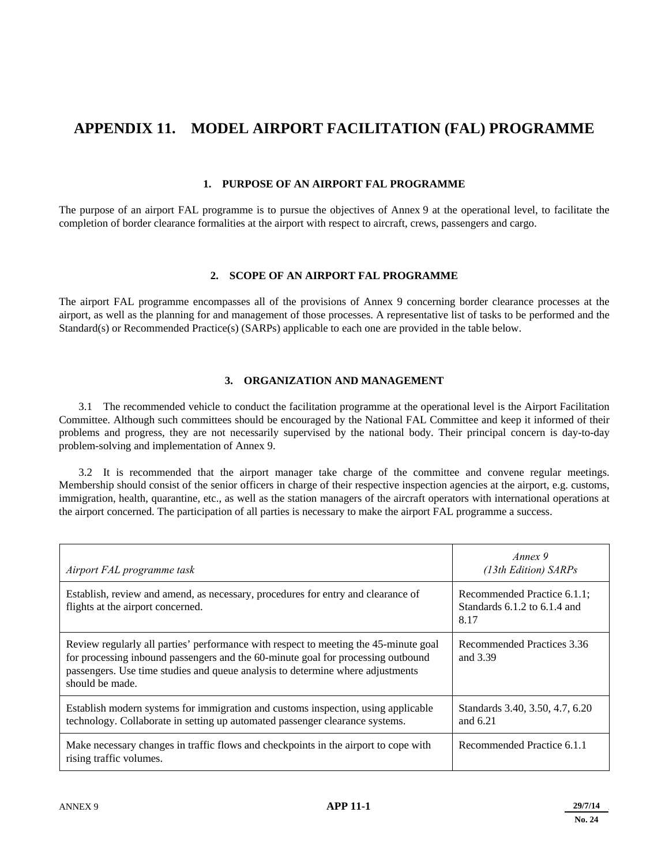### **APPENDIX 11. MODEL AIRPORT FACILITATION (FAL) PROGRAMME**

#### **1. PURPOSE OF AN AIRPORT FAL PROGRAMME**

The purpose of an airport FAL programme is to pursue the objectives of Annex 9 at the operational level, to facilitate the completion of border clearance formalities at the airport with respect to aircraft, crews, passengers and cargo.

#### **2. SCOPE OF AN AIRPORT FAL PROGRAMME**

The airport FAL programme encompasses all of the provisions of Annex 9 concerning border clearance processes at the airport, as well as the planning for and management of those processes. A representative list of tasks to be performed and the Standard(s) or Recommended Practice(s) (SARPs) applicable to each one are provided in the table below.

### **3. ORGANIZATION AND MANAGEMENT**

 3.1 The recommended vehicle to conduct the facilitation programme at the operational level is the Airport Facilitation Committee. Although such committees should be encouraged by the National FAL Committee and keep it informed of their problems and progress, they are not necessarily supervised by the national body. Their principal concern is day-to-day problem-solving and implementation of Annex 9.

 3.2 It is recommended that the airport manager take charge of the committee and convene regular meetings. Membership should consist of the senior officers in charge of their respective inspection agencies at the airport, e.g. customs, immigration, health, quarantine, etc., as well as the station managers of the aircraft operators with international operations at the airport concerned. The participation of all parties is necessary to make the airport FAL programme a success.

| Airport FAL programme task                                                                                                                                                                                                                                                    | Annex 9<br>(13th Edition) SARPs                                         |
|-------------------------------------------------------------------------------------------------------------------------------------------------------------------------------------------------------------------------------------------------------------------------------|-------------------------------------------------------------------------|
| Establish, review and amend, as necessary, procedures for entry and clearance of<br>flights at the airport concerned.                                                                                                                                                         | Recommended Practice 6.1.1;<br>Standards $6.1.2$ to $6.1.4$ and<br>8.17 |
| Review regularly all parties' performance with respect to meeting the 45-minute goal<br>for processing inbound passengers and the 60-minute goal for processing outbound<br>passengers. Use time studies and queue analysis to determine where adjustments<br>should be made. | Recommended Practices 3.36<br>and 3.39                                  |
| Establish modern systems for immigration and customs inspection, using applicable<br>technology. Collaborate in setting up automated passenger clearance systems.                                                                                                             | Standards 3.40, 3.50, 4.7, 6.20<br>and $6.21$                           |
| Make necessary changes in traffic flows and checkpoints in the airport to cope with<br>rising traffic volumes.                                                                                                                                                                | Recommended Practice 6.1.1                                              |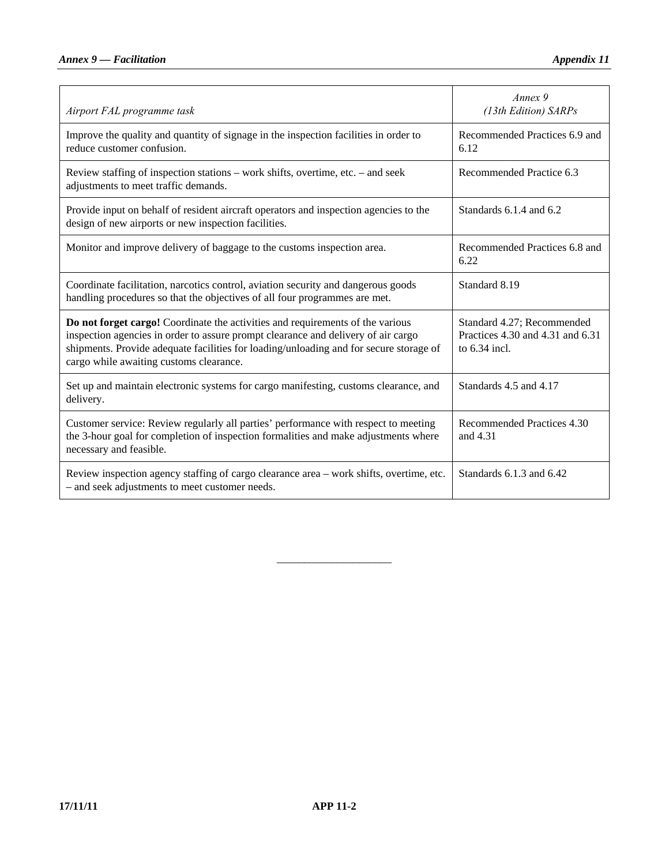| Airport FAL programme task                                                                                                                                                                                                                                                                               | Annex 9<br>(13th Edition) SARPs                                                 |
|----------------------------------------------------------------------------------------------------------------------------------------------------------------------------------------------------------------------------------------------------------------------------------------------------------|---------------------------------------------------------------------------------|
| Improve the quality and quantity of signage in the inspection facilities in order to<br>reduce customer confusion.                                                                                                                                                                                       | Recommended Practices 6.9 and<br>6.12                                           |
| Review staffing of inspection stations – work shifts, overtime, etc. – and seek<br>adjustments to meet traffic demands.                                                                                                                                                                                  | Recommended Practice 6.3                                                        |
| Provide input on behalf of resident aircraft operators and inspection agencies to the<br>design of new airports or new inspection facilities.                                                                                                                                                            | Standards 6.1.4 and 6.2                                                         |
| Monitor and improve delivery of baggage to the customs inspection area.                                                                                                                                                                                                                                  | Recommended Practices 6.8 and<br>6.22                                           |
| Coordinate facilitation, narcotics control, aviation security and dangerous goods<br>handling procedures so that the objectives of all four programmes are met.                                                                                                                                          | Standard 8.19                                                                   |
| Do not forget cargo! Coordinate the activities and requirements of the various<br>inspection agencies in order to assure prompt clearance and delivery of air cargo<br>shipments. Provide adequate facilities for loading/unloading and for secure storage of<br>cargo while awaiting customs clearance. | Standard 4.27; Recommended<br>Practices 4.30 and 4.31 and 6.31<br>to 6.34 incl. |
| Set up and maintain electronic systems for cargo manifesting, customs clearance, and<br>delivery.                                                                                                                                                                                                        | Standards 4.5 and 4.17                                                          |
| Customer service: Review regularly all parties' performance with respect to meeting<br>the 3-hour goal for completion of inspection formalities and make adjustments where<br>necessary and feasible.                                                                                                    | Recommended Practices 4.30<br>and 4.31                                          |
| Review inspection agency staffing of cargo clearance area - work shifts, overtime, etc.<br>- and seek adjustments to meet customer needs.                                                                                                                                                                | Standards 6.1.3 and 6.42                                                        |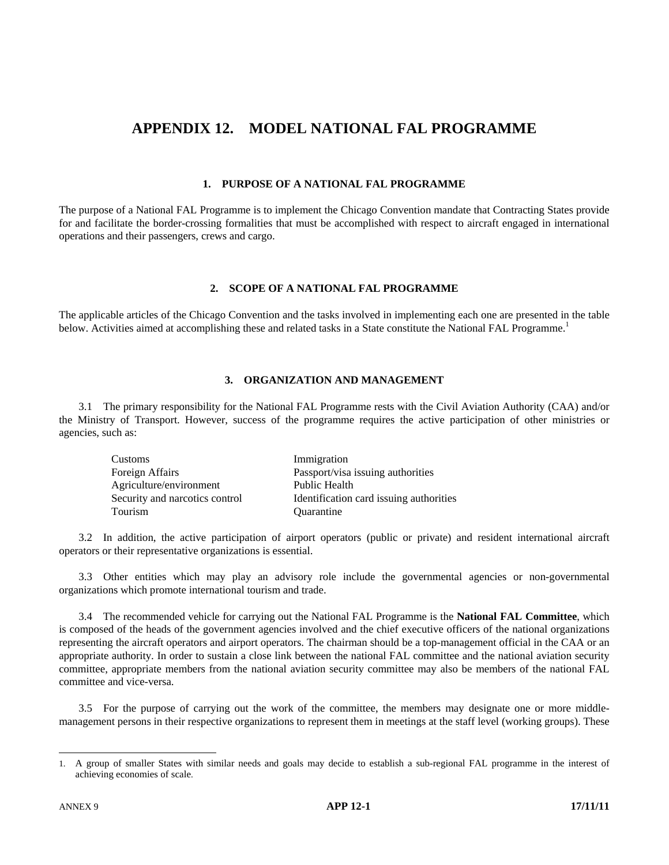### **APPENDIX 12. MODEL NATIONAL FAL PROGRAMME**

#### **1. PURPOSE OF A NATIONAL FAL PROGRAMME**

The purpose of a National FAL Programme is to implement the Chicago Convention mandate that Contracting States provide for and facilitate the border-crossing formalities that must be accomplished with respect to aircraft engaged in international operations and their passengers, crews and cargo.

### **2. SCOPE OF A NATIONAL FAL PROGRAMME**

The applicable articles of the Chicago Convention and the tasks involved in implementing each one are presented in the table below. Activities aimed at accomplishing these and related tasks in a State constitute the National FAL Programme.<sup>1</sup>

### **3. ORGANIZATION AND MANAGEMENT**

 3.1 The primary responsibility for the National FAL Programme rests with the Civil Aviation Authority (CAA) and/or the Ministry of Transport. However, success of the programme requires the active participation of other ministries or agencies, such as:

| Customs                        | Immigration                             |
|--------------------------------|-----------------------------------------|
| Foreign Affairs                | Passport/visa issuing authorities       |
| Agriculture/environment        | Public Health                           |
| Security and narcotics control | Identification card issuing authorities |
| Tourism                        | Quarantine                              |

 3.2 In addition, the active participation of airport operators (public or private) and resident international aircraft operators or their representative organizations is essential.

 3.3 Other entities which may play an advisory role include the governmental agencies or non-governmental organizations which promote international tourism and trade.

 3.4 The recommended vehicle for carrying out the National FAL Programme is the **National FAL Committee**, which is composed of the heads of the government agencies involved and the chief executive officers of the national organizations representing the aircraft operators and airport operators. The chairman should be a top-management official in the CAA or an appropriate authority. In order to sustain a close link between the national FAL committee and the national aviation security committee, appropriate members from the national aviation security committee may also be members of the national FAL committee and vice-versa.

 3.5 For the purpose of carrying out the work of the committee, the members may designate one or more middlemanagement persons in their respective organizations to represent them in meetings at the staff level (working groups). These

1

<sup>1.</sup> A group of smaller States with similar needs and goals may decide to establish a sub-regional FAL programme in the interest of achieving economies of scale.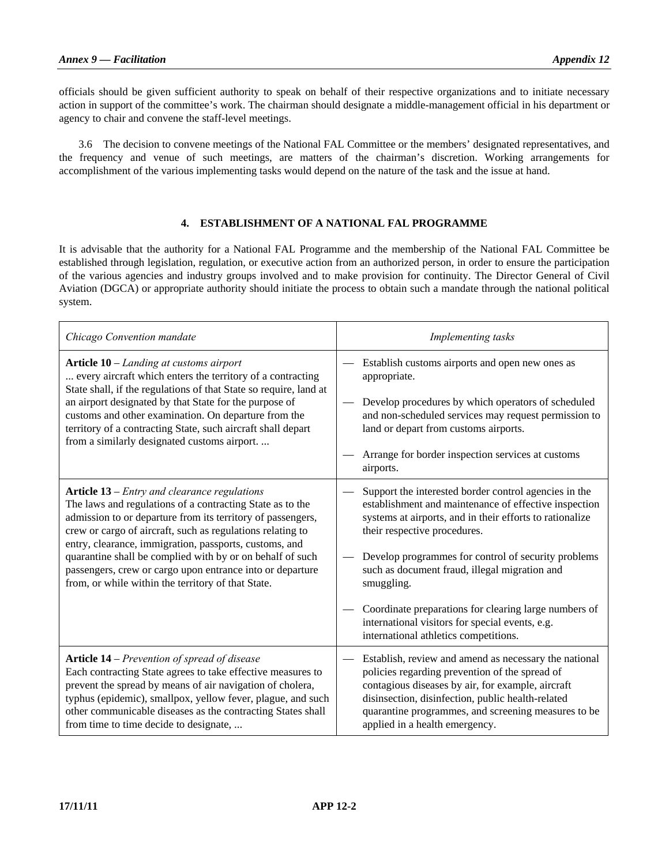officials should be given sufficient authority to speak on behalf of their respective organizations and to initiate necessary action in support of the committee's work. The chairman should designate a middle-management official in his department or agency to chair and convene the staff-level meetings.

 3.6 The decision to convene meetings of the National FAL Committee or the members' designated representatives, and the frequency and venue of such meetings, are matters of the chairman's discretion. Working arrangements for accomplishment of the various implementing tasks would depend on the nature of the task and the issue at hand.

#### **4. ESTABLISHMENT OF A NATIONAL FAL PROGRAMME**

It is advisable that the authority for a National FAL Programme and the membership of the National FAL Committee be established through legislation, regulation, or executive action from an authorized person, in order to ensure the participation of the various agencies and industry groups involved and to make provision for continuity. The Director General of Civil Aviation (DGCA) or appropriate authority should initiate the process to obtain such a mandate through the national political system.

| Chicago Convention mandate                                                                                                                                                                                                                                                                                                                                                                                                                                                              | Implementing tasks                                                                                                                                                                                                                                                                                                                                                                                                                                                                    |
|-----------------------------------------------------------------------------------------------------------------------------------------------------------------------------------------------------------------------------------------------------------------------------------------------------------------------------------------------------------------------------------------------------------------------------------------------------------------------------------------|---------------------------------------------------------------------------------------------------------------------------------------------------------------------------------------------------------------------------------------------------------------------------------------------------------------------------------------------------------------------------------------------------------------------------------------------------------------------------------------|
| Article 10 - Landing at customs airport                                                                                                                                                                                                                                                                                                                                                                                                                                                 | Establish customs airports and open new ones as                                                                                                                                                                                                                                                                                                                                                                                                                                       |
| every aircraft which enters the territory of a contracting                                                                                                                                                                                                                                                                                                                                                                                                                              | appropriate.                                                                                                                                                                                                                                                                                                                                                                                                                                                                          |
| State shall, if the regulations of that State so require, land at                                                                                                                                                                                                                                                                                                                                                                                                                       | Develop procedures by which operators of scheduled                                                                                                                                                                                                                                                                                                                                                                                                                                    |
| an airport designated by that State for the purpose of                                                                                                                                                                                                                                                                                                                                                                                                                                  | and non-scheduled services may request permission to                                                                                                                                                                                                                                                                                                                                                                                                                                  |
| customs and other examination. On departure from the                                                                                                                                                                                                                                                                                                                                                                                                                                    | land or depart from customs airports.                                                                                                                                                                                                                                                                                                                                                                                                                                                 |
| territory of a contracting State, such aircraft shall depart                                                                                                                                                                                                                                                                                                                                                                                                                            | Arrange for border inspection services at customs                                                                                                                                                                                                                                                                                                                                                                                                                                     |
| from a similarly designated customs airport                                                                                                                                                                                                                                                                                                                                                                                                                                             | airports.                                                                                                                                                                                                                                                                                                                                                                                                                                                                             |
| <b>Article 13</b> – Entry and clearance regulations<br>The laws and regulations of a contracting State as to the<br>admission to or departure from its territory of passengers,<br>crew or cargo of aircraft, such as regulations relating to<br>entry, clearance, immigration, passports, customs, and<br>quarantine shall be complied with by or on behalf of such<br>passengers, crew or cargo upon entrance into or departure<br>from, or while within the territory of that State. | Support the interested border control agencies in the<br>establishment and maintenance of effective inspection<br>systems at airports, and in their efforts to rationalize<br>their respective procedures.<br>Develop programmes for control of security problems<br>such as document fraud, illegal migration and<br>smuggling.<br>Coordinate preparations for clearing large numbers of<br>international visitors for special events, e.g.<br>international athletics competitions. |
| Article 14 – Prevention of spread of disease                                                                                                                                                                                                                                                                                                                                                                                                                                            | Establish, review and amend as necessary the national                                                                                                                                                                                                                                                                                                                                                                                                                                 |
| Each contracting State agrees to take effective measures to                                                                                                                                                                                                                                                                                                                                                                                                                             | policies regarding prevention of the spread of                                                                                                                                                                                                                                                                                                                                                                                                                                        |
| prevent the spread by means of air navigation of cholera,                                                                                                                                                                                                                                                                                                                                                                                                                               | contagious diseases by air, for example, aircraft                                                                                                                                                                                                                                                                                                                                                                                                                                     |
| typhus (epidemic), smallpox, yellow fever, plague, and such                                                                                                                                                                                                                                                                                                                                                                                                                             | disinsection, disinfection, public health-related                                                                                                                                                                                                                                                                                                                                                                                                                                     |
| other communicable diseases as the contracting States shall                                                                                                                                                                                                                                                                                                                                                                                                                             | quarantine programmes, and screening measures to be                                                                                                                                                                                                                                                                                                                                                                                                                                   |
| from time to time decide to designate,                                                                                                                                                                                                                                                                                                                                                                                                                                                  | applied in a health emergency.                                                                                                                                                                                                                                                                                                                                                                                                                                                        |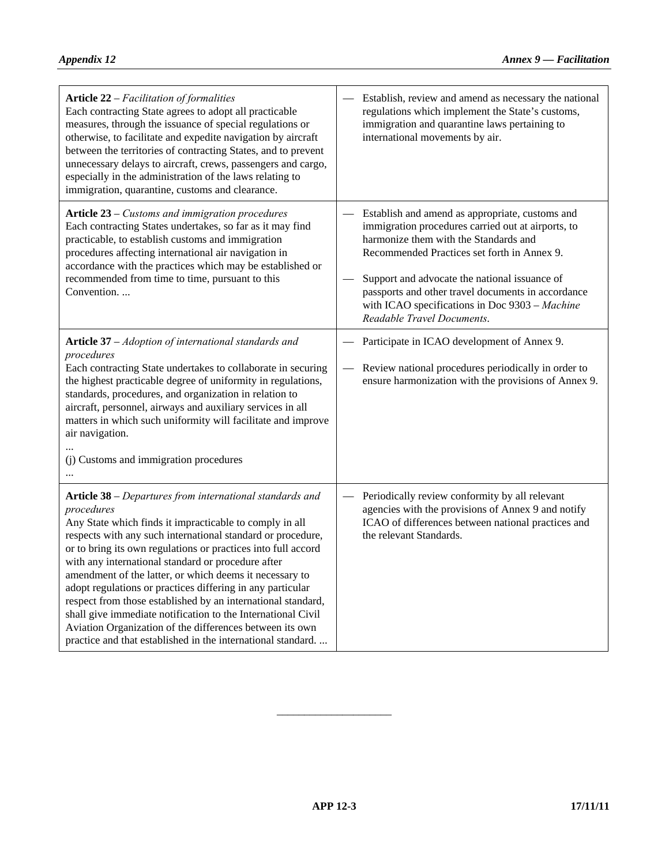| <b>Article 22</b> – Facilitation of formalities<br>Each contracting State agrees to adopt all practicable<br>measures, through the issuance of special regulations or<br>otherwise, to facilitate and expedite navigation by aircraft<br>between the territories of contracting States, and to prevent<br>unnecessary delays to aircraft, crews, passengers and cargo,<br>especially in the administration of the laws relating to<br>immigration, quarantine, customs and clearance.                                                                                                                                                                                                                       | Establish, review and amend as necessary the national<br>regulations which implement the State's customs,<br>immigration and quarantine laws pertaining to<br>international movements by air.                                                                                                                                                                                        |
|-------------------------------------------------------------------------------------------------------------------------------------------------------------------------------------------------------------------------------------------------------------------------------------------------------------------------------------------------------------------------------------------------------------------------------------------------------------------------------------------------------------------------------------------------------------------------------------------------------------------------------------------------------------------------------------------------------------|--------------------------------------------------------------------------------------------------------------------------------------------------------------------------------------------------------------------------------------------------------------------------------------------------------------------------------------------------------------------------------------|
| Article 23 – Customs and immigration procedures<br>Each contracting States undertakes, so far as it may find<br>practicable, to establish customs and immigration<br>procedures affecting international air navigation in<br>accordance with the practices which may be established or<br>recommended from time to time, pursuant to this<br>Convention                                                                                                                                                                                                                                                                                                                                                     | Establish and amend as appropriate, customs and<br>immigration procedures carried out at airports, to<br>harmonize them with the Standards and<br>Recommended Practices set forth in Annex 9.<br>Support and advocate the national issuance of<br>passports and other travel documents in accordance<br>with ICAO specifications in Doc 9303 - Machine<br>Readable Travel Documents. |
| Article 37 - Adoption of international standards and<br>procedures<br>Each contracting State undertakes to collaborate in securing<br>the highest practicable degree of uniformity in regulations,<br>standards, procedures, and organization in relation to<br>aircraft, personnel, airways and auxiliary services in all<br>matters in which such uniformity will facilitate and improve<br>air navigation.<br>(j) Customs and immigration procedures                                                                                                                                                                                                                                                     | Participate in ICAO development of Annex 9.<br>Review national procedures periodically in order to<br>ensure harmonization with the provisions of Annex 9.                                                                                                                                                                                                                           |
| Article 38 – Departures from international standards and<br>procedures<br>Any State which finds it impracticable to comply in all<br>respects with any such international standard or procedure,<br>or to bring its own regulations or practices into full accord<br>with any international standard or procedure after<br>amendment of the latter, or which deems it necessary to<br>adopt regulations or practices differing in any particular<br>respect from those established by an international standard,<br>shall give immediate notification to the International Civil<br>Aviation Organization of the differences between its own<br>practice and that established in the international standard | Periodically review conformity by all relevant<br>agencies with the provisions of Annex 9 and notify<br>ICAO of differences between national practices and<br>the relevant Standards.                                                                                                                                                                                                |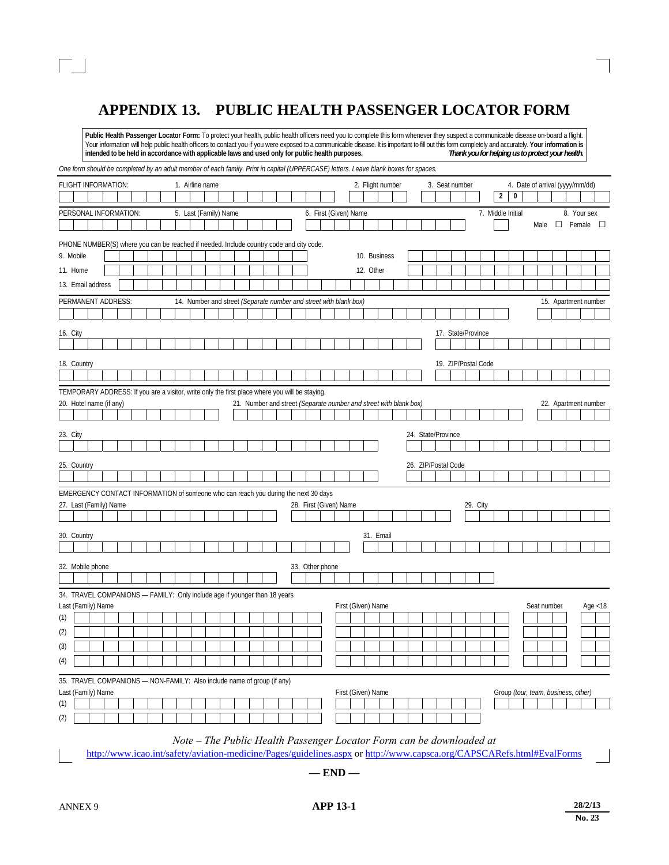## **APPENDIX 13. PUBLIC HEALTH PASSENGER LOCATOR FORM**

**Public Health Passenger Locator Form:** To protect your health, public health officers need you to complete this form whenever they suspect a communicable disease on-board a flight. Your information will help public health officers to contact you if you were exposed to a communicable disease. It is important to fill out this form completely and accurately. **Your information is intended to be held in accordance with applicable laws and used only for public health purposes.** *Thank you for helping us to protect your health.*

|  | One form should be completed by an adult member of each family. Print in capital (UPPERCASE) letters. Leave blank boxes for spaces. |  |
|--|-------------------------------------------------------------------------------------------------------------------------------------|--|
|  |                                                                                                                                     |  |

|                                                                                         | FLIGHT INFORMATION:                                                                            |  |  |  | 1. Airline name |  |  |  |                                                                      |  |  |  | 2. Flight number |  |                 |                        |                    | 3. Seat number |                                                                   |  |                     |  | 4. Date of arrival (yyyy/mm/dd) |                     |                |                   |  |             |                                                                                                                       |  |                      |  |
|-----------------------------------------------------------------------------------------|------------------------------------------------------------------------------------------------|--|--|--|-----------------|--|--|--|----------------------------------------------------------------------|--|--|--|------------------|--|-----------------|------------------------|--------------------|----------------|-------------------------------------------------------------------|--|---------------------|--|---------------------------------|---------------------|----------------|-------------------|--|-------------|-----------------------------------------------------------------------------------------------------------------------|--|----------------------|--|
|                                                                                         |                                                                                                |  |  |  |                 |  |  |  |                                                                      |  |  |  |                  |  |                 |                        |                    |                |                                                                   |  |                     |  |                                 |                     | $\overline{2}$ | 0                 |  |             |                                                                                                                       |  |                      |  |
|                                                                                         | PERSONAL INFORMATION:                                                                          |  |  |  |                 |  |  |  | 5. Last (Family) Name                                                |  |  |  |                  |  |                 | 6. First (Given) Name  |                    |                |                                                                   |  |                     |  |                                 |                     |                | 7. Middle Initial |  |             |                                                                                                                       |  | 8. Your sex          |  |
|                                                                                         |                                                                                                |  |  |  |                 |  |  |  |                                                                      |  |  |  |                  |  |                 |                        |                    |                |                                                                   |  |                     |  |                                 |                     |                |                   |  | Male        |                                                                                                                       |  | $\Box$ Female $\Box$ |  |
|                                                                                         | PHONE NUMBER(S) where you can be reached if needed. Include country code and city code.        |  |  |  |                 |  |  |  |                                                                      |  |  |  |                  |  |                 |                        |                    |                |                                                                   |  |                     |  |                                 |                     |                |                   |  |             |                                                                                                                       |  |                      |  |
|                                                                                         | 9. Mobile                                                                                      |  |  |  |                 |  |  |  |                                                                      |  |  |  |                  |  |                 |                        |                    |                | 10. Business                                                      |  |                     |  |                                 |                     |                |                   |  |             |                                                                                                                       |  |                      |  |
|                                                                                         | 11. Home                                                                                       |  |  |  |                 |  |  |  |                                                                      |  |  |  |                  |  |                 |                        |                    | 12. Other      |                                                                   |  |                     |  |                                 |                     |                |                   |  |             |                                                                                                                       |  |                      |  |
|                                                                                         | 13. Email address                                                                              |  |  |  |                 |  |  |  |                                                                      |  |  |  |                  |  |                 |                        |                    |                |                                                                   |  |                     |  |                                 |                     |                |                   |  |             |                                                                                                                       |  |                      |  |
| PERMANENT ADDRESS:<br>14. Number and street (Separate number and street with blank box) |                                                                                                |  |  |  |                 |  |  |  |                                                                      |  |  |  |                  |  |                 |                        |                    |                |                                                                   |  |                     |  |                                 |                     |                |                   |  |             |                                                                                                                       |  |                      |  |
|                                                                                         |                                                                                                |  |  |  |                 |  |  |  |                                                                      |  |  |  |                  |  |                 |                        |                    |                |                                                                   |  |                     |  |                                 |                     |                |                   |  |             | 15. Apartment number                                                                                                  |  |                      |  |
|                                                                                         |                                                                                                |  |  |  |                 |  |  |  |                                                                      |  |  |  |                  |  |                 |                        |                    |                |                                                                   |  |                     |  |                                 |                     |                |                   |  |             |                                                                                                                       |  |                      |  |
|                                                                                         | 16. City                                                                                       |  |  |  |                 |  |  |  |                                                                      |  |  |  |                  |  |                 |                        |                    |                |                                                                   |  |                     |  |                                 | 17. State/Province  |                |                   |  |             |                                                                                                                       |  |                      |  |
|                                                                                         |                                                                                                |  |  |  |                 |  |  |  |                                                                      |  |  |  |                  |  |                 |                        |                    |                |                                                                   |  |                     |  |                                 |                     |                |                   |  |             |                                                                                                                       |  |                      |  |
|                                                                                         | 18. Country                                                                                    |  |  |  |                 |  |  |  |                                                                      |  |  |  |                  |  |                 |                        |                    |                |                                                                   |  |                     |  |                                 | 19. ZIP/Postal Code |                |                   |  |             |                                                                                                                       |  |                      |  |
|                                                                                         |                                                                                                |  |  |  |                 |  |  |  |                                                                      |  |  |  |                  |  |                 |                        |                    |                |                                                                   |  |                     |  |                                 |                     |                |                   |  |             |                                                                                                                       |  |                      |  |
|                                                                                         | TEMPORARY ADDRESS: If you are a visitor, write only the first place where you will be staying. |  |  |  |                 |  |  |  |                                                                      |  |  |  |                  |  |                 |                        |                    |                |                                                                   |  |                     |  |                                 |                     |                |                   |  |             |                                                                                                                       |  |                      |  |
|                                                                                         | 20. Hotel name (if any)                                                                        |  |  |  |                 |  |  |  |                                                                      |  |  |  |                  |  |                 |                        |                    |                | 21. Number and street (Separate number and street with blank box) |  |                     |  |                                 |                     |                |                   |  |             | 22. Apartment number                                                                                                  |  |                      |  |
|                                                                                         |                                                                                                |  |  |  |                 |  |  |  |                                                                      |  |  |  |                  |  |                 |                        |                    |                |                                                                   |  |                     |  |                                 |                     |                |                   |  |             |                                                                                                                       |  |                      |  |
|                                                                                         | 23. City                                                                                       |  |  |  |                 |  |  |  |                                                                      |  |  |  |                  |  |                 |                        |                    |                |                                                                   |  | 24. State/Province  |  |                                 |                     |                |                   |  |             |                                                                                                                       |  |                      |  |
|                                                                                         |                                                                                                |  |  |  |                 |  |  |  |                                                                      |  |  |  |                  |  |                 |                        |                    |                |                                                                   |  |                     |  |                                 |                     |                |                   |  |             |                                                                                                                       |  |                      |  |
|                                                                                         | 25. Country                                                                                    |  |  |  |                 |  |  |  |                                                                      |  |  |  |                  |  |                 |                        |                    |                |                                                                   |  | 26. ZIP/Postal Code |  |                                 |                     |                |                   |  |             |                                                                                                                       |  |                      |  |
|                                                                                         |                                                                                                |  |  |  |                 |  |  |  |                                                                      |  |  |  |                  |  |                 |                        |                    |                |                                                                   |  |                     |  |                                 |                     |                |                   |  |             |                                                                                                                       |  |                      |  |
|                                                                                         | EMERGENCY CONTACT INFORMATION of someone who can reach you during the next 30 days             |  |  |  |                 |  |  |  |                                                                      |  |  |  |                  |  |                 |                        |                    |                |                                                                   |  |                     |  |                                 |                     |                |                   |  |             |                                                                                                                       |  |                      |  |
|                                                                                         | 27. Last (Family) Name                                                                         |  |  |  |                 |  |  |  |                                                                      |  |  |  |                  |  |                 | 28. First (Given) Name |                    |                |                                                                   |  |                     |  |                                 | 29. City            |                |                   |  |             |                                                                                                                       |  |                      |  |
|                                                                                         |                                                                                                |  |  |  |                 |  |  |  |                                                                      |  |  |  |                  |  |                 |                        |                    |                |                                                                   |  |                     |  |                                 |                     |                |                   |  |             |                                                                                                                       |  |                      |  |
|                                                                                         | 30. Country                                                                                    |  |  |  |                 |  |  |  |                                                                      |  |  |  |                  |  |                 |                        |                    |                | 31. Email                                                         |  |                     |  |                                 |                     |                |                   |  |             |                                                                                                                       |  |                      |  |
|                                                                                         |                                                                                                |  |  |  |                 |  |  |  |                                                                      |  |  |  |                  |  |                 |                        |                    |                |                                                                   |  |                     |  |                                 |                     |                |                   |  |             |                                                                                                                       |  |                      |  |
|                                                                                         | 32. Mobile phone                                                                               |  |  |  |                 |  |  |  |                                                                      |  |  |  |                  |  | 33. Other phone |                        |                    |                |                                                                   |  |                     |  |                                 |                     |                |                   |  |             |                                                                                                                       |  |                      |  |
|                                                                                         |                                                                                                |  |  |  |                 |  |  |  |                                                                      |  |  |  |                  |  |                 |                        |                    |                |                                                                   |  |                     |  |                                 |                     |                |                   |  |             |                                                                                                                       |  |                      |  |
|                                                                                         | 34. TRAVEL COMPANIONS - FAMILY: Only include age if younger than 18 years                      |  |  |  |                 |  |  |  |                                                                      |  |  |  |                  |  |                 |                        |                    |                |                                                                   |  |                     |  |                                 |                     |                |                   |  |             |                                                                                                                       |  |                      |  |
|                                                                                         | Last (Family) Name                                                                             |  |  |  |                 |  |  |  |                                                                      |  |  |  |                  |  |                 |                        | First (Given) Name |                |                                                                   |  |                     |  |                                 |                     |                |                   |  | Seat number |                                                                                                                       |  | Age <18              |  |
| (1)                                                                                     |                                                                                                |  |  |  |                 |  |  |  |                                                                      |  |  |  |                  |  |                 |                        |                    |                |                                                                   |  |                     |  |                                 |                     |                |                   |  |             |                                                                                                                       |  |                      |  |
| (2)                                                                                     |                                                                                                |  |  |  |                 |  |  |  |                                                                      |  |  |  |                  |  |                 |                        |                    |                |                                                                   |  |                     |  |                                 |                     |                |                   |  |             |                                                                                                                       |  |                      |  |
| (3)                                                                                     |                                                                                                |  |  |  |                 |  |  |  |                                                                      |  |  |  |                  |  |                 |                        |                    |                |                                                                   |  |                     |  |                                 |                     |                |                   |  |             |                                                                                                                       |  |                      |  |
| (4)                                                                                     |                                                                                                |  |  |  |                 |  |  |  |                                                                      |  |  |  |                  |  |                 |                        |                    |                |                                                                   |  |                     |  |                                 |                     |                |                   |  |             |                                                                                                                       |  |                      |  |
|                                                                                         | 35. TRAVEL COMPANIONS - NON-FAMILY: Also include name of group (if any)                        |  |  |  |                 |  |  |  |                                                                      |  |  |  |                  |  |                 |                        |                    |                |                                                                   |  |                     |  |                                 |                     |                |                   |  |             |                                                                                                                       |  |                      |  |
|                                                                                         | Last (Family) Name                                                                             |  |  |  |                 |  |  |  |                                                                      |  |  |  |                  |  |                 | First (Given) Name     |                    |                |                                                                   |  |                     |  |                                 |                     |                |                   |  |             | Group (tour, team, business, other)                                                                                   |  |                      |  |
| (1)                                                                                     |                                                                                                |  |  |  |                 |  |  |  |                                                                      |  |  |  |                  |  |                 |                        |                    |                |                                                                   |  |                     |  |                                 |                     |                |                   |  |             |                                                                                                                       |  |                      |  |
| (2)                                                                                     |                                                                                                |  |  |  |                 |  |  |  |                                                                      |  |  |  |                  |  |                 |                        |                    |                |                                                                   |  |                     |  |                                 |                     |                |                   |  |             |                                                                                                                       |  |                      |  |
|                                                                                         |                                                                                                |  |  |  |                 |  |  |  |                                                                      |  |  |  |                  |  |                 |                        |                    |                |                                                                   |  |                     |  |                                 |                     |                |                   |  |             |                                                                                                                       |  |                      |  |
|                                                                                         |                                                                                                |  |  |  |                 |  |  |  | Note - The Public Health Passenger Locator Form can be downloaded at |  |  |  |                  |  |                 |                        |                    |                |                                                                   |  |                     |  |                                 |                     |                |                   |  |             |                                                                                                                       |  |                      |  |
|                                                                                         |                                                                                                |  |  |  |                 |  |  |  |                                                                      |  |  |  |                  |  |                 |                        |                    |                |                                                                   |  |                     |  |                                 |                     |                |                   |  |             | http://www.icao.int/safety/aviation-medicine/Pages/guidelines.aspx or http://www.capsca.org/CAPSCARefs.html#EvalForms |  |                      |  |

 $\Box$